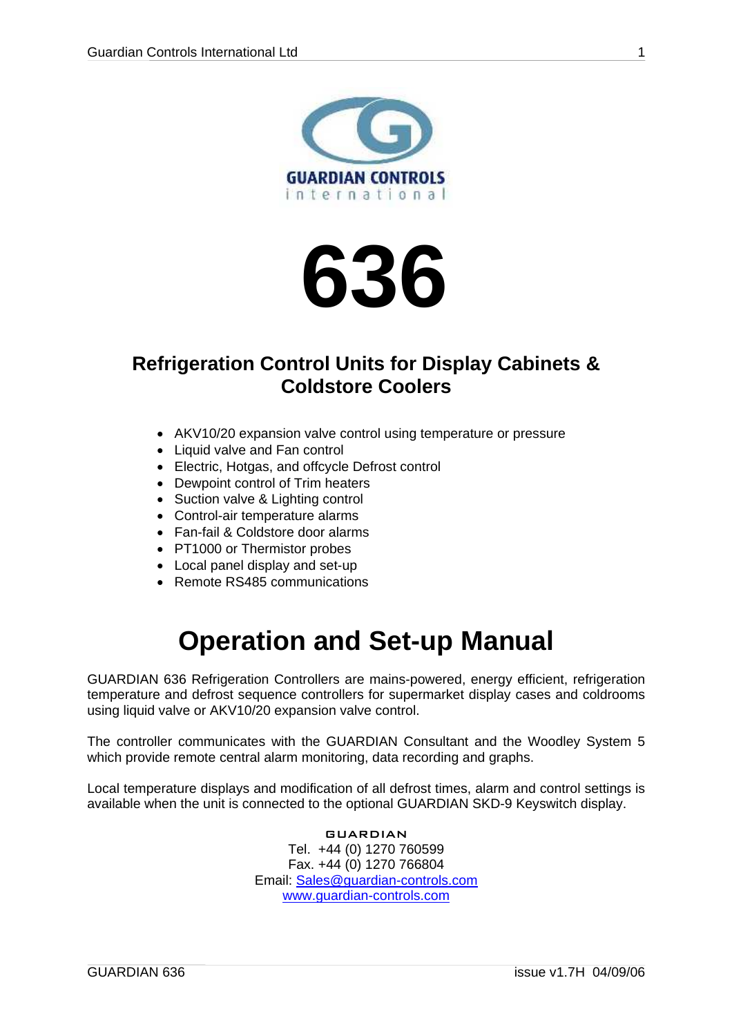<span id="page-0-0"></span>



### **Refrigeration Control Units for Display Cabinets & Coldstore Coolers**

- AKV10/20 expansion valve control using temperature or pressure
- Liquid valve and Fan control
- Electric, Hotgas, and offcycle Defrost control
- Dewpoint control of Trim heaters
- Suction valve & Lighting control
- Control-air temperature alarms
- Fan-fail & Coldstore door alarms
- PT1000 or Thermistor probes
- Local panel display and set-up
- Remote RS485 communications

## **Operation and Set-up Manual**

GUARDIAN 636 Refrigeration Controllers are mains-powered, energy efficient, refrigeration temperature and defrost sequence controllers for supermarket display cases and coldrooms using liquid valve or AKV10/20 expansion valve control.

The controller communicates with the GUARDIAN Consultant and the Woodley System 5 which provide remote central alarm monitoring, data recording and graphs.

Local temperature displays and modification of all defrost times, alarm and control settings is available when the unit is connected to the optional GUARDIAN SKD-9 Keyswitch display.

> GUARDIAN Tel. +44 (0) 1270 760599 Fax. +44 (0) 1270 766804 Email: [Sales@guardian-controls.com](mailto:sales@microm-electronics.com) [www.guardian-controls.com](http://www.microm-electronics.com/)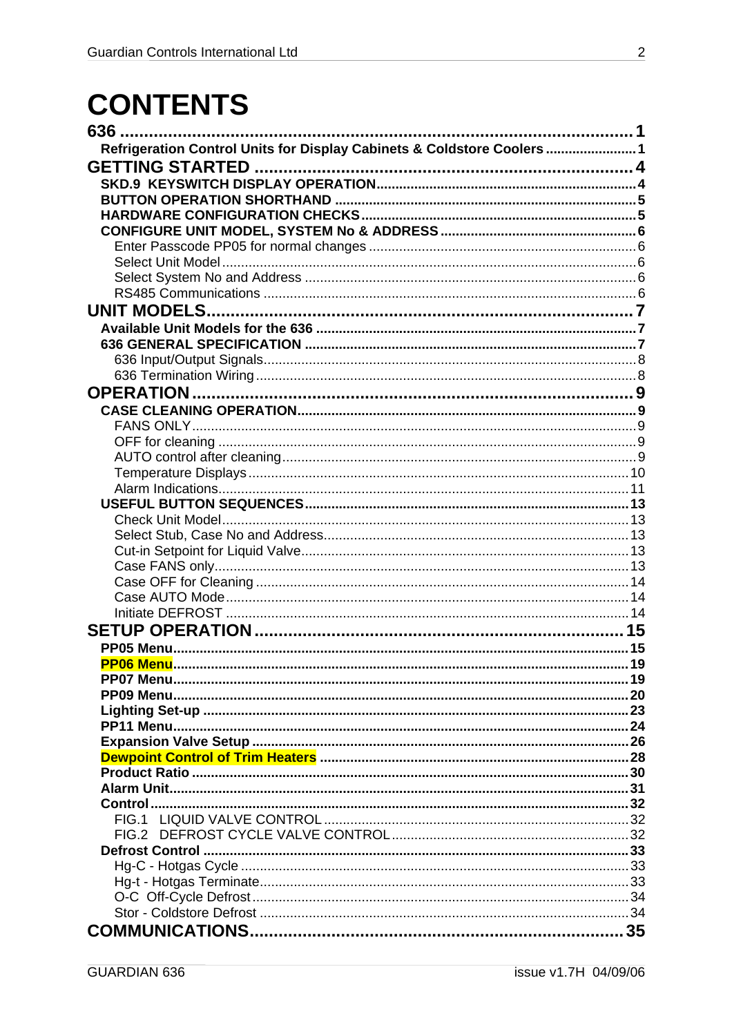## **CONTENTS**

| 636.                                                                    |  |
|-------------------------------------------------------------------------|--|
| Refrigeration Control Units for Display Cabinets & Coldstore Coolers  1 |  |
|                                                                         |  |
|                                                                         |  |
|                                                                         |  |
|                                                                         |  |
|                                                                         |  |
|                                                                         |  |
|                                                                         |  |
|                                                                         |  |
|                                                                         |  |
| <b>UNIT MODELS</b>                                                      |  |
|                                                                         |  |
|                                                                         |  |
|                                                                         |  |
|                                                                         |  |
| <b>OPERATION</b>                                                        |  |
|                                                                         |  |
|                                                                         |  |
|                                                                         |  |
|                                                                         |  |
|                                                                         |  |
|                                                                         |  |
|                                                                         |  |
|                                                                         |  |
|                                                                         |  |
|                                                                         |  |
|                                                                         |  |
|                                                                         |  |
|                                                                         |  |
|                                                                         |  |
|                                                                         |  |
|                                                                         |  |
|                                                                         |  |
|                                                                         |  |
|                                                                         |  |
|                                                                         |  |
|                                                                         |  |
|                                                                         |  |
|                                                                         |  |
|                                                                         |  |
|                                                                         |  |
|                                                                         |  |
|                                                                         |  |
|                                                                         |  |
|                                                                         |  |
|                                                                         |  |
|                                                                         |  |
|                                                                         |  |
|                                                                         |  |
|                                                                         |  |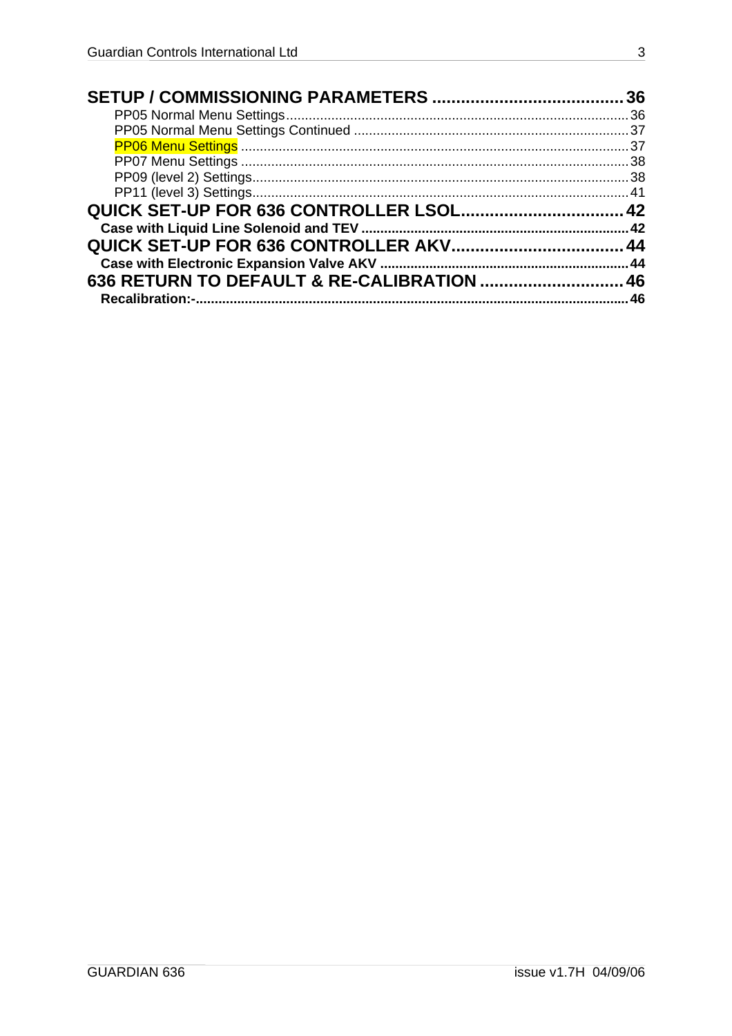| 46 |
|----|
|    |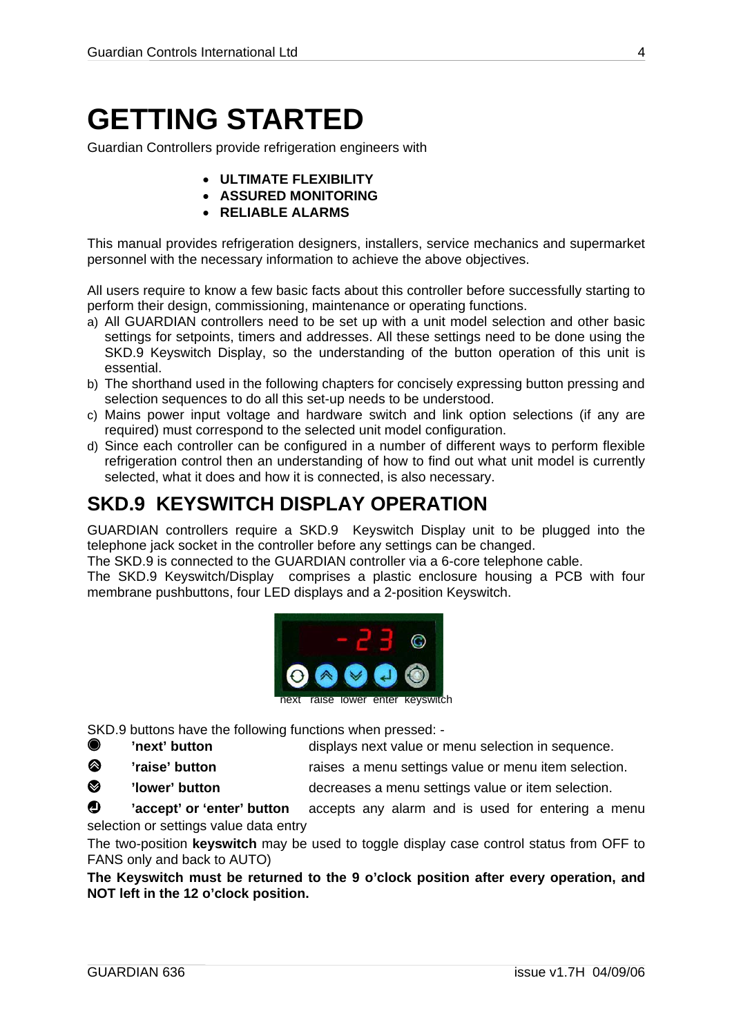## <span id="page-3-0"></span>**GETTING STARTED**

Guardian Controllers provide refrigeration engineers with

- **ULTIMATE FLEXIBILITY**
- **ASSURED MONITORING**
- **RELIABLE ALARMS**

This manual provides refrigeration designers, installers, service mechanics and supermarket personnel with the necessary information to achieve the above objectives.

All users require to know a few basic facts about this controller before successfully starting to perform their design, commissioning, maintenance or operating functions.

- a) All GUARDIAN controllers need to be set up with a unit model selection and other basic settings for setpoints, timers and addresses. All these settings need to be done using the SKD.9 Keyswitch Display, so the understanding of the button operation of this unit is essential.
- b) The shorthand used in the following chapters for concisely expressing button pressing and selection sequences to do all this set-up needs to be understood.
- c) Mains power input voltage and hardware switch and link option selections (if any are required) must correspond to the selected unit model configuration.
- d) Since each controller can be configured in a number of different ways to perform flexible refrigeration control then an understanding of how to find out what unit model is currently selected, what it does and how it is connected, is also necessary.

### **SKD.9 KEYSWITCH DISPLAY OPERATION**

GUARDIAN controllers require a SKD.9 Keyswitch Display unit to be plugged into the telephone jack socket in the controller before any settings can be changed.

The SKD.9 is connected to the GUARDIAN controller via a 6-core telephone cable.

The SKD.9 Keyswitch/Display comprises a plastic enclosure housing a PCB with four membrane pushbuttons, four LED displays and a 2-position Keyswitch.



SKD.9 buttons have the following functions when pressed: -

**'next' button displays next value or menu selection in sequence.** 

/ **'raise' button** raises a menu settings value or menu item selection.

**8** 'lower' button **button** decreases a menu settings value or item selection.

**1** 'accept' or 'enter' button accepts any alarm and is used for entering a menu selection or settings value data entry

The two-position **keyswitch** may be used to toggle display case control status from OFF to FANS only and back to AUTO)

**The Keyswitch must be returned to the 9 o'clock position after every operation, and NOT left in the 12 o'clock position.**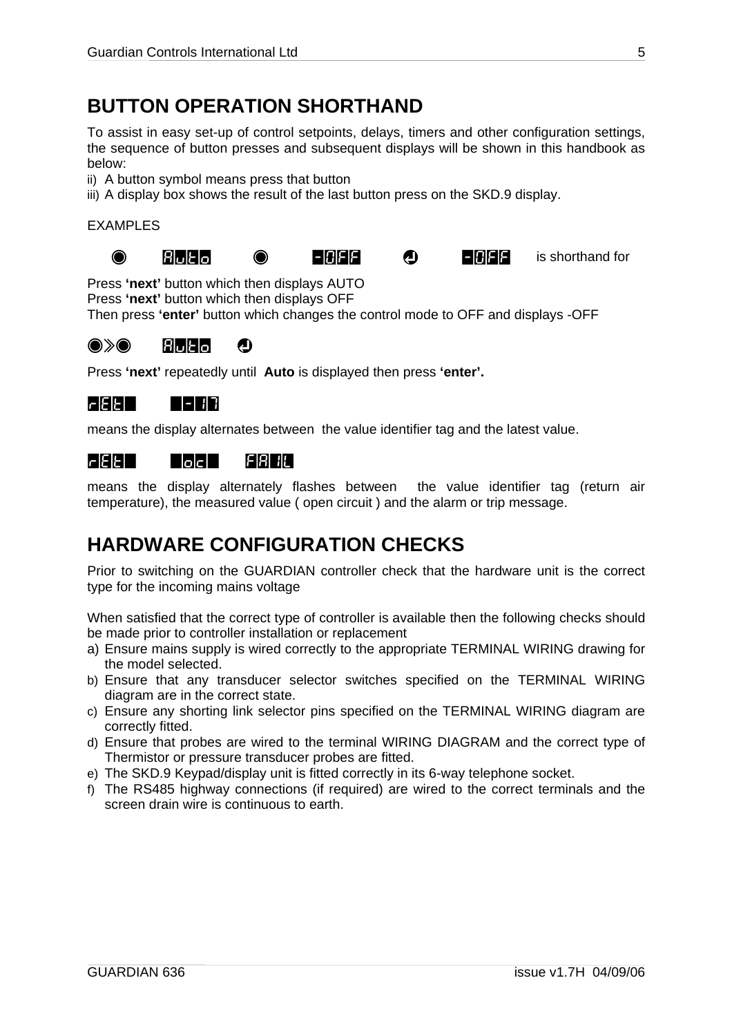### <span id="page-4-0"></span>**BUTTON OPERATION SHORTHAND**

To assist in easy set-up of control setpoints, delays, timers and other configuration settings, the sequence of button presses and subsequent displays will be shown in this handbook as below:

- ii) A button symbol means press that button
- iii) A display box shows the result of the last button press on the SKD.9 display.

#### EXAMPLES









@ Auto @ -OFF ? -OFF is shorthand for

Press **'next'** button which then displays AUTO

Press **'next'** button which then displays OFF

Then press **'enter'** button which changes the control mode to OFF and displays -OFF

#### $\bullet\$  and  $\bullet$

Press **'next'** repeatedly until **Auto** is displayed then press **'enter'.** 

#### rEt= =-17

means the display alternates between the value identifier tag and the latest value.

### rEt= =oc= FAIL

means the display alternately flashes between the value identifier tag (return air temperature), the measured value ( open circuit ) and the alarm or trip message.

### **HARDWARE CONFIGURATION CHECKS**

Prior to switching on the GUARDIAN controller check that the hardware unit is the correct type for the incoming mains voltage

When satisfied that the correct type of controller is available then the following checks should be made prior to controller installation or replacement

- a) Ensure mains supply is wired correctly to the appropriate TERMINAL WIRING drawing for the model selected.
- b) Ensure that any transducer selector switches specified on the TERMINAL WIRING diagram are in the correct state.
- c) Ensure any shorting link selector pins specified on the TERMINAL WIRING diagram are correctly fitted.
- d) Ensure that probes are wired to the terminal WIRING DIAGRAM and the correct type of Thermistor or pressure transducer probes are fitted.
- e) The SKD.9 Keypad/display unit is fitted correctly in its 6-way telephone socket.
- f) The RS485 highway connections (if required) are wired to the correct terminals and the screen drain wire is continuous to earth.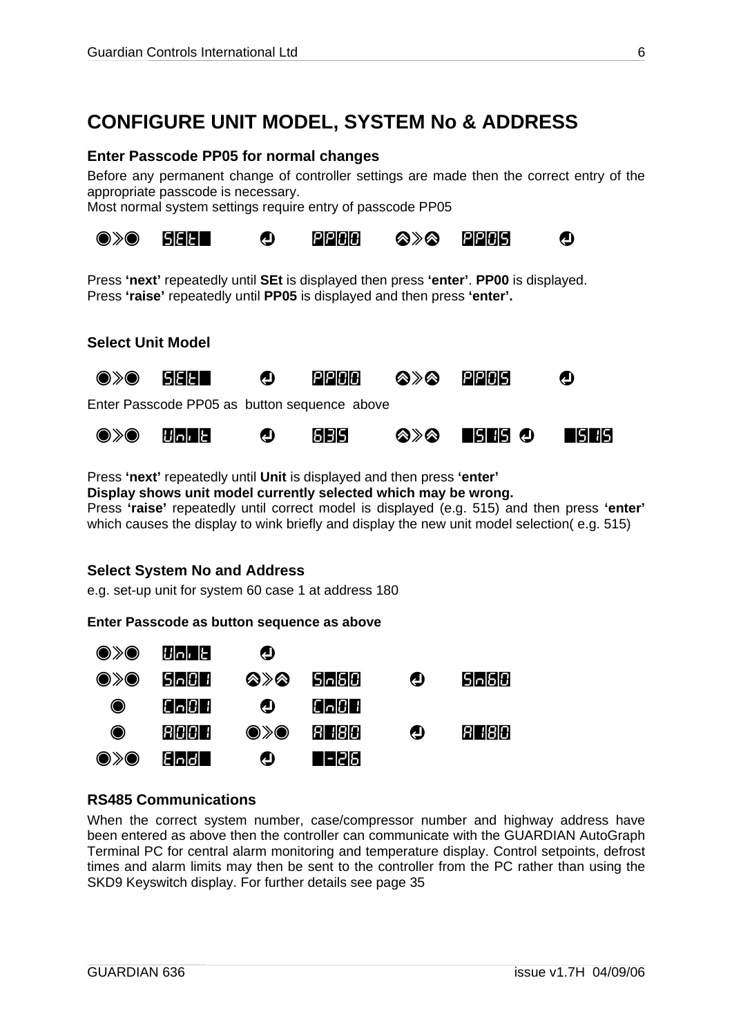### <span id="page-5-0"></span>**CONFIGURE UNIT MODEL, SYSTEM No & ADDRESS**

#### **Enter Passcode PP05 for normal changes**

Before any permanent change of controller settings are made then the correct entry of the appropriate passcode is necessary.

Most normal system settings require entry of passcode PP05



Press **'next'** repeatedly until **SEt** is displayed then press **'enter'**. **PP00** is displayed. Press **'raise'** repeatedly until **PP05** is displayed and then press **'enter'.** 

#### **Select Unit Model**



Press **'next'** repeatedly until **Unit** is displayed and then press **'enter' Display shows unit model currently selected which may be wrong.** 

Press **'raise'** repeatedly until correct model is displayed (e.g. 515) and then press **'enter'**  which causes the display to wink briefly and display the new unit model selection( e.g. 515)

#### **Select System No and Address**

e.g. set-up unit for system 60 case 1 at address 180

**Enter Passcode as button sequence as above** 



#### **RS485 Communications**

When the correct system number, case/compressor number and highway address have been entered as above then the controller can communicate with the GUARDIAN AutoGraph Terminal PC for central alarm monitoring and temperature display. Control setpoints, defrost times and alarm limits may then be sent to the controller from the PC rather than using the SKD9 Keyswitch display. For further details see page [35](#page-34-1)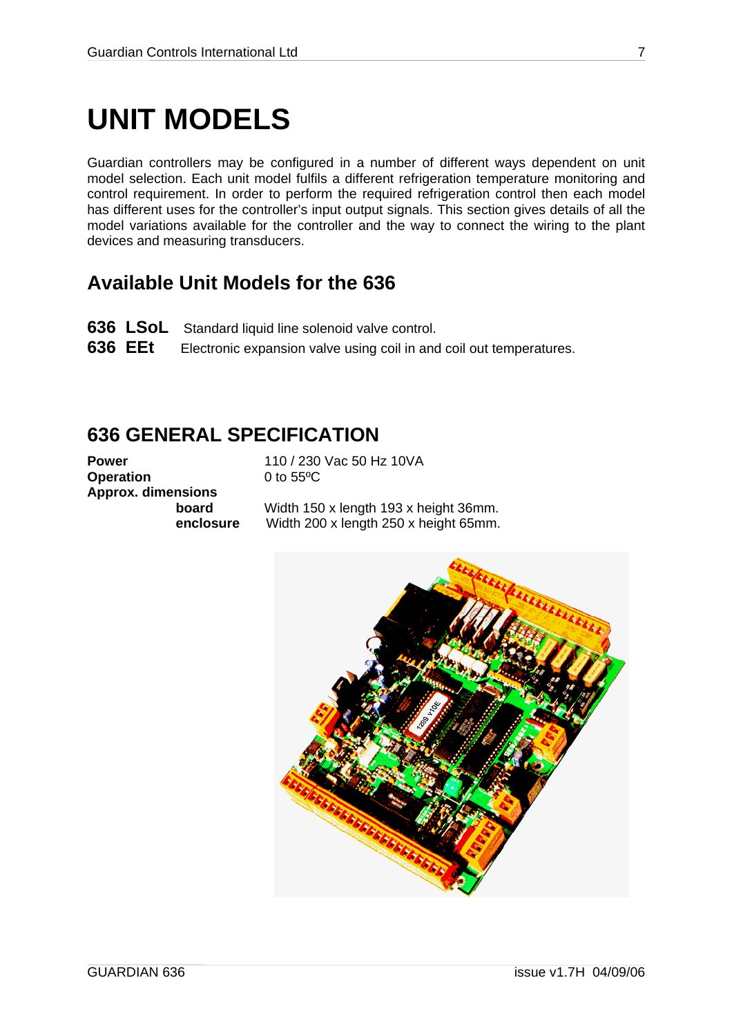## <span id="page-6-0"></span>**UNIT MODELS**

Guardian controllers may be configured in a number of different ways dependent on unit model selection. Each unit model fulfils a different refrigeration temperature monitoring and control requirement. In order to perform the required refrigeration control then each model has different uses for the controller's input output signals. This section gives details of all the model variations available for the controller and the way to connect the wiring to the plant devices and measuring transducers.

### **Available Unit Models for the 636**

- **636 LSoL** Standard liquid line solenoid valve control.
- **636 EEt** Electronic expansion valve using coil in and coil out temperatures.

### **636 GENERAL SPECIFICATION**

**Operation** 0 to 55<sup>o</sup>C **Approx. dimensions**

**Power** 110 / 230 Vac 50 Hz 10 VA

 **board** Width 150 x length 193 x height 36mm. **enclosure** Width 200 x length 250 x height 65mm.

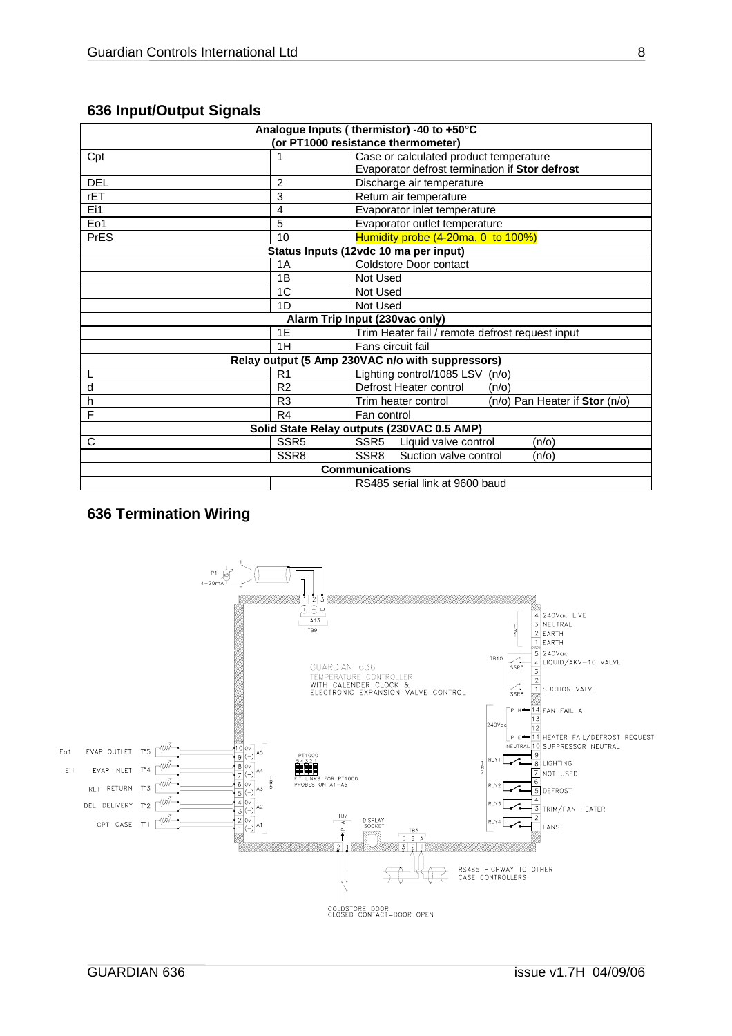| Analogue Inputs (thermistor) -40 to +50°C |                                    |                                                       |  |  |  |
|-------------------------------------------|------------------------------------|-------------------------------------------------------|--|--|--|
|                                           | (or PT1000 resistance thermometer) |                                                       |  |  |  |
| Cpt                                       | 1                                  | Case or calculated product temperature                |  |  |  |
|                                           |                                    | Evaporator defrost termination if Stor defrost        |  |  |  |
| <b>DEL</b>                                | 2                                  | Discharge air temperature                             |  |  |  |
| rET                                       | 3                                  | Return air temperature                                |  |  |  |
| Ei1                                       | 4                                  | Evaporator inlet temperature                          |  |  |  |
| Eo1                                       | 5                                  | Evaporator outlet temperature                         |  |  |  |
| <b>PrES</b>                               | 10                                 | Humidity probe (4-20ma, 0 to 100%)                    |  |  |  |
|                                           |                                    | Status Inputs (12vdc 10 ma per input)                 |  |  |  |
|                                           | 1A                                 | Coldstore Door contact                                |  |  |  |
|                                           | 1B                                 | Not Used                                              |  |  |  |
|                                           | 1C                                 | Not Used                                              |  |  |  |
|                                           | 1D                                 | Not Used                                              |  |  |  |
| Alarm Trip Input (230vac only)            |                                    |                                                       |  |  |  |
|                                           | 1E                                 | Trim Heater fail / remote defrost request input       |  |  |  |
|                                           | 1H                                 | Fans circuit fail                                     |  |  |  |
|                                           |                                    | Relay output (5 Amp 230VAC n/o with suppressors)      |  |  |  |
|                                           | R <sub>1</sub>                     | Lighting control/1085 LSV<br>(n/o)                    |  |  |  |
| d                                         | R <sub>2</sub>                     | Defrost Heater control<br>$(n/\sigma)$                |  |  |  |
| h                                         | R <sub>3</sub>                     | (n/o) Pan Heater if Stor (n/o)<br>Trim heater control |  |  |  |
| F                                         | R <sub>4</sub>                     | Fan control                                           |  |  |  |
|                                           |                                    | Solid State Relay outputs (230VAC 0.5 AMP)            |  |  |  |
| C                                         | SSR <sub>5</sub>                   | SSR <sub>5</sub><br>Liquid valve control<br>(n/o)     |  |  |  |
|                                           | SSR <sub>8</sub>                   | SSR <sub>8</sub><br>Suction valve control<br>(n/o)    |  |  |  |
| <b>Communications</b>                     |                                    |                                                       |  |  |  |
| RS485 serial link at 9600 baud            |                                    |                                                       |  |  |  |

### <span id="page-7-0"></span>**636 Input/Output Signals**

### **636 Termination Wiring**

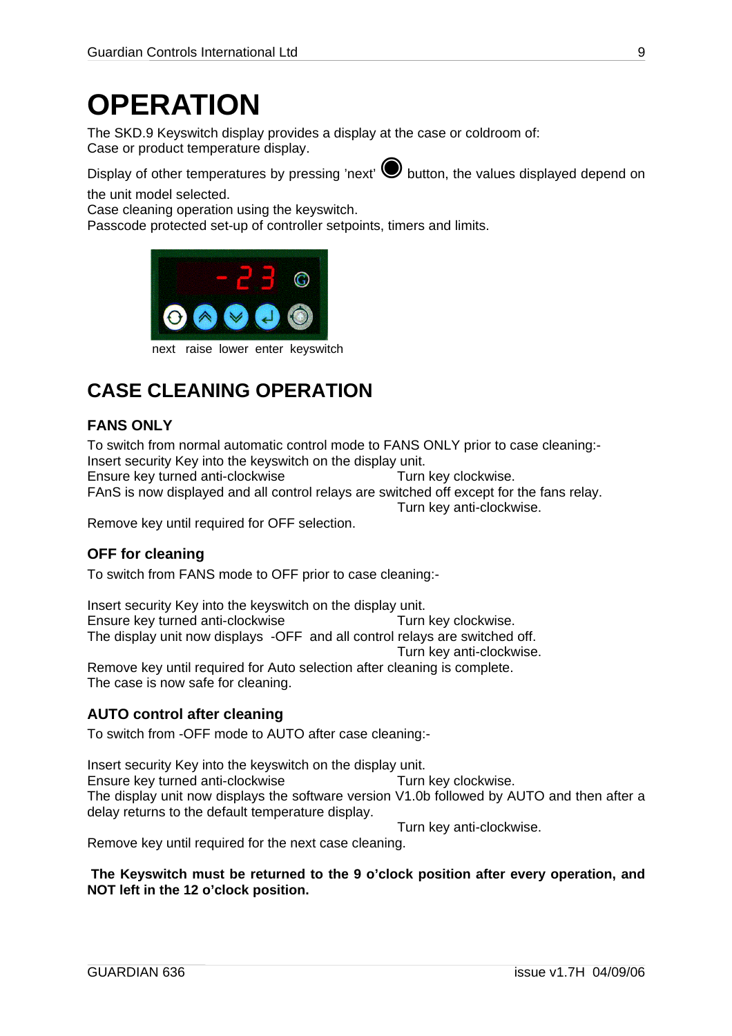## <span id="page-8-0"></span>**OPERATION**

The SKD.9 Keyswitch display provides a display at the case or coldroom of: Case or product temperature display.

Display of other temperatures by pressing 'next' **We button**, the values displayed depend on

the unit model selected.

Case cleaning operation using the keyswitch.

Passcode protected set-up of controller setpoints, timers and limits.



next raise lower enter keyswitch

### **CASE CLEANING OPERATION**

### <span id="page-8-1"></span>**FANS ONLY**

To switch from normal automatic control mode to FANS ONLY prior to case cleaning:- Insert security Key into the keyswitch on the display unit. Ensure key turned anti-clockwise Turn key clockwise. FAnS is now displayed and all control relays are switched off except for the fans relay.

Turn key anti-clockwise.

Remove key until required for OFF selection.

### <span id="page-8-2"></span>**OFF for cleaning**

To switch from FANS mode to OFF prior to case cleaning:-

Insert security Key into the keyswitch on the display unit. Ensure key turned anti-clockwise Turn key clockwise. The display unit now displays -OFF and all control relays are switched off. Turn key anti-clockwise. Remove key until required for Auto selection after cleaning is complete. The case is now safe for cleaning.

### <span id="page-8-3"></span>**AUTO control after cleaning**

To switch from -OFF mode to AUTO after case cleaning:-

Insert security Key into the keyswitch on the display unit. Ensure key turned anti-clockwise Turn key clockwise. The display unit now displays the software version V1.0b followed by AUTO and then after a delay returns to the default temperature display.

Turn key anti-clockwise. Remove key until required for the next case cleaning.

#### **The Keyswitch must be returned to the 9 o'clock position after every operation, and NOT left in the 12 o'clock position.**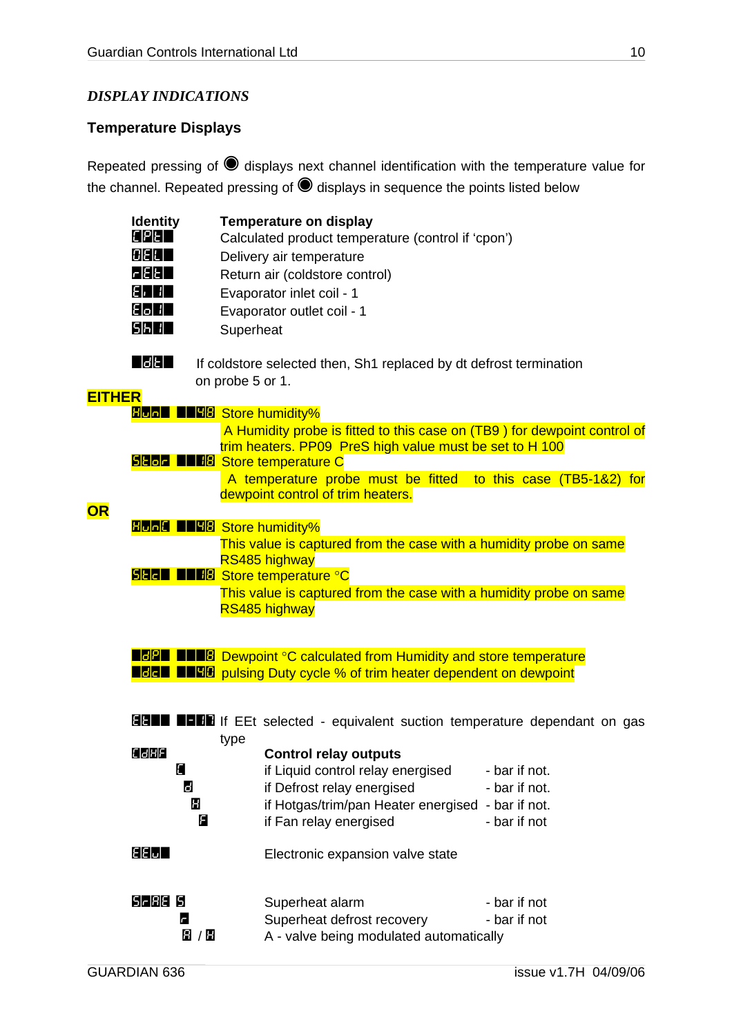### <span id="page-9-0"></span>*DISPLAY INDICATIONS*

### **Temperature Displays**

Repeated pressing of @ displays next channel identification with the temperature value for the channel. Repeated pressing of @ displays in sequence the points listed below

|               | <b>Identity</b><br>EPE<br>$G$ E E $\Pi$ |                  | <b>Temperature on display</b><br>Calculated product temperature (control if 'cpon')<br>Delivery air temperature                     |               |
|---------------|-----------------------------------------|------------------|-------------------------------------------------------------------------------------------------------------------------------------|---------------|
|               | 1 EE E                                  |                  |                                                                                                                                     |               |
|               |                                         |                  | Return air (coldstore control)                                                                                                      |               |
|               | E JE 1                                  |                  | Evaporator inlet coil - 1                                                                                                           |               |
|               | E 6 1 1                                 |                  | Evaporator outlet coil - 1                                                                                                          |               |
|               | <b>SHIL</b>                             | Superheat        |                                                                                                                                     |               |
|               | $ d$ E $ $                              |                  | If coldstore selected then, Sh1 replaced by dt defrost termination                                                                  |               |
|               |                                         | on probe 5 or 1. |                                                                                                                                     |               |
| <b>EITHER</b> |                                         |                  |                                                                                                                                     |               |
|               | <b>Hund DEHA</b> Store humidity%        |                  |                                                                                                                                     |               |
|               |                                         |                  | A Humidity probe is fitted to this case on (TB9) for dewpoint control of<br>trim heaters. PP09 PreS high value must be set to H 100 |               |
|               |                                         |                  | <b>SHOLE THE Store temperature C</b>                                                                                                |               |
|               |                                         |                  | A temperature probe must be fitted to this case (TB5-1&2) for                                                                       |               |
| <b>OR</b>     |                                         |                  | dewpoint control of trim heaters.                                                                                                   |               |
|               | <b>Hone IIGG</b> Store humidity%        |                  |                                                                                                                                     |               |
|               |                                         |                  | This value is captured from the case with a humidity probe on same                                                                  |               |
|               |                                         |                  | RS485 highway                                                                                                                       |               |
|               |                                         |                  | <b>SHALLER'S Store temperature °C</b>                                                                                               |               |
|               |                                         |                  | This value is captured from the case with a humidity probe on same                                                                  |               |
|               |                                         |                  | RS485 highway                                                                                                                       |               |
|               |                                         |                  |                                                                                                                                     |               |
|               |                                         |                  | <b>HEEF THE Dewpoint °C calculated from Humidity and store temperature</b>                                                          |               |
|               |                                         |                  | <b>HEER THE PULSING Duty cycle % of trim heater dependent on dewpoint</b>                                                           |               |
|               |                                         |                  |                                                                                                                                     |               |
|               | EE T                                    |                  | <b>LEB</b> If EEt selected - equivalent suction temperature dependant on gas                                                        |               |
|               |                                         | type             |                                                                                                                                     |               |
|               | <b>CIJHFI</b>                           |                  | <b>Control relay outputs</b>                                                                                                        |               |
|               | 8                                       |                  | if Liquid control relay energised                                                                                                   | - bar if not. |
|               | 8                                       |                  | if Defrost relay energised                                                                                                          | - bar if not. |
|               | Ш                                       |                  | if Hotgas/trim/pan Heater energised - bar if not.                                                                                   |               |
|               |                                         | Я                | if Fan relay energised                                                                                                              | - bar if not  |
|               |                                         |                  |                                                                                                                                     |               |
|               | $\epsilon$ e $\omega$                   |                  | Electronic expansion valve state                                                                                                    |               |
|               | <b>S-88 5</b>                           |                  |                                                                                                                                     |               |
|               |                                         |                  | Superheat alarm                                                                                                                     | - bar if not  |
|               | c                                       |                  | Superheat defrost recovery                                                                                                          | - bar if not  |
|               | 8 / 8                                   |                  | A - valve being modulated automatically                                                                                             |               |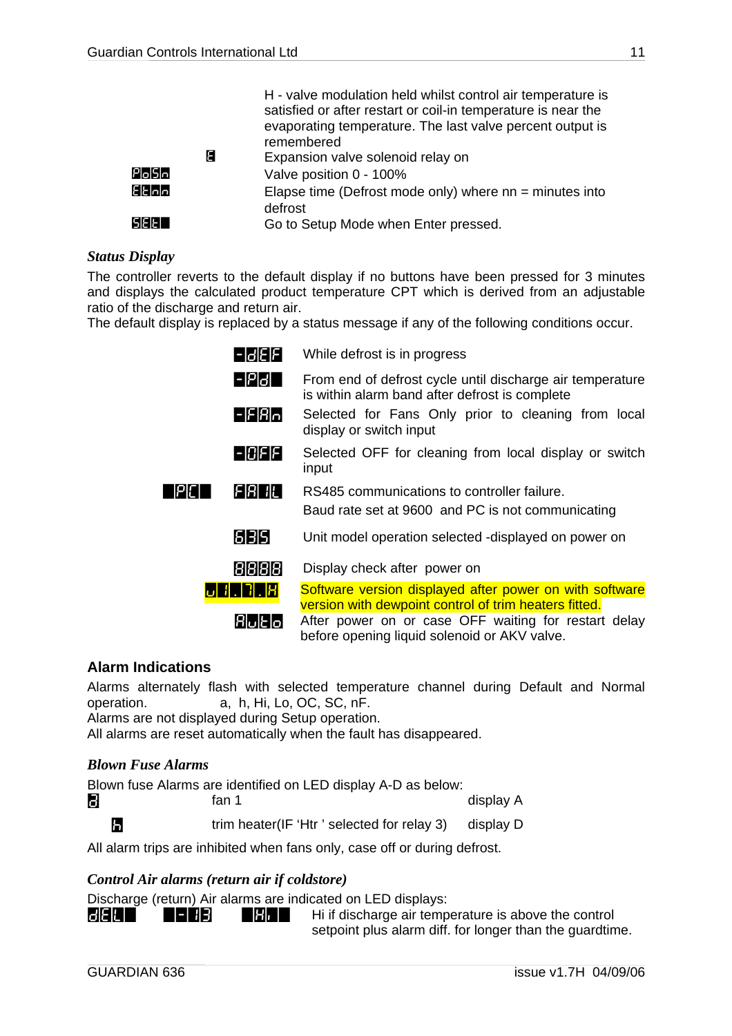<span id="page-10-0"></span>

|        | Е | H - valve modulation held whilst control air temperature is<br>satisfied or after restart or coil-in temperature is near the<br>evaporating temperature. The last valve percent output is<br>remembered<br>Expansion valve solenoid relay on |
|--------|---|----------------------------------------------------------------------------------------------------------------------------------------------------------------------------------------------------------------------------------------------|
| Posh   |   | Valve position 0 - 100%                                                                                                                                                                                                                      |
| Elalo  |   | Elapse time (Defrost mode only) where $nn = minutes$ into                                                                                                                                                                                    |
|        |   | defrost                                                                                                                                                                                                                                      |
| SEET 1 |   | Go to Setup Mode when Enter pressed.                                                                                                                                                                                                         |

#### <span id="page-10-1"></span>*Status Display*

The controller reverts to the default display if no buttons have been pressed for 3 minutes and displays the calculated product temperature CPT which is derived from an adjustable ratio of the discharge and return air.

The default display is replaced by a status message if any of the following conditions occur.

| 1-131E F    | While defrost is in progress                                                                                                                                  |
|-------------|---------------------------------------------------------------------------------------------------------------------------------------------------------------|
| - P6        | From end of defrost cycle until discharge air temperature<br>is within alarm band after defrost is complete                                                   |
| $-EBn$      | Selected for Fans Only prior to cleaning from local<br>display or switch input                                                                                |
| 8 3 3 1 2 1 | Selected OFF for cleaning from local display or switch<br>input                                                                                               |
| F181 11L1   | RS485 communications to controller failure.<br>Baud rate set at 9600 and PC is not communicating                                                              |
| 613151      | Unit model operation selected -displayed on power on                                                                                                          |
| 8888        | Display check after power on                                                                                                                                  |
|             | Software version displayed after power on with software                                                                                                       |
| Rlultlol    | version with dewpoint control of trim heaters fitted.<br>After power on or case OFF waiting for restart delay<br>before opening liquid solenoid or AKV valve. |

#### **Alarm Indications**

Alarms alternately flash with selected temperature channel during Default and Normal operation. a, h, Hi, Lo, OC, SC, nF.

Alarms are not displayed during Setup operation.

All alarms are reset automatically when the fault has disappeared.

#### *Blown Fuse Alarms*

Blown fuse Alarms are identified on LED display A-D as below: a fan 1 display A **h** trim heater(IF 'Htr' selected for relay 3) display D

All alarm trips are inhibited when fans only, case off or during defrost.

#### *Control Air alarms (return air if coldstore)*

Discharge (return) Air alarms are indicated on LED displays:

 $\mathbf{H}$   $\mathbf{H}$   $\mathbf{H}$   $\mathbf{H}$   $\mathbf{H}$   $\mathbf{H}$   $\mathbf{H}$  Hi if discharge air temperature is above the control setpoint plus alarm diff. for longer than the guardtime.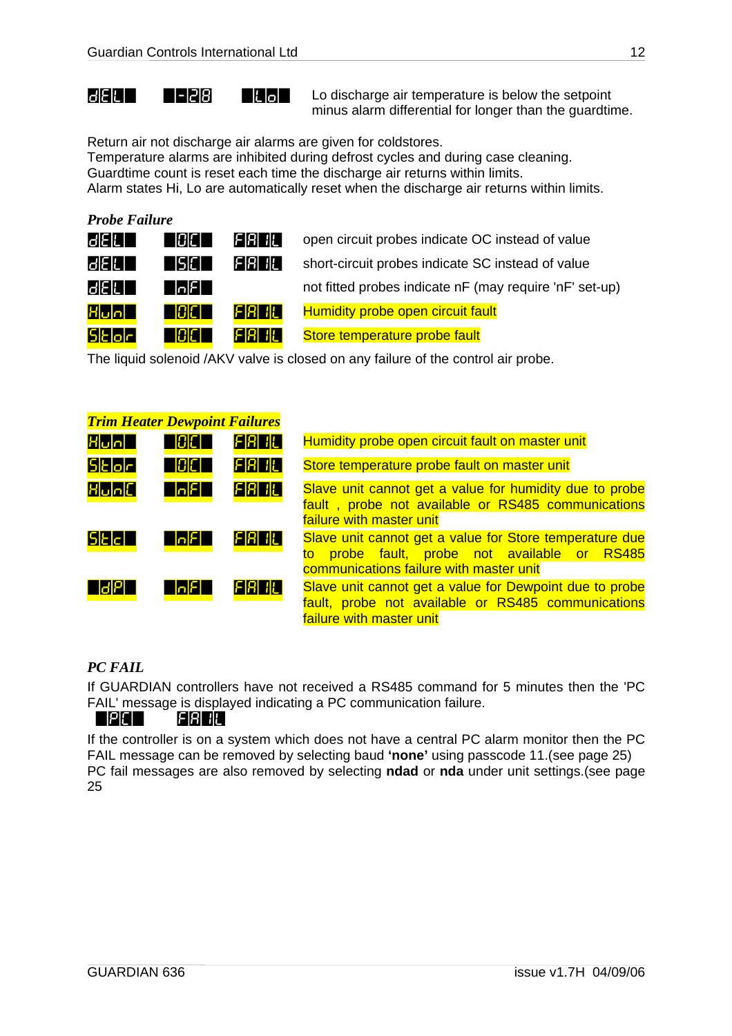$\mathbf{E}$   $\mathbf{E}$   $\mathbf{E}$   $\mathbf{E}$   $\mathbf{E}$   $\mathbf{E}$   $\mathbf{E}$   $\mathbf{E}$  Lo discharge air temperature is below the setpoint minus alarm differential for longer than the guardtime.

Return air not discharge air alarms are given for coldstores.

Temperature alarms are inhibited during defrost cycles and during case cleaning. Guardtime count is reset each time the discharge air returns within limits.

Alarm states Hi, Lo are automatically reset when the discharge air returns within limits.

### *Probe Failure*

| 1312 E           | IAIF L | FRI 11. I | open circuit probes indicate OC instead of value        |
|------------------|--------|-----------|---------------------------------------------------------|
| 13 E C           | 15IC L | FRI ILI   | short-circuit probes indicate SC instead of value       |
| 1312 E           | IolEL. |           | not fitted probes indicate nF (may require 'nF' set-up) |
| Hun              | 18C T  | FRHL      | <b>Humidity probe open circuit fault</b>                |
| <b>ISIEIoIri</b> | IAICL. | FREE I    | Store temperature probe fault                           |

The liquid solenoid /AKV valve is closed on any failure of the control air probe.

| <b>Trim Heater Dewpoint Failures</b> |                          |         |                                                                                                                                                    |
|--------------------------------------|--------------------------|---------|----------------------------------------------------------------------------------------------------------------------------------------------------|
| Hun                                  | n Bien                   | FRI ILI | Humidity probe open circuit fault on master unit                                                                                                   |
| <b>SEOF</b>                          | n Bienn                  | FREE    | Store temperature probe fault on master unit                                                                                                       |
| HunE                                 | <b>Vagl</b>              | FRI ILI | Slave unit cannot get a value for humidity due to probe<br>fault, probe not available or RS485 communications<br>failure with master unit          |
| SEET                                 | <b>RAFT</b>              | FRHL    | Slave unit cannot get a value for Store temperature due<br>to probe fault, probe not available or RS485<br>communications failure with master unit |
| <b>NBL</b>                           | $\overline{\phantom{a}}$ | FRI ILI | Slave unit cannot get a value for Dewpoint due to probe<br>fault, probe not available or RS485 communications<br>failure with master unit          |

### *PC FAIL*

If GUARDIAN controllers have not received a RS485 command for 5 minutes then the 'PC FAIL' message is displayed indicating a PC communication failure.

#### $=$  PC  $=$  FREE.

If the controller is on a system which does not have a central PC alarm monitor then the PC FAIL message can be removed by selecting baud **'none'** using passcode 11.(see page 25) PC fail messages are also removed by selecting **ndad** or **nda** under unit settings.(see page 25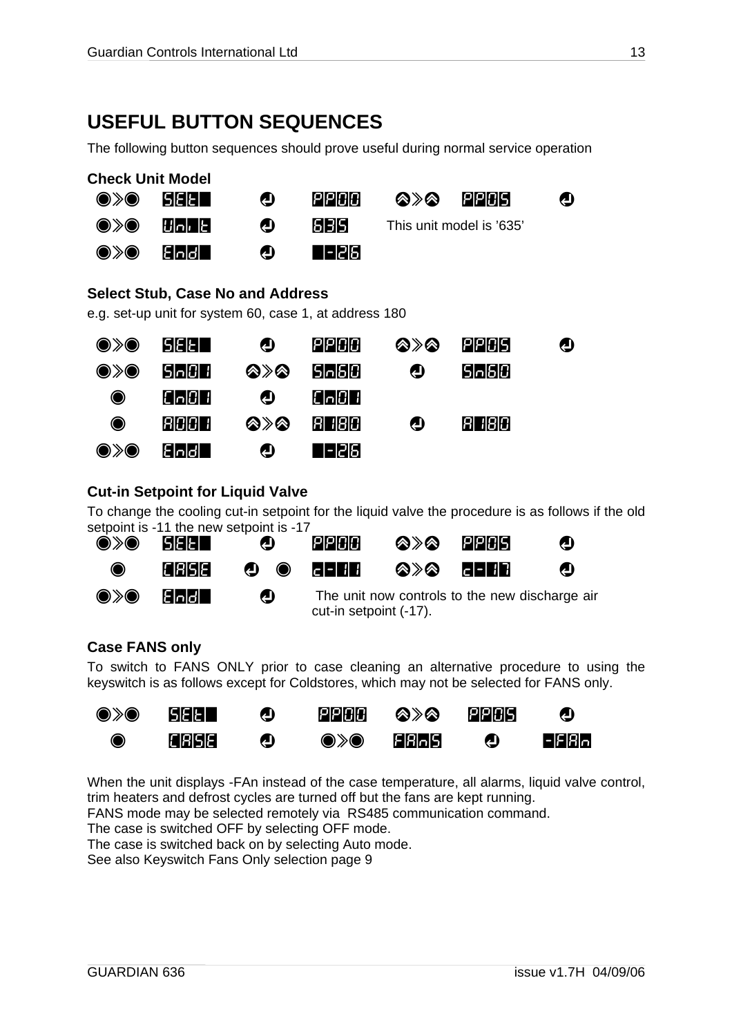### <span id="page-12-0"></span>**USEFUL BUTTON SEQUENCES**

The following button sequences should prove useful during normal service operation

| <b>Check Unit Model</b>                                                                       |                                            |                                                                                                   |                |     |                          |   |
|-----------------------------------------------------------------------------------------------|--------------------------------------------|---------------------------------------------------------------------------------------------------|----------------|-----|--------------------------|---|
| )>@                                                                                           | <b>SEET</b>                                | $\boldsymbol{\Phi}$                                                                               | PPOO           | ⊗≫⊗ | 1212131                  | ❹ |
| $\textcolor{blue}{\bullet}\textcolor{blue}{\textbf{\textbackslash}}\textcolor{blue}{\bullet}$ | انا رامانا                                 | ❹                                                                                                 | 613151         |     | This unit model is '635' |   |
| $\textcircled{\scriptsize\char'42}$                                                           | Eloldl                                     | ❹                                                                                                 | 1-12151        |     |                          |   |
|                                                                                               |                                            | <b>Select Stub, Case No and Address</b><br>e.g. set-up unit for system 60, case 1, at address 180 |                |     |                          |   |
| )》(                                                                                           | SIEIET                                     | ❹                                                                                                 | PPCC           | ⊗≫⊗ | <b>PPDS</b>              | ❹ |
| $\textcircled{\scriptsize\char'42} \blacklozenge$                                             | ISIn101 1                                  | ⊗≫⊗                                                                                               | S n 6 0        | ❹   | S n 6 0                  |   |
| 0                                                                                             | $[ \lceil \cdot   \lceil \cdot   \rceil ]$ | ❹                                                                                                 | $[C \cup C]$ : |     |                          |   |
| ◉                                                                                             | 800 T                                      | ⊗≫⊗                                                                                               | 81 18131       | ❹   | 780<br>RI                |   |
|                                                                                               | العاصا                                     | ❹                                                                                                 | -12161         |     |                          |   |
|                                                                                               |                                            |                                                                                                   |                |     |                          |   |

#### **Cut-in Setpoint for Liquid Valve**

To change the cooling cut-in setpoint for the liquid valve the procedure is as follows if the old setpoint is -11 the new setpoint is -17

| $\textcircled{\scriptsize\bullet}\times\textcircled{\scriptsize\bullet}$ | SEET          | ❹              | PPCC                                              | ☎≫☎ | PPCS                                           |              |
|--------------------------------------------------------------------------|---------------|----------------|---------------------------------------------------|-----|------------------------------------------------|--------------|
| $\bullet$                                                                | <b>CRISIE</b> |                | $\bullet$ $\bullet$ $\bullet$ $\bullet$ $\bullet$ | ⊗≫⊗ | <b>PERTITI</b>                                 | $\mathbf{A}$ |
| $\textcircled{\rightharpoonup} \textcircled{\rightharpoonup}$            | Eloldl I      | $\blacksquare$ | cut-in setpoint (-17).                            |     | The unit now controls to the new discharge air |              |

### **Case FANS only**

To switch to FANS ONLY prior to case cleaning an alternative procedure to using the keyswitch is as follows except for Coldstores, which may not be selected for FANS only.

| $\textcircled{\scriptsize\ast}$ | SEET         | $\mathbf{D}$ | PPOO                                                                     | ⊗≫⊗                      | PPCS       | ❹          |
|---------------------------------|--------------|--------------|--------------------------------------------------------------------------|--------------------------|------------|------------|
| $\bullet$                       | <b>CRISE</b> | $\bullet$    | $\textcircled{\scriptsize\bullet}\times\textcircled{\scriptsize\bullet}$ | <b>FR</b> <sub>D</sub> S | $\bigcirc$ | $ F$ $R_0$ |

When the unit displays -FAn instead of the case temperature, all alarms, liquid valve control, trim heaters and defrost cycles are turned off but the fans are kept running.

FANS mode may be selected remotely via RS485 communication command.

The case is switched OFF by selecting OFF mode.

The case is switched back on by selecting Auto mode.

See also Keyswitch Fans Only selection page [9](#page-8-1)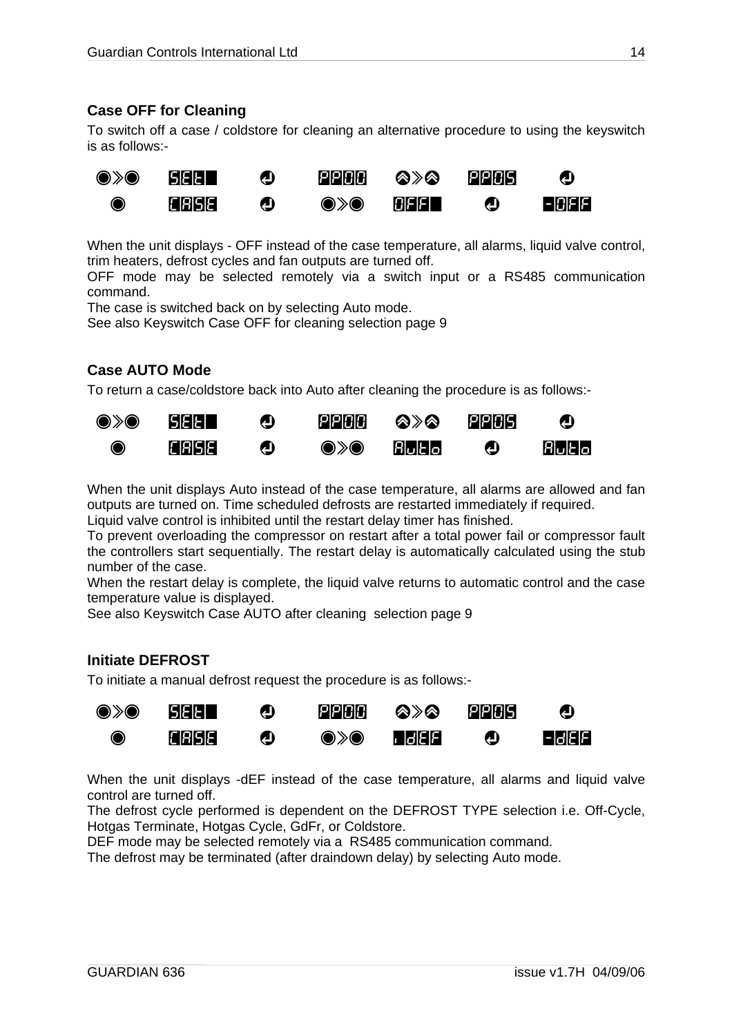#### <span id="page-13-0"></span>**Case OFF for Cleaning**

To switch off a case / coldstore for cleaning an alternative procedure to using the keyswitch is as follows:-



When the unit displays - OFF instead of the case temperature, all alarms, liquid valve control, trim heaters, defrost cycles and fan outputs are turned off.

OFF mode may be selected remotely via a switch input or a RS485 communication command.

The case is switched back on by selecting Auto mode.

See also Keyswitch Case OFF for cleaning selection page [9](#page-8-2) 

#### **Case AUTO Mode**

To return a case/coldstore back into Auto after cleaning the procedure is as follows:-



When the unit displays Auto instead of the case temperature, all alarms are allowed and fan outputs are turned on. Time scheduled defrosts are restarted immediately if required.

Liquid valve control is inhibited until the restart delay timer has finished.

To prevent overloading the compressor on restart after a total power fail or compressor fault the controllers start sequentially. The restart delay is automatically calculated using the stub number of the case.

When the restart delay is complete, the liquid valve returns to automatic control and the case temperature value is displayed.

See also Keyswitch Case AUTO after cleaning selection page [9](#page-8-3) 

#### **Initiate DEFROST**

To initiate a manual defrost request the procedure is as follows:-



When the unit displays -dEF instead of the case temperature, all alarms and liquid valve control are turned off.

The defrost cycle performed is dependent on the DEFROST TYPE selection i.e. Off-Cycle, Hotgas Terminate, Hotgas Cycle, GdFr, or Coldstore.

DEF mode may be selected remotely via a RS485 communication command.

The defrost may be terminated (after draindown delay) by selecting Auto mode.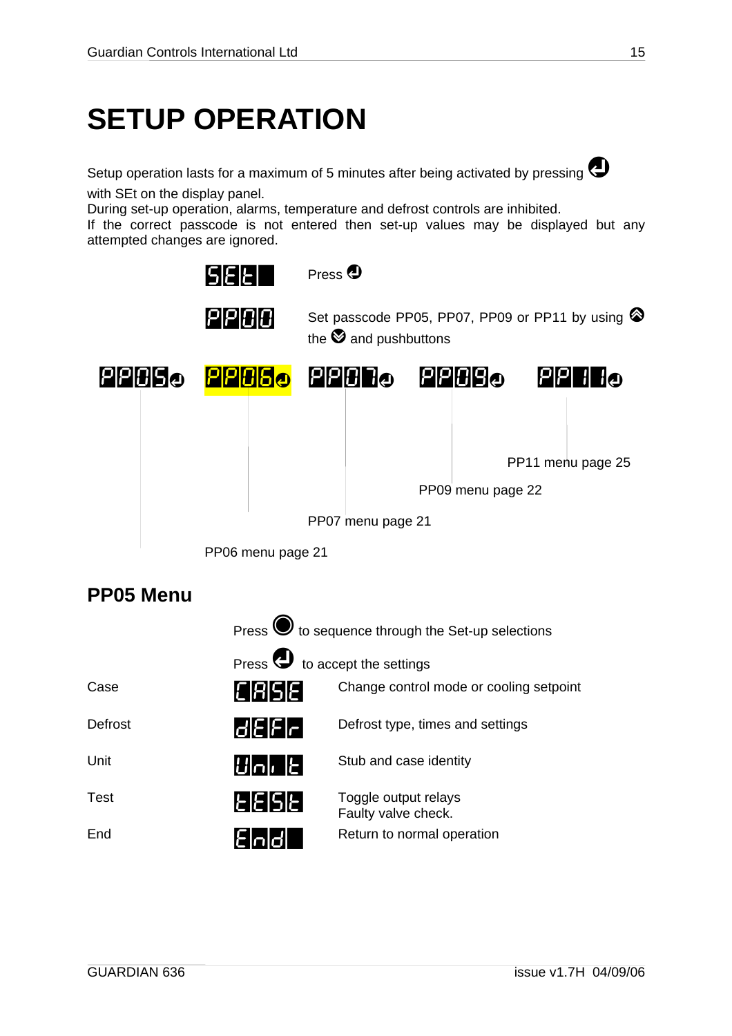## <span id="page-14-0"></span>**SETUP OPERATION**

Setup operation lasts for a maximum of 5 minutes after being activated by pressing  $\bigodot$ with SEt on the display panel.

During set-up operation, alarms, temperature and defrost controls are inhibited.

If the correct passcode is not entered then set-up values may be displayed but any attempted changes are ignored.



### **PP05 Menu**

|         | Press $\bigcirc$ to sequence through the Set-up selections |                                             |  |  |  |
|---------|------------------------------------------------------------|---------------------------------------------|--|--|--|
|         | Press <b>U</b> to accept the settings                      |                                             |  |  |  |
| Case    | CRISE                                                      | Change control mode or cooling setpoint     |  |  |  |
| Defrost | d E F r                                                    | Defrost type, times and settings            |  |  |  |
| Unit    | $ U $ n $\left\lceil \frac{1}{L} \right\rceil$             | Stub and case identity                      |  |  |  |
| Test    | <u>EESEI</u>                                               | Toggle output relays<br>Faulty valve check. |  |  |  |
| End     |                                                            | Return to normal operation                  |  |  |  |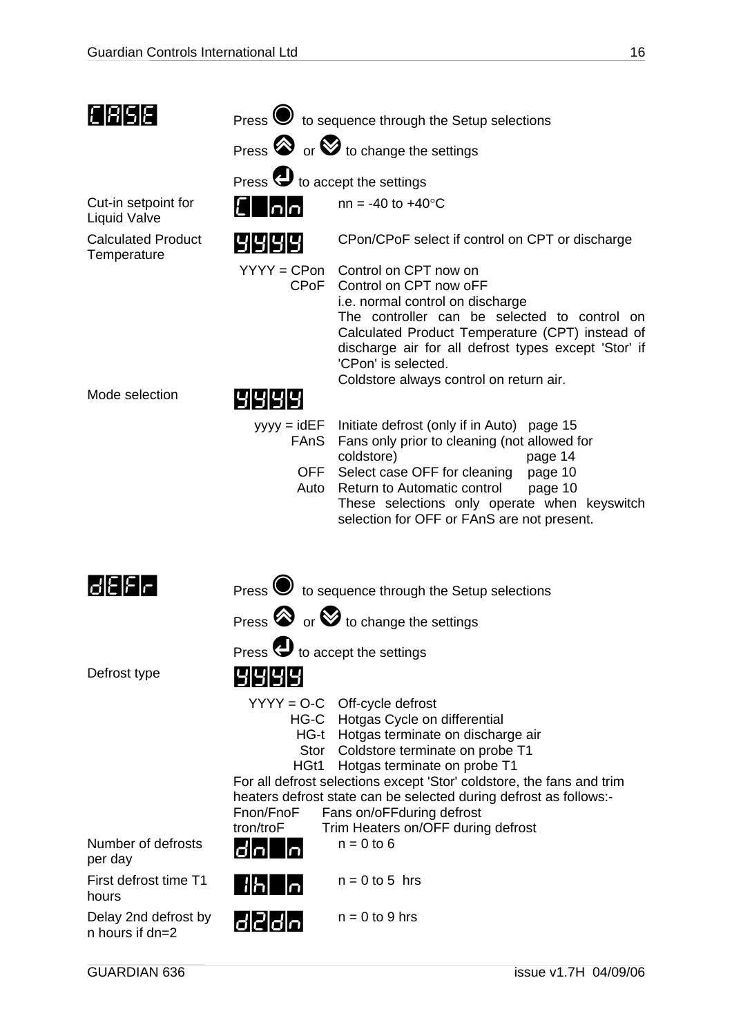| E 85E                                      |                                          | Press $\bigcirc$ to sequence through the Setup selections                                                                                                                                                                                                                                                                                                                                         |
|--------------------------------------------|------------------------------------------|---------------------------------------------------------------------------------------------------------------------------------------------------------------------------------------------------------------------------------------------------------------------------------------------------------------------------------------------------------------------------------------------------|
|                                            |                                          | Press $\bigotimes$ or $\bigotimes$ to change the settings                                                                                                                                                                                                                                                                                                                                         |
|                                            | Press $\bigoplus$ to accept the settings |                                                                                                                                                                                                                                                                                                                                                                                                   |
| Cut-in setpoint for<br><b>Liquid Valve</b> | lolo                                     | $nn = -40$ to $+40^{\circ}C$                                                                                                                                                                                                                                                                                                                                                                      |
| <b>Calculated Product</b><br>Temperature   | 1919191                                  | CPon/CPoF select if control on CPT or discharge                                                                                                                                                                                                                                                                                                                                                   |
|                                            | CPOF                                     | YYYY = CPon Control on CPT now on<br>Control on CPT now oFF<br>i.e. normal control on discharge<br>The controller can be selected to control on<br>Calculated Product Temperature (CPT) instead of<br>discharge air for all defrost types except 'Stor' if<br>'CPon' is selected.<br>Coldstore always control on return air.                                                                      |
| Mode selection                             |                                          |                                                                                                                                                                                                                                                                                                                                                                                                   |
|                                            | <b>FAnS</b><br>OFF<br>Auto               | yyyy = idEF Initiate defrost (only if in Auto) page 15<br>Fans only prior to cleaning (not allowed for<br>coldstore)<br>page 14<br>Select case OFF for cleaning<br>page 10<br>Return to Automatic control<br>page 10<br>These selections only operate when keyswitch<br>selection for OFF or FAnS are not present.                                                                                |
| GEEF                                       |                                          | Press $\bullet$ to sequence through the Setup selections                                                                                                                                                                                                                                                                                                                                          |
|                                            |                                          | Press $\bigotimes$ or $\bigotimes$ to change the settings                                                                                                                                                                                                                                                                                                                                         |
|                                            | Press $\bigoplus$ to accept the settings |                                                                                                                                                                                                                                                                                                                                                                                                   |
| Defrost type                               | 191919                                   |                                                                                                                                                                                                                                                                                                                                                                                                   |
|                                            | Stor<br>HGt1<br>Fnon/FnoF<br>tron/troF   | $YYYY = O-C$ Off-cycle defrost<br>HG-C Hotgas Cycle on differential<br>HG-t Hotgas terminate on discharge air<br>Coldstore terminate on probe T1<br>Hotgas terminate on probe T1<br>For all defrost selections except 'Stor' coldstore, the fans and trim<br>heaters defrost state can be selected during defrost as follows:-<br>Fans on/oFFduring defrost<br>Trim Heaters on/OFF during defrost |
| Number of defrosts<br>per day              |                                          | $n = 0$ to 6                                                                                                                                                                                                                                                                                                                                                                                      |
| First defrost time T1<br>hours             | <u>  H   n</u>                           | $n = 0$ to 5 hrs                                                                                                                                                                                                                                                                                                                                                                                  |
| Delay 2nd defrost by<br>n hours if dn=2    | d 2 d n                                  | $n = 0$ to 9 hrs                                                                                                                                                                                                                                                                                                                                                                                  |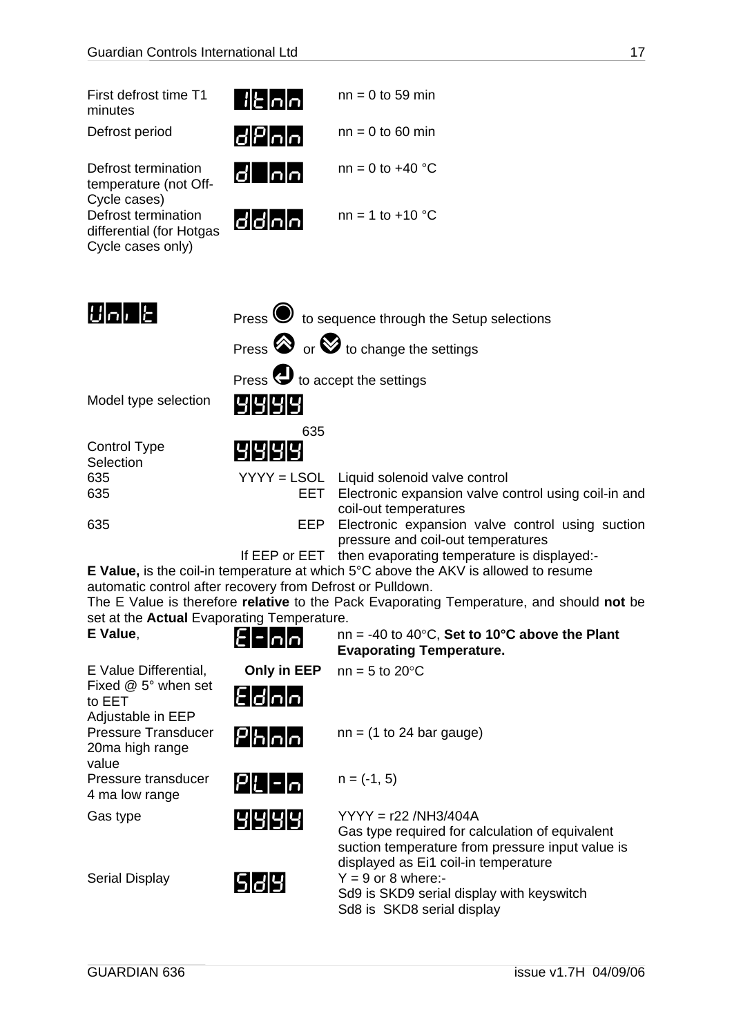<span id="page-16-0"></span>

| First defrost time T1<br>minutes                                     | ∐ ⊱ ∩ ∩                                             | $nn = 0$ to 59 min                                                                     |
|----------------------------------------------------------------------|-----------------------------------------------------|----------------------------------------------------------------------------------------|
| Defrost period                                                       | d P n n                                             | $nn = 0$ to 60 min                                                                     |
| Defrost termination<br>temperature (not Off-<br>Cycle cases)         | <u>d nn</u>                                         | $nn = 0$ to $+40$ °C                                                                   |
| Defrost termination<br>differential (for Hotgas<br>Cycle cases only) | d d n n                                             | $nn = 1 to +10 °C$                                                                     |
|                                                                      |                                                     |                                                                                        |
| اعل رامانا                                                           |                                                     | Press $\bigcirc$ to sequence through the Setup selections                              |
|                                                                      |                                                     | Press $\bigotimes$ or $\bigotimes$ to change the settings                              |
|                                                                      | Press $\bigoplus$ to accept the settings            |                                                                                        |
| Model type selection                                                 | 1919191                                             |                                                                                        |
|                                                                      | 635                                                 |                                                                                        |
| <b>Control Type</b><br>Selection                                     | 1919191                                             |                                                                                        |
| 635                                                                  |                                                     | YYYY = LSOL Liquid solenoid valve control                                              |
| 635                                                                  | EET                                                 | Electronic expansion valve control using coil-in and<br>coil-out temperatures          |
| 635                                                                  | EEP                                                 | Electronic expansion valve control using suction<br>pressure and coil-out temperatures |
|                                                                      | If $\Gamma\Gamma\Gamma\sim\Gamma\Gamma\Gamma\Gamma$ | than overageting tamparature is displayed.                                             |

If EEP or EET then evaporating temperature is displayed:- **E Value,** is the coil-in temperature at which 5°C above the AKV is allowed to resume automatic control after recovery from Defrost or Pulldown.

The E Value is therefore **relative** to the Pack Evaporating Temperature, and should **not** be set at the **Actual** Evaporating Temperature.<br> **EXALLE** PRIME **E Value**, E-nn nn = -40 to 40°C, **Set to 10°C above the Plant** 

| L valut.                                               | ص ص =  ع                                   | $\ln 1 = -40$ to $40$ C, set to TV C above the Fight<br><b>Evaporating Temperature.</b>                                                                                |
|--------------------------------------------------------|--------------------------------------------|------------------------------------------------------------------------------------------------------------------------------------------------------------------------|
| E Value Differential,<br>Fixed @ 5° when set           | Only in EEP                                | $nn = 5$ to 20 $°C$                                                                                                                                                    |
| to EET<br>Adjustable in EEP                            | E d n n                                    |                                                                                                                                                                        |
| <b>Pressure Transducer</b><br>20ma high range<br>value | $\mathsf{P}$ h $\mathsf{h}$ $\mathsf{h}$   | $nn = (1 to 24 bar gauge)$                                                                                                                                             |
| Pressure transducer<br>4 ma low range                  | $ P $ [- $ \mathcal{\mathord{\text{--}}} $ | $n = (-1, 5)$                                                                                                                                                          |
| Gas type                                               | 1919191                                    | $YYYY = r22 / NH3/404A$<br>Gas type required for calculation of equivalent<br>suction temperature from pressure input value is<br>displayed as Ei1 coil-in temperature |
| <b>Serial Display</b>                                  | 1512191                                    | $Y = 9$ or 8 where:-<br>Sd9 is SKD9 serial display with keyswitch<br>Sd8 is SKD8 serial display                                                                        |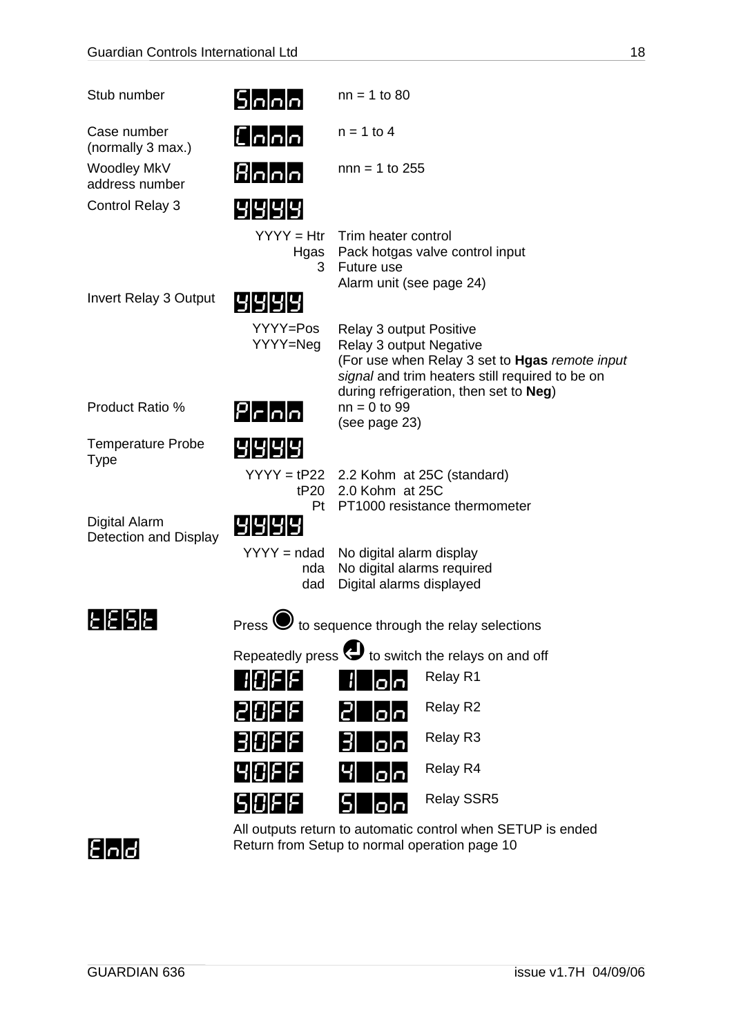| Stub number                            | $5$ $0$ $0$                                    | $nn = 1$ to 80                                                                     |                                                                                                                                             |
|----------------------------------------|------------------------------------------------|------------------------------------------------------------------------------------|---------------------------------------------------------------------------------------------------------------------------------------------|
| Case number<br>(normally 3 max.)       | $\mathsf{E}[\mathsf{n} \mathsf{n} \mathsf{n}]$ | $n = 1$ to 4                                                                       |                                                                                                                                             |
| Woodley MkV<br>address number          | Booo                                           | $nnn = 1$ to 255                                                                   |                                                                                                                                             |
| Control Relay 3                        | 4 4 4 4                                        |                                                                                    |                                                                                                                                             |
|                                        | $YYYY = Htr$<br>Hgas<br>3                      | Trim heater control<br>Future use<br>Alarm unit (see page 24)                      | Pack hotgas valve control input                                                                                                             |
| <b>Invert Relay 3 Output</b>           |                                                |                                                                                    |                                                                                                                                             |
|                                        | YYYY=Pos<br>YYYY=Neg                           | Relay 3 output Positive<br><b>Relay 3 output Negative</b>                          | (For use when Relay 3 set to Hgas remote input<br>signal and trim heaters still required to be on<br>during refrigeration, then set to Neg) |
| Product Ratio %                        | $P$ $r$ $n$ $n$                                | $nn = 0$ to 99<br>(see page 23)                                                    |                                                                                                                                             |
| Temperature Probe<br>Type              | 1919191                                        |                                                                                    |                                                                                                                                             |
|                                        | tP20<br>Pt                                     | 2.0 Kohm at 25C                                                                    | $YYYY = tP22$ 2.2 Kohm at 25C (standard)<br>PT1000 resistance thermometer                                                                   |
| Digital Alarm<br>Detection and Display | 191919                                         |                                                                                    |                                                                                                                                             |
|                                        | $YYYY = ndad$<br>nda<br>dad                    | No digital alarm display<br>No digital alarms required<br>Digital alarms displayed |                                                                                                                                             |
| <u>E E S E</u>                         | Press <sup>V</sup>                             |                                                                                    | to sequence through the relay selections                                                                                                    |
|                                        |                                                |                                                                                    | Repeatedly press $\bigoplus$ to switch the relays on and off                                                                                |
|                                        | <b>HOFF</b>                                    | lolo                                                                               | Relay R1                                                                                                                                    |
|                                        | 131316                                         | lolol                                                                              | Relay R2                                                                                                                                    |
|                                        | 30FF                                           | 31<br>اماما                                                                        | Relay R3                                                                                                                                    |
|                                        | 141016                                         | lolol                                                                              | Relay R4                                                                                                                                    |
|                                        | S  C  F  F                                     | lolol                                                                              | <b>Relay SSR5</b>                                                                                                                           |



All outputs return to automatic control when SETUP is ended End<sup>2</sup> Return from Setup to normal operation page 10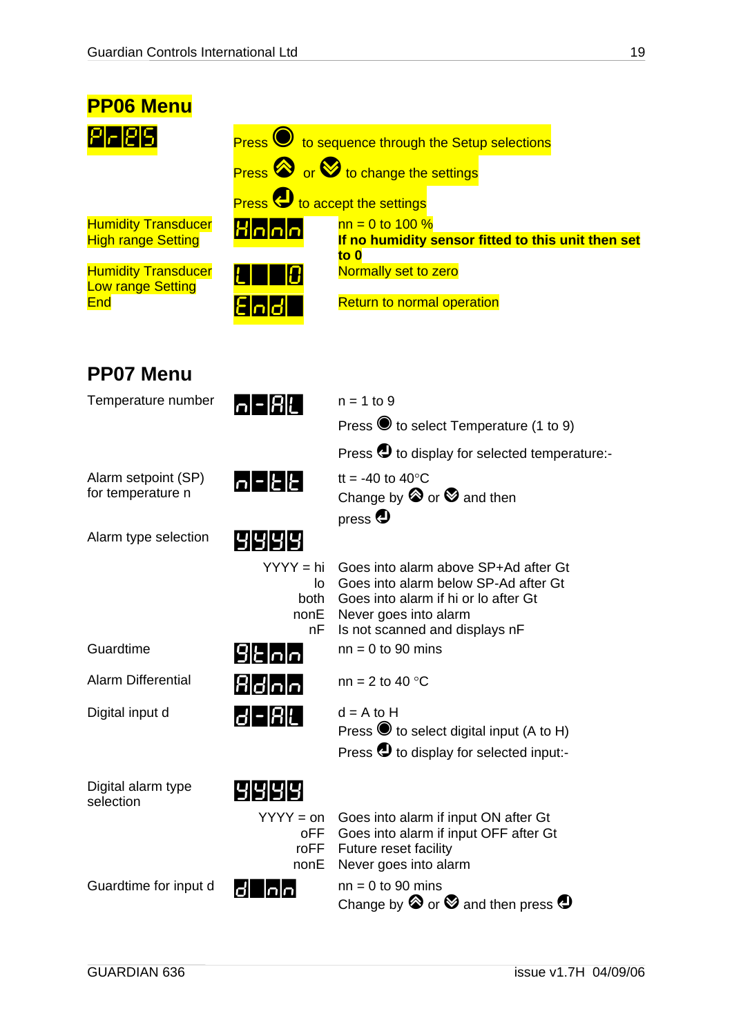<span id="page-18-0"></span>

| <b>PP06 Menu</b>                                        |                                                     |                                                                                                                                                                                 |
|---------------------------------------------------------|-----------------------------------------------------|---------------------------------------------------------------------------------------------------------------------------------------------------------------------------------|
| <b>1-125</b>                                            |                                                     | Press v to sequence through the Setup selections                                                                                                                                |
|                                                         |                                                     | Press or <b>O</b> to change the settings                                                                                                                                        |
|                                                         | <b>Press U</b> to accept the settings               |                                                                                                                                                                                 |
| <b>Humidity Transducer</b><br><b>High range Setting</b> | <u>Hnnn</u>                                         | $nn = 0$ to 100 %<br>If no humidity sensor fitted to this unit then set<br>to $0$                                                                                               |
| <b>Humidity Transducer</b><br><b>Low range Setting</b>  |                                                     | Normally set to zero                                                                                                                                                            |
| <b>End</b>                                              | <u>End</u>                                          | <b>Return to normal operation</b>                                                                                                                                               |
| <b>PP07 Menu</b>                                        |                                                     |                                                                                                                                                                                 |
| Temperature number                                      | n - R L                                             | $n = 1$ to 9                                                                                                                                                                    |
|                                                         |                                                     | Press to select Temperature (1 to 9)                                                                                                                                            |
|                                                         |                                                     | Press $\bigcirc$ to display for selected temperature:-                                                                                                                          |
| Alarm setpoint (SP)<br>for temperature n                | $ n $ - $ E $ $E $                                  | tt = -40 to 40 $\degree$ C<br>Change by $\otimes$ or $\otimes$ and then<br>press $\bigoplus$                                                                                    |
| Alarm type selection                                    | 191919191                                           |                                                                                                                                                                                 |
|                                                         | YYYY = hi<br>lo -<br>both<br>nonE<br>nF             | Goes into alarm above SP+Ad after Gt<br>Goes into alarm below SP-Ad after Gt<br>Goes into alarm if hi or lo after Gt<br>Never goes into alarm<br>Is not scanned and displays nF |
| Guardtime                                               | $9$ E $n$                                           | $nn = 0$ to 90 mins                                                                                                                                                             |
| <b>Alarm Differential</b>                               | Rdoo                                                | nn = 2 to 40 $^{\circ}$ C                                                                                                                                                       |
| Digital input d                                         | d - A L                                             | $d = A$ to H<br>Press $\bullet$ to select digital input (A to H)<br>Press $\bigcirc$ to display for selected input:-                                                            |
| Digital alarm type<br>selection                         | 9999<br>$YYYY = on$                                 | Goes into alarm if input ON after Gt                                                                                                                                            |
|                                                         | oFF<br>roFF<br>nonE                                 | Goes into alarm if input OFF after Gt<br>Future reset facility<br>Never goes into alarm                                                                                         |
| Guardtime for input d                                   | $\overline{\mathsf{In}}\overline{\mathsf{In}}$<br>Ø | $nn = 0$ to 90 mins<br>Change by $\otimes$ or $\otimes$ and then press $\bigcirc$                                                                                               |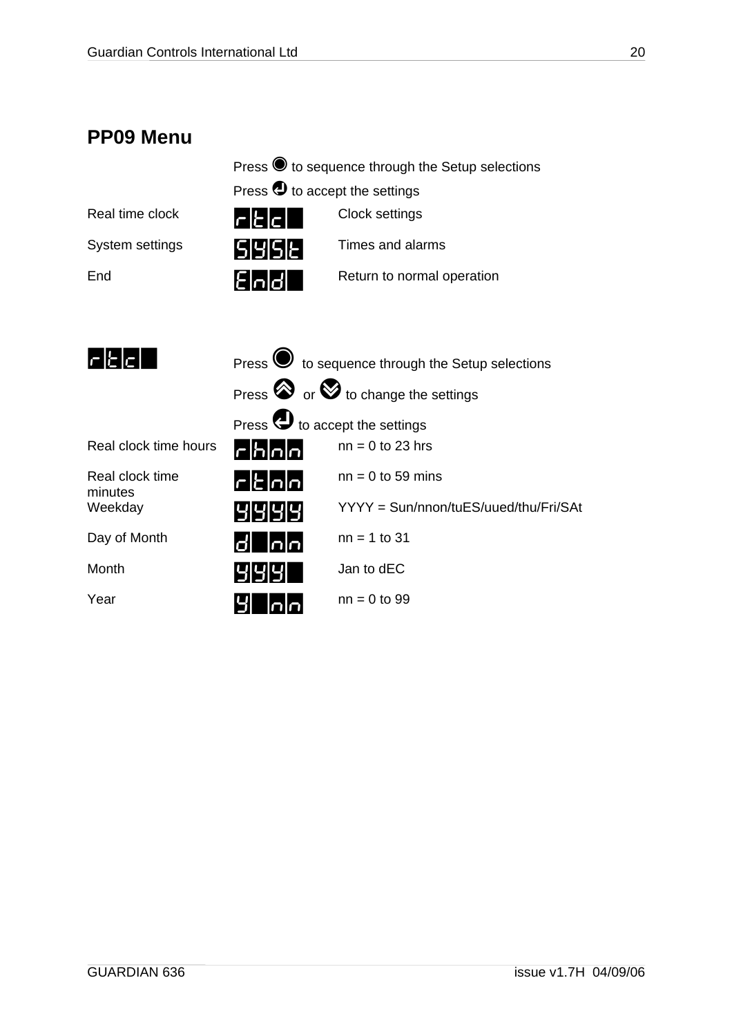### <span id="page-19-1"></span><span id="page-19-0"></span>**PP09 Menu**

| Press ● to sequence through the Setup selections |
|--------------------------------------------------|
| Press $\bigcirc$ to accept the settings          |

| Real time clock | $\mathsf{r}\mathsf{E}\mathsf{E}\mathsf{E}$ | Clock settings             |
|-----------------|--------------------------------------------|----------------------------|
| System settings | ISIYISIŁ <b>I</b>                          | Times and alarms           |
| End             | Eloldl                                     | Return to normal operation |

| $\mathsf{r}\mathsf{E}\mathsf{e}$ l | Press $\bullet$ to sequence through the Setup selections |                                                           |
|------------------------------------|----------------------------------------------------------|-----------------------------------------------------------|
|                                    |                                                          | Press $\bigotimes$ or $\bigotimes$ to change the settings |
|                                    | Press $\bigoplus$ to accept the settings                 |                                                           |
| Real clock time hours              | $\Gamma$ h $\Omega$                                      | $nn = 0$ to 23 hrs                                        |
| Real clock time<br>minutes         | $r$ $k$ $n$                                              | $nn = 0$ to 59 mins                                       |
| Weekday                            | 1919191                                                  | YYYY = Sun/nnon/tuES/uued/thu/Fri/SAt                     |
| Day of Month                       | ldl Inlnl                                                | $nn = 1$ to 31                                            |
| Month                              | प्राप्रापा                                               | Jan to dEC                                                |
| Year                               |                                                          | $nn = 0$ to 99                                            |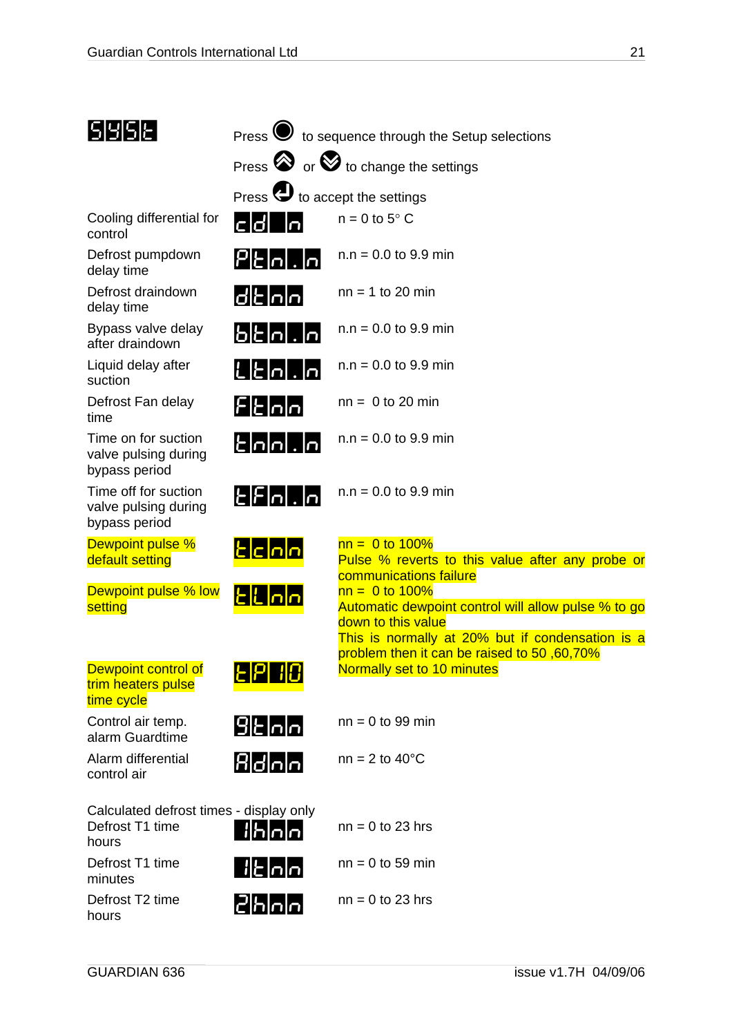| ISIYISIE.                                                           |                                                           | Press $\bigcirc$ to sequence through the Setup selections                                                                                                                                                  |
|---------------------------------------------------------------------|-----------------------------------------------------------|------------------------------------------------------------------------------------------------------------------------------------------------------------------------------------------------------------|
|                                                                     | Press $\otimes$ or $\otimes$ to change the settings       |                                                                                                                                                                                                            |
|                                                                     | Press $\bigoplus$ to accept the settings                  |                                                                                                                                                                                                            |
| Cooling differential for<br>control                                 | cid Iol                                                   | $n = 0$ to $5^{\circ}$ C                                                                                                                                                                                   |
| Defrost pumpdown<br>delay time                                      | $\left  P\right $  - $\left  \left. \right  \right $  -   | $n.n = 0.0$ to 9.9 min                                                                                                                                                                                     |
| Defrost draindown<br>delay time                                     | d t n n                                                   | $nn = 1$ to 20 min                                                                                                                                                                                         |
| Bypass valve delay<br>after draindown                               | Ե Է ი  .  ი                                               | $n.n = 0.0$ to 9.9 min                                                                                                                                                                                     |
| Liquid delay after<br>suction                                       | $\mathsf{L}\mathsf{E}$ l $\mathsf{n}\mathsf{L}\mathsf{R}$ | $n.n = 0.0$ to 9.9 min                                                                                                                                                                                     |
| Defrost Fan delay<br>time                                           | ${\sf E}$   ${\sf E}$ ${\sf P}$                           | $nn = 0$ to 20 min                                                                                                                                                                                         |
| Time on for suction<br>valve pulsing during<br>bypass period        | $\epsilon$  a a . $\epsilon$                              | $n.n = 0.0$ to 9.9 min                                                                                                                                                                                     |
| Time off for suction<br>valve pulsing during<br>bypass period       | $\sf E\sf E\sf h\sf I\sf .\sf h\sf I$                     | $n.n = 0.0$ to 9.9 min                                                                                                                                                                                     |
| Dewpoint pulse %<br>default setting                                 | <u> Elclala</u>                                           | $nn = 0$ to 100%<br>Pulse % reverts to this value after any probe or<br>communications failure                                                                                                             |
| Dewpoint pulse % low<br>setting                                     | <u>tlhan</u>                                              | $nn = 0$ to 100%<br>Automatic dewpoint control will allow pulse % to go<br>down to this value<br>This is normally at 20% but if condensation is a<br><sub>problem</sub> then it can be raised to 50,60,70% |
| Dewpoint control of<br>trim heaters pulse<br>time cycle             | <u>          </u>                                         | Normally set to 10 minutes                                                                                                                                                                                 |
| Control air temp.<br>alarm Guardtime                                | 9 Է ი ი                                                   | $nn = 0$ to 99 min                                                                                                                                                                                         |
| Alarm differential<br>control air                                   | Bdoo                                                      | $nn = 2$ to 40 $°C$                                                                                                                                                                                        |
| Calculated defrost times - display only<br>Defrost T1 time<br>hours | <u>  A o o </u>                                           | $nn = 0$ to 23 hrs                                                                                                                                                                                         |
| Defrost T1 time<br>minutes                                          | <u>         </u>                                          | $nn = 0$ to 59 min                                                                                                                                                                                         |
| Defrost T2 time<br>hours                                            | <u>2 Ann</u>                                              | $nn = 0$ to 23 hrs                                                                                                                                                                                         |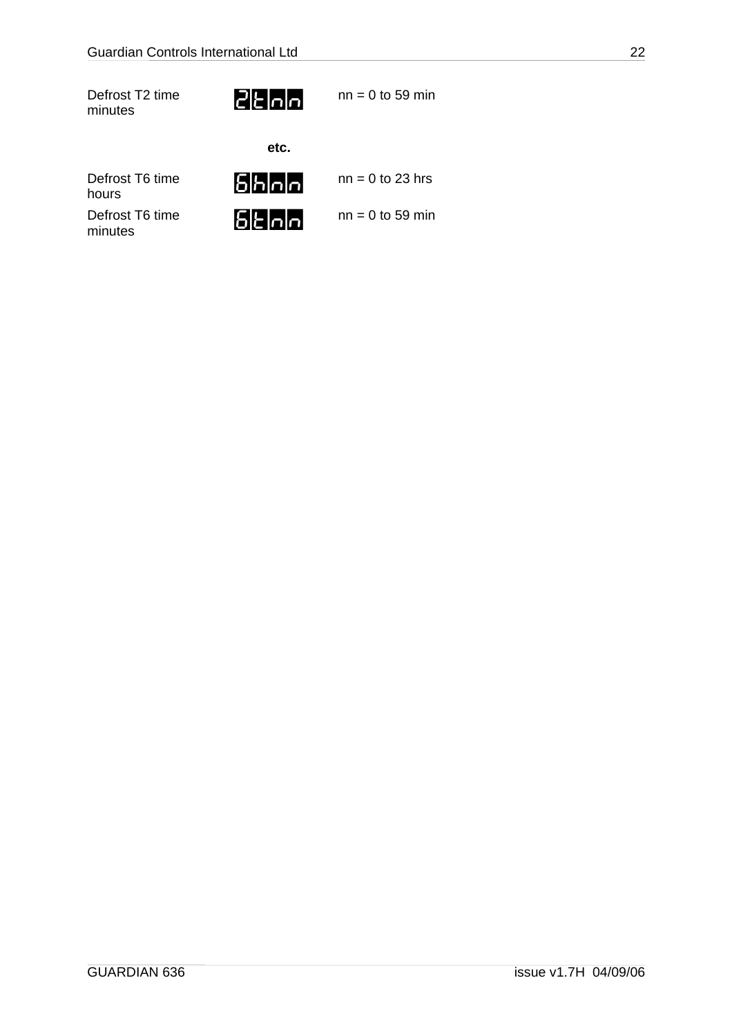Defrost T2 time Defrost T2 time<br>minutes  $\begin{array}{ccc} & & \text{nn} = 0 \text{ to } 59 \text{ min} \\ & & \text{nn} = 0 \text{ to } 59 \text{ min} \end{array}$ 



**etc.** 

|                            | eu.       |                    |
|----------------------------|-----------|--------------------|
| Defrost T6 time<br>hours   | 5 h n n   | $nn = 0$ to 23 hrs |
| Defrost T6 time<br>minutes | 1515 olol | $nn = 0$ to 59 min |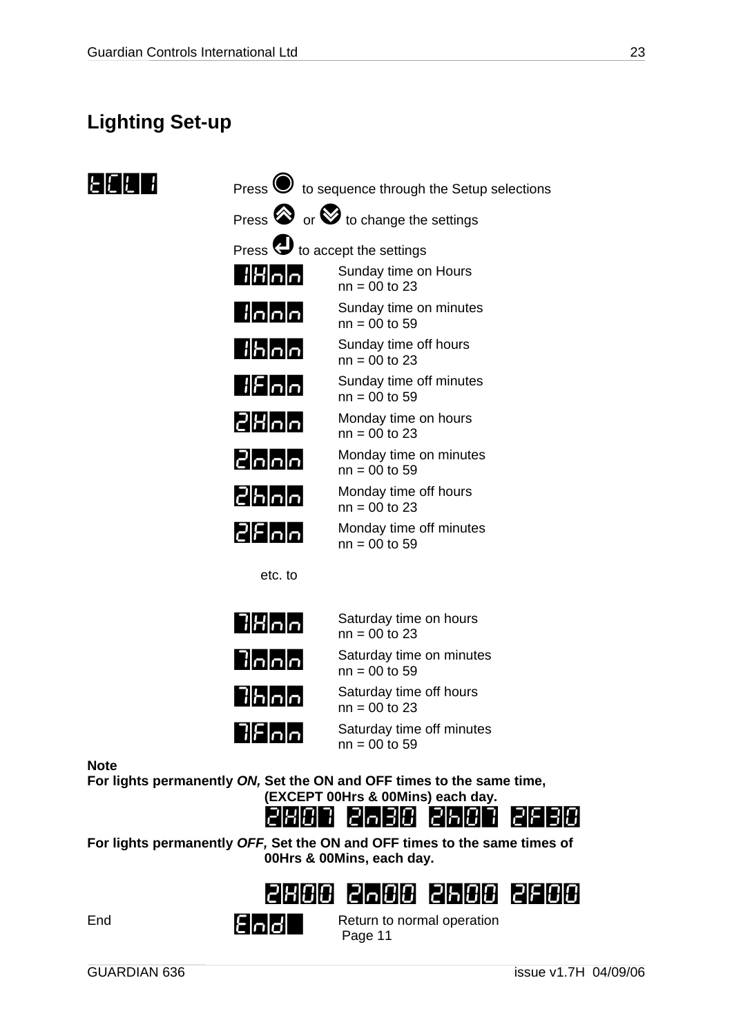### <span id="page-22-0"></span>**Lighting Set-up**



|                                             | Press $\bigcirc$ to sequence through the Setup selections |
|---------------------------------------------|-----------------------------------------------------------|
|                                             | Press $\bigotimes$ or $\bigotimes$ to change the settings |
| Press $\bigoplus$ to accept the settings    |                                                           |
|                                             | Sunday time on Hours<br>$nn = 00$ to 23                   |
| i o o o                                     | Sunday time on minutes<br>$nn = 00$ to 59                 |
| b o o                                       | Sunday time off hours<br>$nn = 00$ to 23                  |
| ¦ F ∩ ∩                                     | Sunday time off minutes<br>$nn = 00$ to 59                |
| 2 H n n                                     | Monday time on hours<br>$nn = 00$ to 23                   |
| 2000                                        | Monday time on minutes<br>$nn = 00$ to 59                 |
| $ S $ հ $ S $ ր $ S $                       | Monday time off hours<br>$nn = 00$ to 23                  |
| $2$ $F$ $n$ $n$                             | Monday time off minutes<br>$nn = 00$ to 59                |
| etc. to                                     |                                                           |
| 7  H n  n                                   | Saturday time on hours<br>$nn = 00$ to 23                 |
| $  \cdot   \cdot   \cdot   \cdot   \cdot  $ | Saturday time on minutes<br>$nn = 00$ to 59               |
| 7 Һ ∩ ∩                                     | Saturday time off hours<br>$nn = 00$ to 23                |
| $7$ $F$ $n$ $n$                             | Saturday time off minutes<br>$nn = 00$ to 59              |
|                                             |                                                           |

**Note** 

**For lights permanently** *ON,* **Set the ON and OFF times to the same time,** 



**For lights permanently** *OFF,* **Set the ON and OFF times to the same times of 00Hrs & 00Mins, each day.** 



End<br>
End<br>
Begg 44 Page [11](#page-10-1)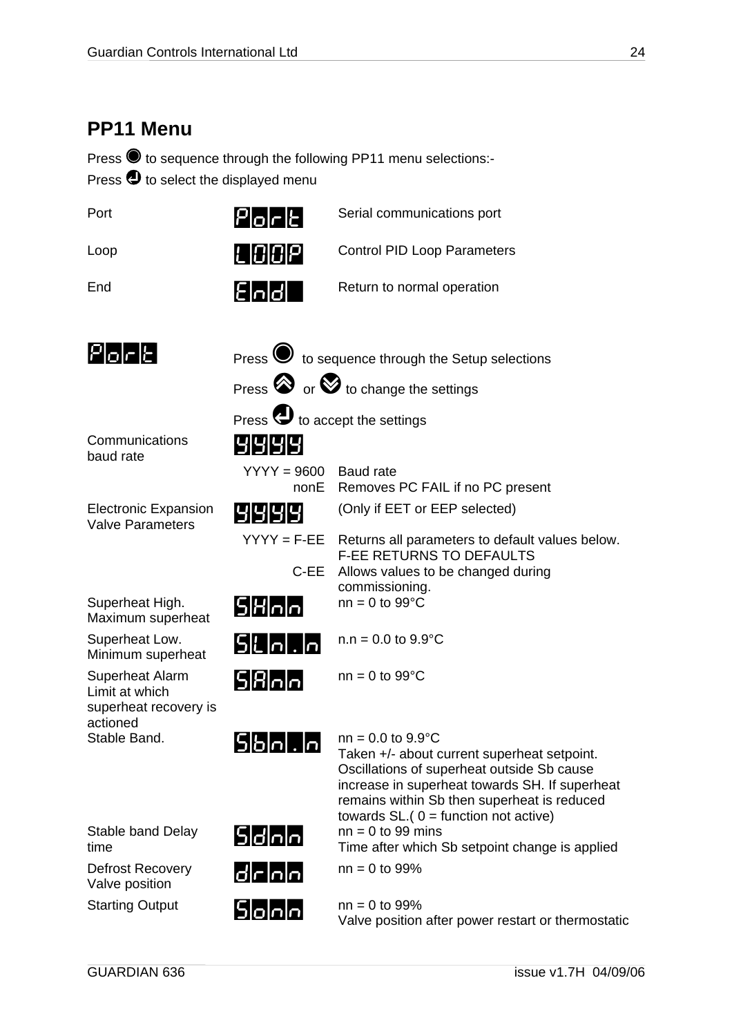### <span id="page-23-0"></span>**PP11 Menu**

Press @ to sequence through the following PP11 menu selections:- Press  $\bullet$  to select the displayed menu

| Port                                                                          | $P _O _C _C $                                      | Serial communications port                                                                                                                                                                                                                                           |
|-------------------------------------------------------------------------------|----------------------------------------------------|----------------------------------------------------------------------------------------------------------------------------------------------------------------------------------------------------------------------------------------------------------------------|
| Loop                                                                          | IL  0 0 P                                          | <b>Control PID Loop Parameters</b>                                                                                                                                                                                                                                   |
| End                                                                           | $E$ nd                                             | Return to normal operation                                                                                                                                                                                                                                           |
| $P$ o $\mid$ c $\mid$ c $\mid$                                                |                                                    | Press $\bigcirc$ to sequence through the Setup selections                                                                                                                                                                                                            |
|                                                                               |                                                    | Press $\bigotimes$ or $\bigotimes$ to change the settings                                                                                                                                                                                                            |
| Communications                                                                | Press $\bigcirc$ to accept the settings<br>1919191 |                                                                                                                                                                                                                                                                      |
| baud rate                                                                     | $YYYY = 9600$<br>nonE                              | <b>Baud rate</b><br>Removes PC FAIL if no PC present                                                                                                                                                                                                                 |
| <b>Electronic Expansion</b><br><b>Valve Parameters</b>                        | 1919191                                            | (Only if EET or EEP selected)                                                                                                                                                                                                                                        |
|                                                                               | $YYYY = F-EE$<br>C-EE                              | Returns all parameters to default values below.<br><b>F-EE RETURNS TO DEFAULTS</b><br>Allows values to be changed during                                                                                                                                             |
| Superheat High.<br>Maximum superheat                                          | 5                                                  | commissioning.<br>$nn = 0$ to 99 $°C$                                                                                                                                                                                                                                |
| Superheat Low.<br>Minimum superheat                                           | 5 Լ ո ․ ո                                          | $n.n = 0.0$ to $9.9^{\circ}$ C                                                                                                                                                                                                                                       |
| <b>Superheat Alarm</b><br>Limit at which<br>superheat recovery is<br>actioned | 5 8 0 0                                            | $nn = 0$ to 99 $°C$                                                                                                                                                                                                                                                  |
| Stable Band.                                                                  | 515101.101                                         | $nn = 0.0$ to $9.9^{\circ}C$<br>Taken +/- about current superheat setpoint.<br>Oscillations of superheat outside Sb cause<br>increase in superheat towards SH. If superheat<br>remains within Sb then superheat is reduced<br>towards $SL(0)$ = function not active) |
| Stable band Delay<br>time                                                     | 5 d n n                                            | $nn = 0$ to 99 mins<br>Time after which Sb setpoint change is applied                                                                                                                                                                                                |
| Defrost Recovery<br>Valve position                                            | d r n n                                            | $nn = 0$ to 99%                                                                                                                                                                                                                                                      |
| <b>Starting Output</b>                                                        | 5 0 0 0                                            | $nn = 0$ to 99%<br>Valve position after power restart or thermostatic                                                                                                                                                                                                |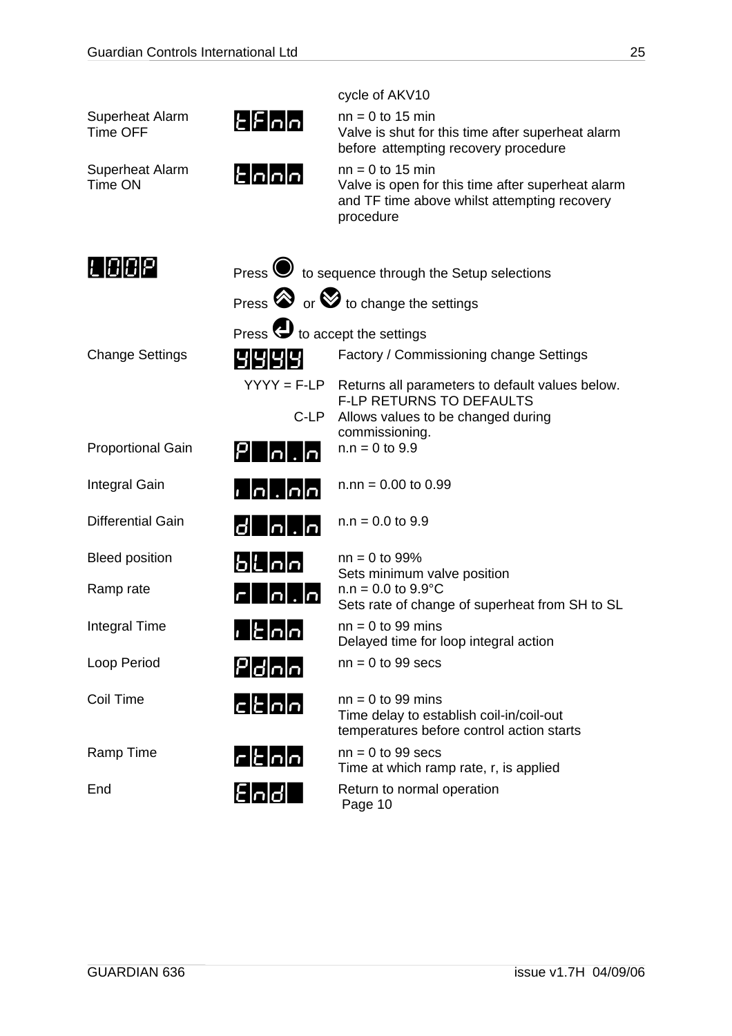|                                    |                                                                                                           | cycle of AKV10                                                                                                                       |
|------------------------------------|-----------------------------------------------------------------------------------------------------------|--------------------------------------------------------------------------------------------------------------------------------------|
| Superheat Alarm<br><b>Time OFF</b> | $E$ $F$ $n$ $n$                                                                                           | $nn = 0$ to 15 min<br>Valve is shut for this time after superheat alarm<br>before attempting recovery procedure                      |
| <b>Superheat Alarm</b><br>Time ON  | $\epsilon$ <u>nnn</u>                                                                                     | $nn = 0$ to 15 min<br>Valve is open for this time after superheat alarm<br>and TF time above whilst attempting recovery<br>procedure |
| L 004                              |                                                                                                           | Press $\bigcirc$ to sequence through the Setup selections                                                                            |
|                                    |                                                                                                           | Press $\otimes$ or $\otimes$ to change the settings                                                                                  |
|                                    | Press $\bigoplus$ to accept the settings                                                                  |                                                                                                                                      |
| <b>Change Settings</b>             | 9999                                                                                                      | Factory / Commissioning change Settings                                                                                              |
|                                    |                                                                                                           | $YYYY = F-LP$ Returns all parameters to default values below.                                                                        |
|                                    | C-LP                                                                                                      | <b>F-LP RETURNS TO DEFAULTS</b><br>Allows values to be changed during                                                                |
| <b>Proportional Gain</b>           | Iol<br><u>,  n</u>                                                                                        | commissioning.<br>$n.n = 0$ to 9.9                                                                                                   |
| Integral Gain                      | $\overline{\phantom{a}}$ , $\overline{\phantom{a}}$ , $\overline{\phantom{a}}$ , $\overline{\phantom{a}}$ | $n.nn = 0.00$ to 0.99                                                                                                                |
| <b>Differential Gain</b>           | d   n . n                                                                                                 | $n.n = 0.0$ to 9.9                                                                                                                   |
| <b>Bleed position</b>              | Ե    ր ր                                                                                                  | $nn = 0$ to 99%                                                                                                                      |
| Ramp rate                          | <u>r  n .n </u>                                                                                           | Sets minimum valve position<br>$n.n = 0.0$ to $9.9^{\circ}$ C<br>Sets rate of change of superheat from SH to SL                      |
| Integral Time                      | E[n]<br>$\mathbf{I}$                                                                                      | $nn = 0$ to 99 mins<br>Delayed time for loop integral action                                                                         |
| Loop Period                        | Pdna                                                                                                      | $nn = 0$ to 99 secs                                                                                                                  |
| Coil Time                          | c                                                                                                         | $nn = 0$ to 99 mins<br>Time delay to establish coil-in/coil-out<br>temperatures before control action starts                         |
| Ramp Time                          | $\mathsf{r}\mathsf{k}$ $\mathsf{n}\mathsf{n}$                                                             | $nn = 0$ to 99 secs<br>Time at which ramp rate, r, is applied                                                                        |
| End                                | <u>[[nd]</u>                                                                                              | Return to normal operation<br>Page 10                                                                                                |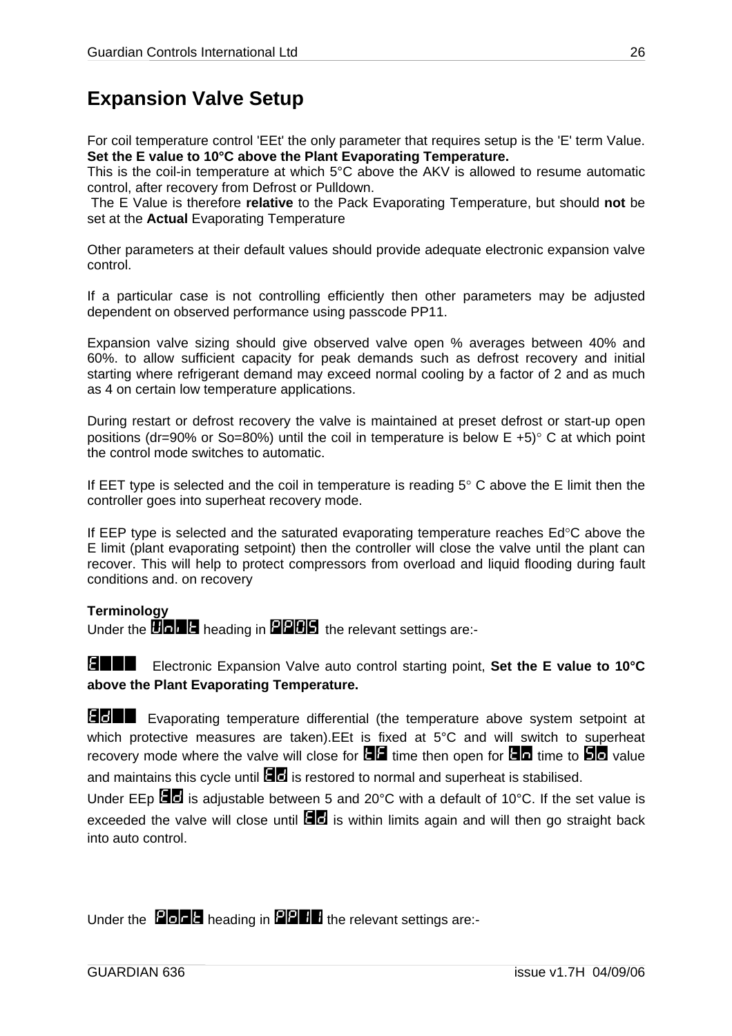### <span id="page-25-0"></span>**Expansion Valve Setup**

For coil temperature control 'EEt' the only parameter that requires setup is the 'E' term Value. **Set the E value to 10°C above the Plant Evaporating Temperature.**

This is the coil-in temperature at which 5°C above the AKV is allowed to resume automatic control, after recovery from Defrost or Pulldown.

 The E Value is therefore **relative** to the Pack Evaporating Temperature, but should **not** be set at the **Actual** Evaporating Temperature

Other parameters at their default values should provide adequate electronic expansion valve control.

If a particular case is not controlling efficiently then other parameters may be adjusted dependent on observed performance using passcode PP11.

Expansion valve sizing should give observed valve open % averages between 40% and 60%. to allow sufficient capacity for peak demands such as defrost recovery and initial starting where refrigerant demand may exceed normal cooling by a factor of 2 and as much as 4 on certain low temperature applications.

During restart or defrost recovery the valve is maintained at preset defrost or start-up open positions (dr=90% or So=80%) until the coil in temperature is below  $E + 5$ ° C at which point the control mode switches to automatic.

If EET type is selected and the coil in temperature is reading  $5^\circ$  C above the E limit then the controller goes into superheat recovery mode.

If EEP type is selected and the saturated evaporating temperature reaches Ed°C above the E limit (plant evaporating setpoint) then the controller will close the valve until the plant can recover. This will help to protect compressors from overload and liquid flooding during fault conditions and. on recovery

#### **Terminology**

Under the **HODP** heading in **PPHS** the relevant settings are:-

E=== Electronic Expansion Valve auto control starting point, **Set the E value to 10°C above the Plant Evaporating Temperature.**

Ed== Evaporating temperature differential (the temperature above system setpoint at which protective measures are taken).EEt is fixed at 5°C and will switch to superheat recovery mode where the valve will close for  $\mathbb{H}$  time then open for  $\mathbb{H}$  time to  $\mathbb{H}$  value and maintains this cycle until  $\blacksquare$  is restored to normal and superheat is stabilised.

Under EEp  $\blacksquare$  is adjustable between 5 and 20°C with a default of 10°C. If the set value is exceeded the valve will close until  $\Box$  is within limits again and will then go straight back into auto control.

Under the **Port** heading in **PPH** the relevant settings are:-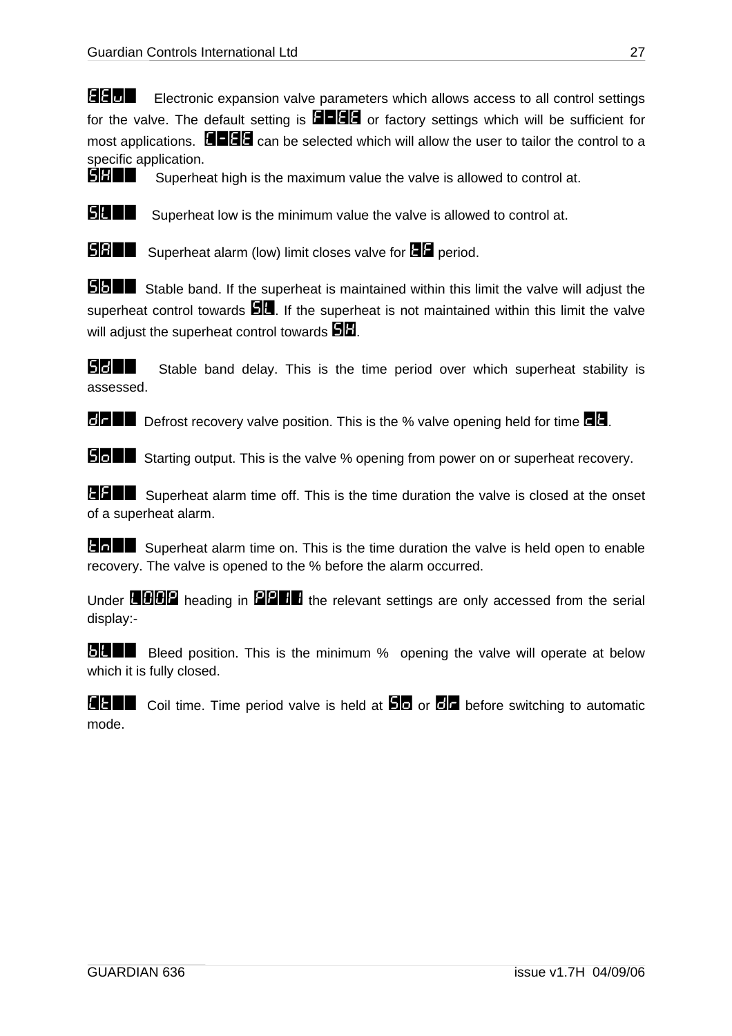EEU Electronic expansion valve parameters which allows access to all control settings for the valve. The default setting is  $\blacksquare\blacksquare\blacksquare\blacksquare$  or factory settings which will be sufficient for most applications.  $\blacksquare\blacksquare\blacksquare\blacksquare\blacksquare$  can be selected which will allow the user to tailor the control to a specific application.

SH== Superheat high is the maximum value the valve is allowed to control at.



**SHIP** Superheat low is the minimum value the valve is allowed to control at.



**SBIF** Superheat alarm (low) limit closes valve for **EH** period.

**SBFF** Stable band. If the superheat is maintained within this limit the valve will adjust the superheat control towards  $\Box$ . If the superheat is not maintained within this limit the valve will adjust the superheat control towards  $\Box$ 

**SHIP** Stable band delay. This is the time period over which superheat stability is assessed.

 $\overline{d}$  Defrost recovery valve position. This is the % valve opening held for time  $\overline{d}$ .

**Soff** Starting output. This is the valve % opening from power on or superheat recovery.

**EFFF** Superheat alarm time off. This is the time duration the valve is closed at the onset of a superheat alarm.

**The Superheat alarm time on. This is the time duration the valve is held open to enable** recovery. The valve is opened to the % before the alarm occurred.

Under  $H$  $H$  $H$  $H$  $P$  heading in  $P$  $P$  $H$  the relevant settings are only accessed from the serial display:-

**BLEE** Bleed position. This is the minimum % opening the valve will operate at below which it is fully closed.

 $\blacksquare$  Coil time. Time period valve is held at  $\blacksquare$  or  $\blacksquare$  before switching to automatic mode.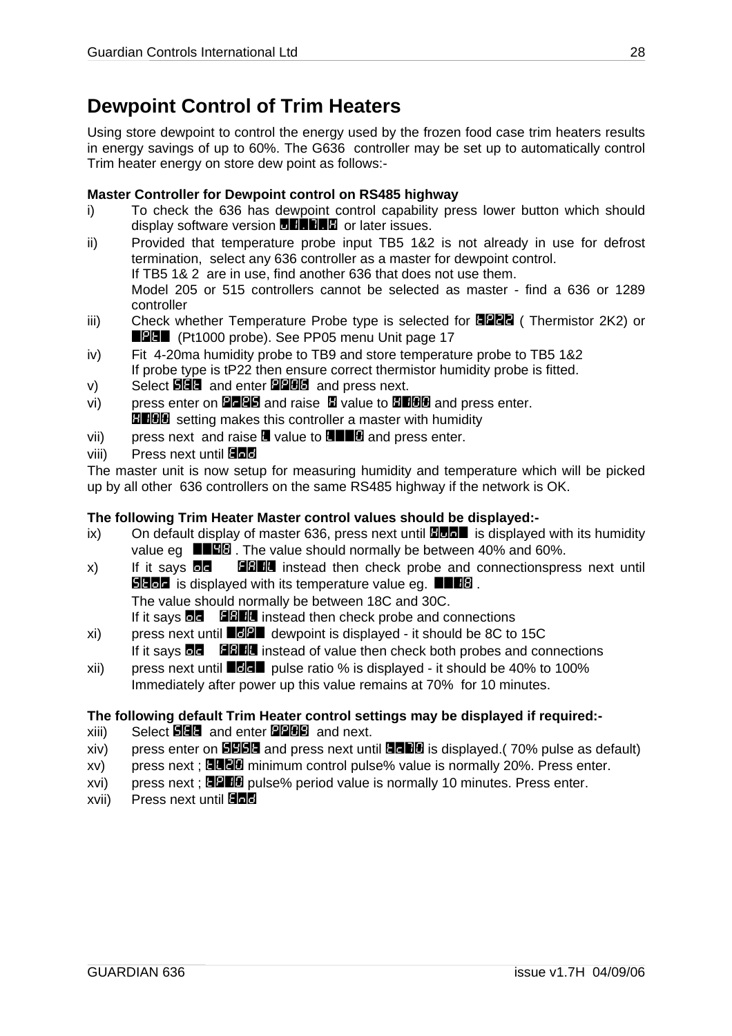### <span id="page-27-0"></span>**Dewpoint Control of Trim Heaters**

Using store dewpoint to control the energy used by the frozen food case trim heaters results in energy savings of up to 60%. The G636 controller may be set up to automatically control Trim heater energy on store dew point as follows:-

#### **Master Controller for Dewpoint control on RS485 highway**

- i) To check the 636 has dewpoint control capability press lower button which should display software version  $\blacksquare$   $\blacksquare$  and later issues.
- ii) Provided that temperature probe input TB5 1&2 is not already in use for defrost termination, select any 636 controller as a master for dewpoint control. If TB5 1& 2 are in use, find another 636 that does not use them. Model 205 or 515 controllers cannot be selected as master - find a 636 or 1289 controller
- iii) Check whether Temperature Probe type is selected for  $\Box$ P2 $\Box$  (Thermistor 2K2) or **EDDE** (Pt1000 probe). See PP05 menu [Unit p](#page-16-0)age 17
- iv) Fit 4-20ma humidity probe to TB9 and store temperature probe to TB5 1&2 If probe type is tP22 then ensure correct thermistor humidity probe is fitted.
- $v$ ) Select  $\Box$  and enter  $\Box$   $\Box$  and press next.
- vi) press enter on **PLPE** and raise  $\mathbf{E}$  value to **HHOO** and press enter. **H100** setting makes this controller a master with humidity
- vii) press next and raise  $\blacksquare$  value to  $\blacksquare\blacksquare\blacksquare\blacksquare$  and press enter.
- viii) Press next until 日間間

The master unit is now setup for measuring humidity and temperature which will be picked up by all other 636 controllers on the same RS485 highway if the network is OK.

#### **The following Trim Heater Master control values should be displayed:-**

- ix) On default display of master 636, press next until  $\Box$  $\Box$  $\Box$  is displayed with its humidity value eg  $\Box$  $\Box$  $\Box$  $\Box$  The value should normally be between 40% and 60%.
- $\mathsf{x}$ ) If it says **de FAIL instead then check probe and connectionspress next until SHOP** is displayed with its temperature value eg.  $\blacksquare$ The value should normally be between 18C and 30C. If it says  $\Box$  **FRIM** instead then check probe and connections
- $x$ i) press next until  $\blacksquare$  $\blacksquare$  dewpoint is displayed it should be 8C to 15C If it says  $\Box$  **FRIM** instead of value then check both probes and connections
- xii) press next until  $\blacksquare$  pulse ratio % is displayed it should be 40% to 100% Immediately after power up this value remains at 70% for 10 minutes.

#### **The following default Trim Heater control settings may be displayed if required:-**

- $xiii)$  Select  $\blacksquare\blacksquare\blacksquare$  and enter  $\square\blacksquare\blacksquare\blacksquare\blacksquare$  and next.
- $xiv$ ) press enter on **SHEG** and press next until  $\overline{G}$ FEG is displayed.(70% pulse as default)
- $xv$ ) press next : **ELEL** minimum control pulse% value is normally 20%. Press enter.
- $xvi)$  press next;  $B = 0$  pulse% period value is normally 10 minutes. Press enter.
- xvii) Press next until 日日日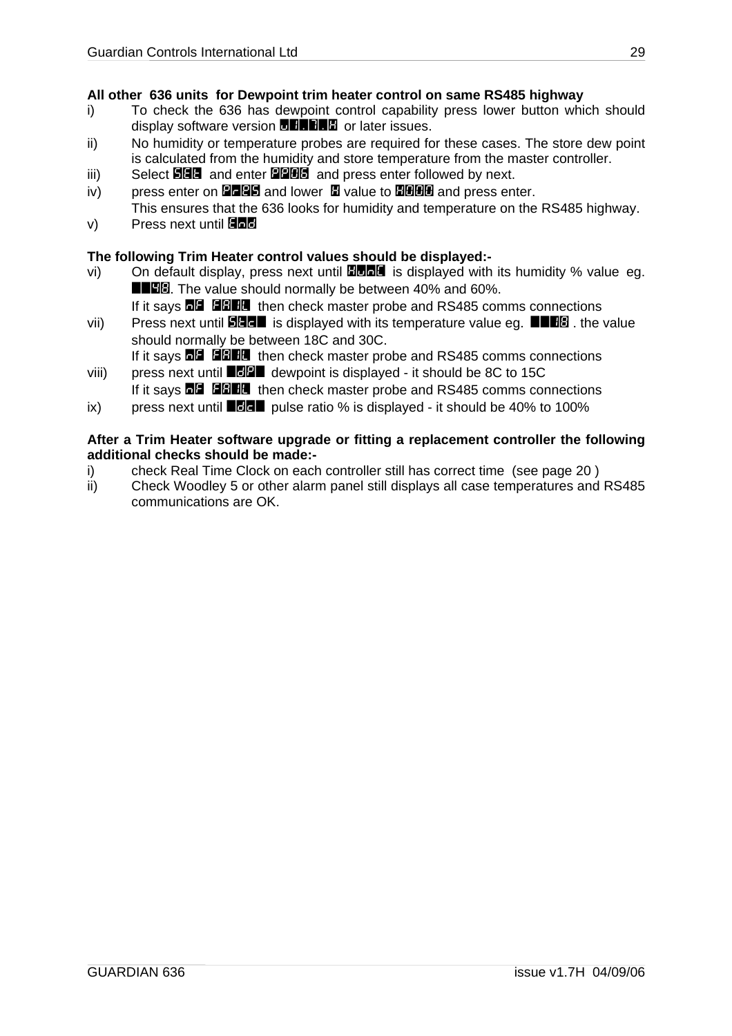#### **All other 636 units for Dewpoint trim heater control on same RS485 highway**

- i) To check the 636 has dewpoint control capability press lower button which should display software version **DHRHH** or later issues.
- ii) No humidity or temperature probes are required for these cases. The store dew point is calculated from the humidity and store temperature from the master controller.
- iii) Select SEt and enter PP06 and press enter followed by next.
- iv) press enter on **PLPS** and lower  $\blacksquare$  value to  $\blacksquare$  and press enter. This ensures that the 636 looks for humidity and temperature on the RS485 highway.
- $v$ ) Press next until  $\Box$

#### **The following Trim Heater control values should be displayed:-**

- vi) On default display, press next until **HunC** is displayed with its humidity % value eq. **EE8.** The value should normally be between 40% and 60%.
	- If it says **NF FAILE** then check master probe and RS485 comms connections
- vii) Press next until **SHE** is displayed with its temperature value eg.  $\blacksquare \blacksquare \blacksquare \blacksquare$  the value should normally be between 18C and 30C.

If it says  $\blacksquare$   $\blacksquare$  and then check master probe and RS485 comms connections

- viii) press next until  $\blacksquare$  $\blacksquare$  dewpoint is displayed it should be 8C to 15C If it says **NH FIGHE** then check master probe and RS485 comms connections
- ix) press next until  $\blacksquare$  pulse ratio % is displayed it should be 40% to 100%

#### **After a Trim Heater software upgrade or fitting a replacement controller the following additional checks should be made:-**

- i) check Real Time Clock on each controller still has correct time (see page [20 \)](#page-19-1)
- ii) Check Woodley 5 or other alarm panel still displays all case temperatures and RS485 communications are OK.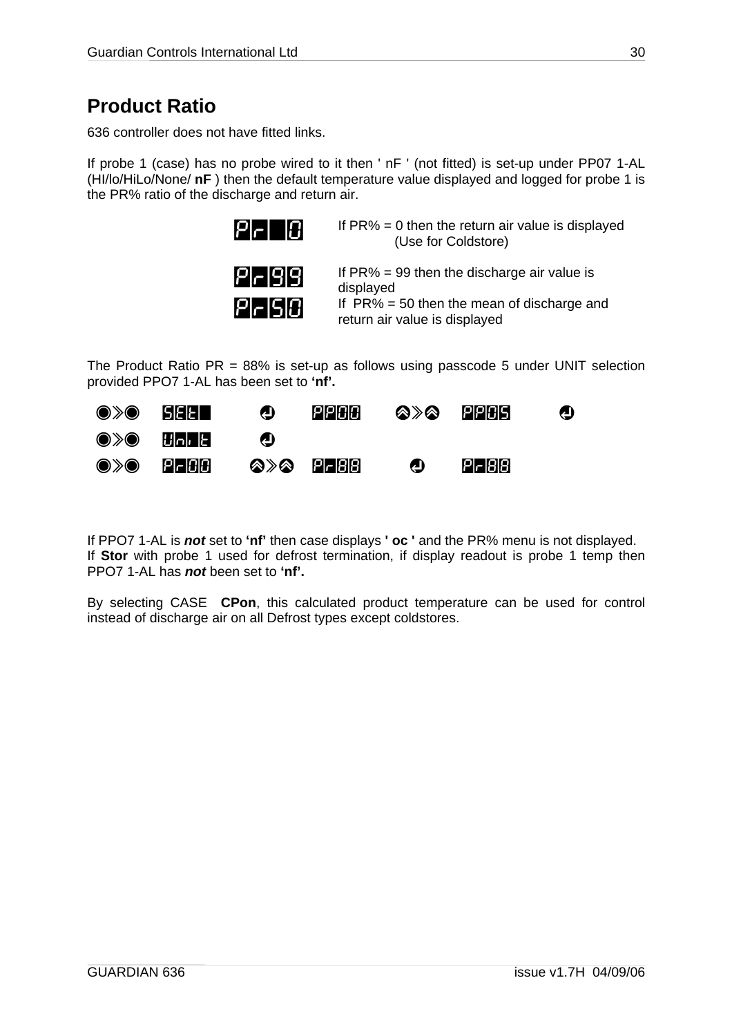### <span id="page-29-0"></span>**Product Ratio**

636 controller does not have fitted links.

If probe 1 (case) has no probe wired to it then ' nF ' (not fitted) is set-up under PP07 1-AL (HI/lo/HiLo/None/ **nF** ) then the default temperature value displayed and logged for probe 1 is the PR% ratio of the discharge and return air.



 $P = \Box P$  If PR% = 0 then the return air value is displayed (Use for Coldstore)

|  | P ~ 9 9 |         |
|--|---------|---------|
|  |         | P - S 0 |

If  $PR% = 99$  then the discharge air value is displayed If  $PR% = 50$  then the mean of discharge and

return air value is displayed

The Product Ratio  $PR = 88\%$  is set-up as follows using passcode 5 under UNIT selection provided PPO7 1-AL has been set to **'nf'.**



If PPO7 1-AL is *not* set to **'nf'** then case displays **' oc '** and the PR% menu is not displayed. If **Stor** with probe 1 used for defrost termination, if display readout is probe 1 temp then PPO7 1-AL has *not* been set to **'nf'.** 

By selecting CASE **CPon**, this calculated product temperature can be used for control instead of discharge air on all Defrost types except coldstores.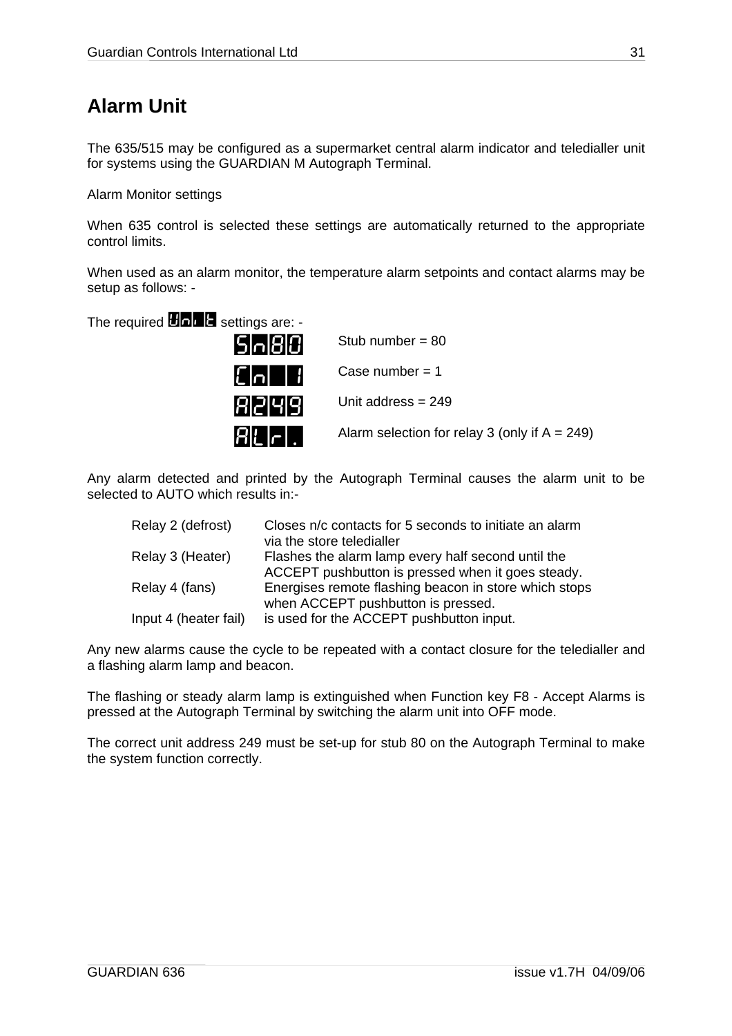### <span id="page-30-0"></span>**Alarm Unit**

The 635/515 may be configured as a supermarket central alarm indicator and teledialler unit for systems using the GUARDIAN M Autograph Terminal.

Alarm Monitor settings

When 635 control is selected these settings are automatically returned to the appropriate control limits.

When used as an alarm monitor, the temperature alarm setpoints and contact alarms may be setup as follows: -

The required  $\blacksquare$   $\blacksquare$  settings are: -

| 5 n 8 0        | Stub number = $80$                               |
|----------------|--------------------------------------------------|
| $ E $ o $ +1 $ | Case number $= 1$                                |
| 8 2 4 9        | Unit address $= 249$                             |
| <b>RLFI.</b>   | Alarm selection for relay 3 (only if $A = 249$ ) |

Any alarm detected and printed by the Autograph Terminal causes the alarm unit to be selected to AUTO which results in-

| Relay 2 (defrost)     | Closes n/c contacts for 5 seconds to initiate an alarm<br>via the store teledialler |
|-----------------------|-------------------------------------------------------------------------------------|
| Relay 3 (Heater)      | Flashes the alarm lamp every half second until the                                  |
|                       | ACCEPT pushbutton is pressed when it goes steady.                                   |
| Relay 4 (fans)        | Energises remote flashing beacon in store which stops                               |
|                       | when ACCEPT pushbutton is pressed.                                                  |
| Input 4 (heater fail) | is used for the ACCEPT pushbutton input.                                            |

Any new alarms cause the cycle to be repeated with a contact closure for the teledialler and a flashing alarm lamp and beacon.

The flashing or steady alarm lamp is extinguished when Function key F8 - Accept Alarms is pressed at the Autograph Terminal by switching the alarm unit into OFF mode.

The correct unit address 249 must be set-up for stub 80 on the Autograph Terminal to make the system function correctly.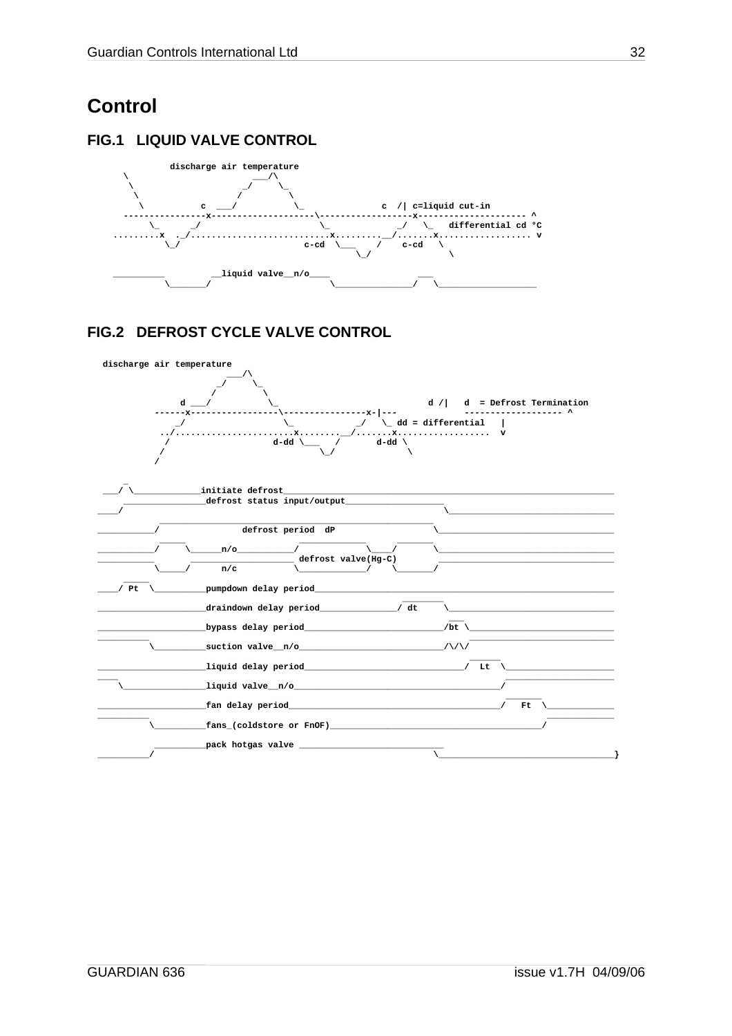### <span id="page-31-0"></span>**Control**

### FIG.1 LIQUID VALVE CONTROL



### FIG.2 DEFROST CYCLE VALVE CONTROL

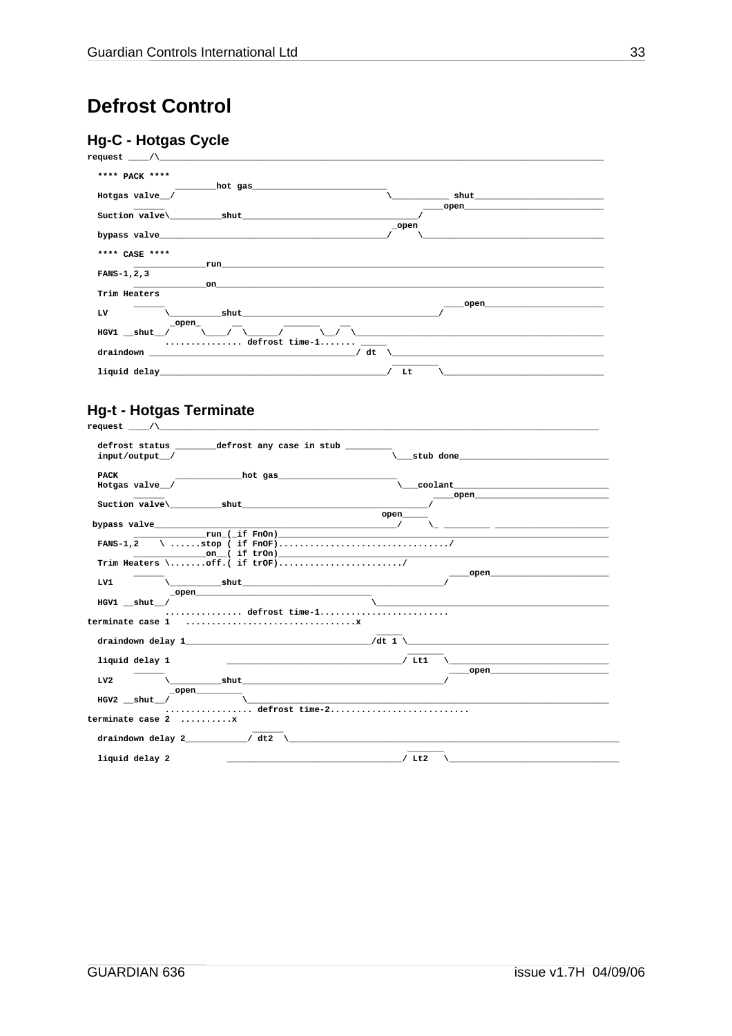### <span id="page-32-0"></span>**Defrost Control**

### **Hg-C - Hotgas Cycle**



#### **Hg-t - Hotgas Terminate**  $request$  /\

| defrost status by defrost any case in stub   |                                                                                                                                                                                                                                                                                                                                                                                                                                       |
|----------------------------------------------|---------------------------------------------------------------------------------------------------------------------------------------------------------------------------------------------------------------------------------------------------------------------------------------------------------------------------------------------------------------------------------------------------------------------------------------|
| input/output /                               | stub done                                                                                                                                                                                                                                                                                                                                                                                                                             |
| <b>PACK</b>                                  |                                                                                                                                                                                                                                                                                                                                                                                                                                       |
|                                              |                                                                                                                                                                                                                                                                                                                                                                                                                                       |
| Hotgas valve /                               |                                                                                                                                                                                                                                                                                                                                                                                                                                       |
| Suction valve \ shut shut                    |                                                                                                                                                                                                                                                                                                                                                                                                                                       |
|                                              | open                                                                                                                                                                                                                                                                                                                                                                                                                                  |
| bypass valve $\sqrt{ }$                      |                                                                                                                                                                                                                                                                                                                                                                                                                                       |
|                                              |                                                                                                                                                                                                                                                                                                                                                                                                                                       |
|                                              |                                                                                                                                                                                                                                                                                                                                                                                                                                       |
|                                              |                                                                                                                                                                                                                                                                                                                                                                                                                                       |
| Trim Heaters \off.( if trOF)/                |                                                                                                                                                                                                                                                                                                                                                                                                                                       |
|                                              | open and the state of the state of the state of the state of the state of the state of the state of the state of the state of the state of the state of the state of the state of the state of the state of the state of the s                                                                                                                                                                                                        |
| LV1                                          |                                                                                                                                                                                                                                                                                                                                                                                                                                       |
|                                              |                                                                                                                                                                                                                                                                                                                                                                                                                                       |
| $HGV1$ shut /                                |                                                                                                                                                                                                                                                                                                                                                                                                                                       |
| $\ldots \ldots \ldots \ldots$ defrost time-1 |                                                                                                                                                                                                                                                                                                                                                                                                                                       |
|                                              |                                                                                                                                                                                                                                                                                                                                                                                                                                       |
|                                              |                                                                                                                                                                                                                                                                                                                                                                                                                                       |
|                                              | draindown delay 1 $/dt$ 1 $\setminus$                                                                                                                                                                                                                                                                                                                                                                                                 |
|                                              |                                                                                                                                                                                                                                                                                                                                                                                                                                       |
| liquid delay 1                               | <u> 1980 - Johann John Stone, market fan it ferstjer fan it ferstjer fan it ferstjer fan it ferstjer fan it ferst</u>                                                                                                                                                                                                                                                                                                                 |
|                                              | open and the contract of the contract of the contract of the contract of the contract of the contract of the contract of the contract of the contract of the contract of the contract of the contract of the contract of the c                                                                                                                                                                                                        |
| $\lambda$ shut<br>LVI                        |                                                                                                                                                                                                                                                                                                                                                                                                                                       |
| $\_open$                                     |                                                                                                                                                                                                                                                                                                                                                                                                                                       |
| $HGV2$ shut /                                |                                                                                                                                                                                                                                                                                                                                                                                                                                       |
|                                              | defrost time-2                                                                                                                                                                                                                                                                                                                                                                                                                        |
| terminate case 2 x                           |                                                                                                                                                                                                                                                                                                                                                                                                                                       |
|                                              |                                                                                                                                                                                                                                                                                                                                                                                                                                       |
| draindown delay 2 $/dt2$ $\setminus$         |                                                                                                                                                                                                                                                                                                                                                                                                                                       |
|                                              |                                                                                                                                                                                                                                                                                                                                                                                                                                       |
| liquid delay 2                               | $\begin{array}{cccccccccccccc} \textbf{L} & \textbf{L} & \textbf{L} & \textbf{L} & \textbf{L} & \textbf{L} & \textbf{L} & \textbf{L} & \textbf{L} & \textbf{L} & \textbf{L} & \textbf{L} & \textbf{L} & \textbf{L} & \textbf{L} & \textbf{L} & \textbf{L} & \textbf{L} & \textbf{L} & \textbf{L} & \textbf{L} & \textbf{L} & \textbf{L} & \textbf{L} & \textbf{L} & \textbf{L} & \textbf{L} & \textbf{L} & \textbf{L} & \textbf{L} &$ |
|                                              |                                                                                                                                                                                                                                                                                                                                                                                                                                       |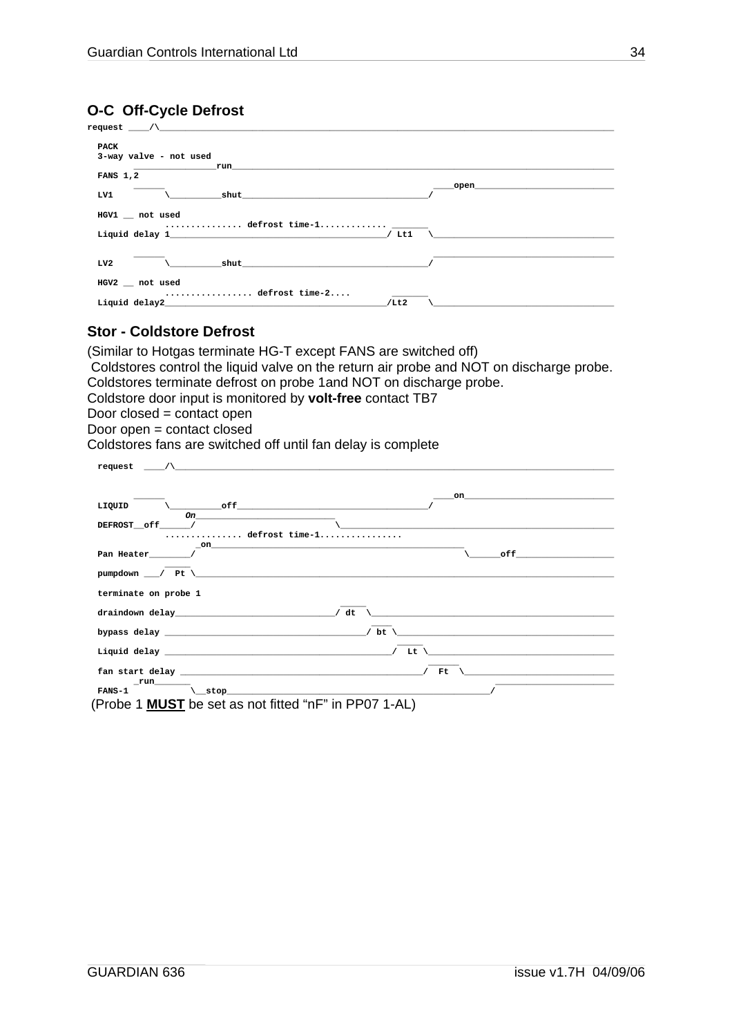#### <span id="page-33-0"></span>**O-C Off-Cycle Defrost**

| PACK                                                                                                   |                                                                                                                                                                                                                                |
|--------------------------------------------------------------------------------------------------------|--------------------------------------------------------------------------------------------------------------------------------------------------------------------------------------------------------------------------------|
| 3-way valve - not used                                                                                 |                                                                                                                                                                                                                                |
| run                                                                                                    |                                                                                                                                                                                                                                |
| <b>FANS 1,2</b>                                                                                        |                                                                                                                                                                                                                                |
| $\mathsf{shut}$ and $\mathsf{shut}$ and $\mathsf{shut}$ and $\mathsf{shut}$ and $\mathsf{shut}$<br>LV1 | open and the contract of the contract of the contract of the contract of the contract of the contract of the contract of the contract of the contract of the contract of the contract of the contract of the contract of the c |
| HGV1 _ not used                                                                                        |                                                                                                                                                                                                                                |
| Liquid delay 1                                                                                         | / Lt1                                                                                                                                                                                                                          |
| LV2                                                                                                    |                                                                                                                                                                                                                                |
| HGV2 not used<br>defrost time-2                                                                        |                                                                                                                                                                                                                                |
| Liquid delay2                                                                                          | /Lt2                                                                                                                                                                                                                           |

#### **Stor - Coldstore Defrost**

(Similar to Hotgas terminate HG-T except FANS are switched off) Coldstores control the liquid valve on the return air probe and NOT on discharge probe. Coldstores terminate defrost on probe 1and NOT on discharge probe. Coldstore door input is monitored by **volt-free** contact TB7 Door closed = contact open Door open = contact closed Coldstores fans are switched off until fan delay is complete

| $r = r$ and $\wedge$                                                                                                                                                                                                                                                                                                                                                                                  |                                                                                                                       |
|-------------------------------------------------------------------------------------------------------------------------------------------------------------------------------------------------------------------------------------------------------------------------------------------------------------------------------------------------------------------------------------------------------|-----------------------------------------------------------------------------------------------------------------------|
|                                                                                                                                                                                                                                                                                                                                                                                                       |                                                                                                                       |
|                                                                                                                                                                                                                                                                                                                                                                                                       |                                                                                                                       |
|                                                                                                                                                                                                                                                                                                                                                                                                       | $\mathbf{on}$                                                                                                         |
| $\setminus$ off $\hspace{1.5cm}$ off $\hspace{1.5cm}$<br>LIQUID                                                                                                                                                                                                                                                                                                                                       |                                                                                                                       |
| On $\qquad \qquad$                                                                                                                                                                                                                                                                                                                                                                                    |                                                                                                                       |
| DEFROST__off______/<br>defrost time-1                                                                                                                                                                                                                                                                                                                                                                 |                                                                                                                       |
| on and the contract of the contract of the contract of the contract of the contract of the contract of the contract of the contract of the contract of the contract of the contract of the contract of the contract of the con                                                                                                                                                                        |                                                                                                                       |
| Pan Heater /                                                                                                                                                                                                                                                                                                                                                                                          | of f                                                                                                                  |
|                                                                                                                                                                                                                                                                                                                                                                                                       |                                                                                                                       |
|                                                                                                                                                                                                                                                                                                                                                                                                       |                                                                                                                       |
|                                                                                                                                                                                                                                                                                                                                                                                                       |                                                                                                                       |
| terminate on probe 1                                                                                                                                                                                                                                                                                                                                                                                  |                                                                                                                       |
|                                                                                                                                                                                                                                                                                                                                                                                                       |                                                                                                                       |
|                                                                                                                                                                                                                                                                                                                                                                                                       | <u> 1980 - Jan Stein Berlin, mars an deus Amerikaansk kommunist fan it ferskearre fan it ferskearre fan it ferske</u> |
|                                                                                                                                                                                                                                                                                                                                                                                                       |                                                                                                                       |
|                                                                                                                                                                                                                                                                                                                                                                                                       | the control of the control of the control of the control of the control of the control of                             |
| Liquid delay $\overline{\phantom{a}}$ and $\overline{\phantom{a}}$ and $\overline{\phantom{a}}$ and $\overline{\phantom{a}}$ and $\overline{\phantom{a}}$ and $\overline{\phantom{a}}$ and $\overline{\phantom{a}}$ and $\overline{\phantom{a}}$ and $\overline{\phantom{a}}$ and $\overline{\phantom{a}}$ and $\overline{\phantom{a}}$ and $\overline{\phantom{a}}$ and $\overline{\phantom{a}}$ and |                                                                                                                       |
|                                                                                                                                                                                                                                                                                                                                                                                                       |                                                                                                                       |
|                                                                                                                                                                                                                                                                                                                                                                                                       | <u> 1989 - Johann John Harrison, markin fizikar (h. 1982).</u>                                                        |
| $_$ run $_$                                                                                                                                                                                                                                                                                                                                                                                           |                                                                                                                       |
|                                                                                                                                                                                                                                                                                                                                                                                                       |                                                                                                                       |
| (Probe 1 MUST be set as not fitted "nF" in PP07 1-AL)                                                                                                                                                                                                                                                                                                                                                 |                                                                                                                       |
|                                                                                                                                                                                                                                                                                                                                                                                                       |                                                                                                                       |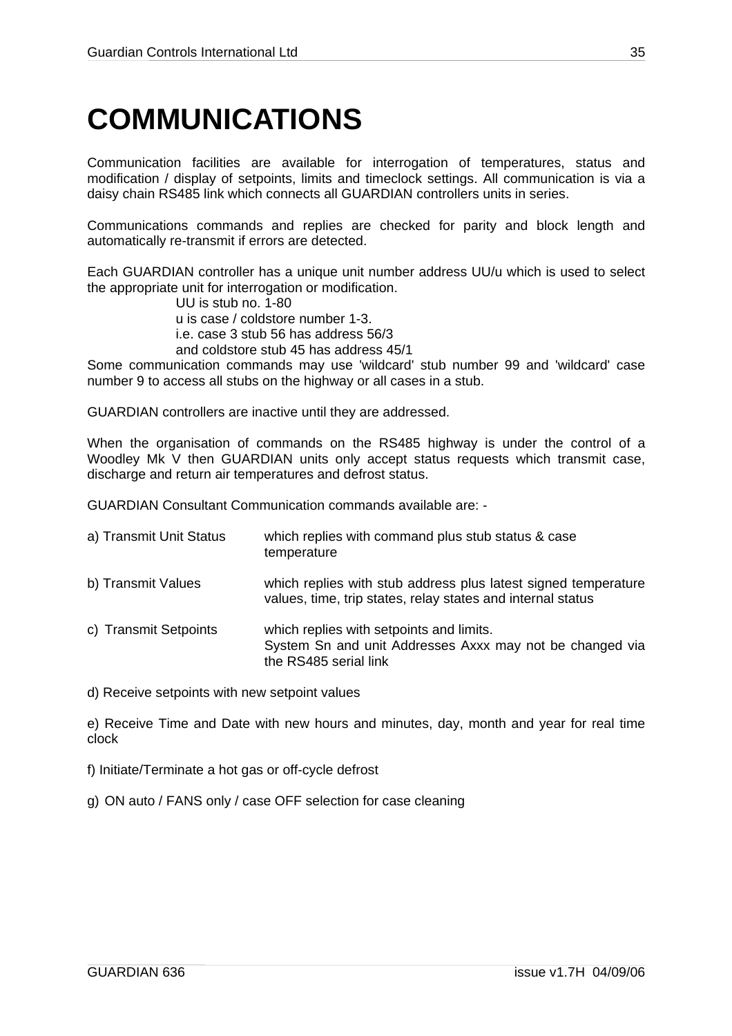## <span id="page-34-1"></span><span id="page-34-0"></span>**COMMUNICATIONS**

Communication facilities are available for interrogation of temperatures, status and modification / display of setpoints, limits and timeclock settings. All communication is via a daisy chain RS485 link which connects all GUARDIAN controllers units in series.

Communications commands and replies are checked for parity and block length and automatically re-transmit if errors are detected.

Each GUARDIAN controller has a unique unit number address UU/u which is used to select the appropriate unit for interrogation or modification.

UU is stub no. 1-80

u is case / coldstore number 1-3.

i.e. case 3 stub 56 has address 56/3

and coldstore stub 45 has address 45/1

Some communication commands may use 'wildcard' stub number 99 and 'wildcard' case number 9 to access all stubs on the highway or all cases in a stub.

GUARDIAN controllers are inactive until they are addressed.

When the organisation of commands on the RS485 highway is under the control of a Woodley Mk V then GUARDIAN units only accept status requests which transmit case. discharge and return air temperatures and defrost status.

GUARDIAN Consultant Communication commands available are: -

| a) Transmit Unit Status | which replies with command plus stub status & case<br>temperature                                                             |
|-------------------------|-------------------------------------------------------------------------------------------------------------------------------|
| b) Transmit Values      | which replies with stub address plus latest signed temperature<br>values, time, trip states, relay states and internal status |
| c) Transmit Setpoints   | which replies with setpoints and limits.<br>System Sn and unit Addresses Axxx may not be changed via<br>the RS485 serial link |

d) Receive setpoints with new setpoint values

e) Receive Time and Date with new hours and minutes, day, month and year for real time clock

f) Initiate/Terminate a hot gas or off-cycle defrost

g) ON auto / FANS only / case OFF selection for case cleaning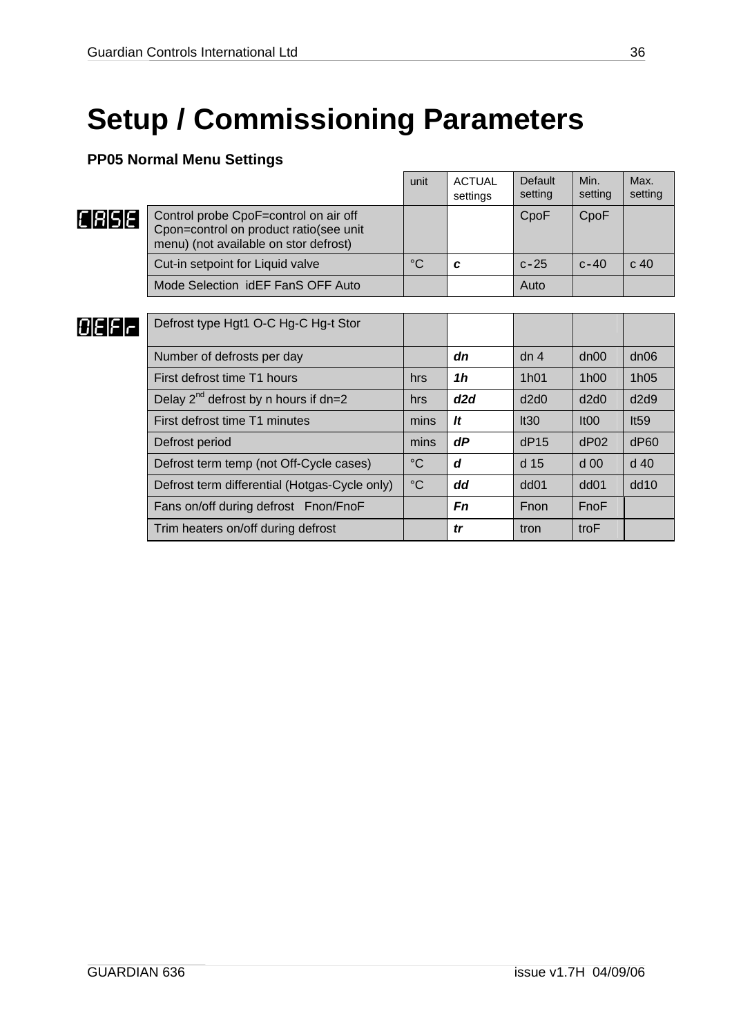# <span id="page-35-0"></span>**Setup / Commissioning Parameters**

### **PP05 Normal Menu Settings**

|          |                                                                                                                          | unit            | <b>ACTUAL</b><br>settings | Default<br>setting | Min.<br>setting  | Max.<br>setting |
|----------|--------------------------------------------------------------------------------------------------------------------------|-----------------|---------------------------|--------------------|------------------|-----------------|
| [[RISIE] | Control probe CpoF=control on air off<br>Cpon=control on product ratio(see unit<br>menu) (not available on stor defrost) |                 |                           | CpoF               | CpoF             |                 |
|          | Cut-in setpoint for Liquid valve                                                                                         | $^{\circ}C$     | C                         | $c-25$             | $c - 40$         | c <sub>40</sub> |
|          | Mode Selection idEF FanS OFF Auto                                                                                        |                 |                           | Auto               |                  |                 |
|          |                                                                                                                          |                 |                           |                    |                  |                 |
| 131516   | Defrost type Hgt1 O-C Hg-C Hg-t Stor                                                                                     |                 |                           |                    |                  |                 |
|          | Number of defrosts per day                                                                                               |                 | dn                        | dn <sub>4</sub>    | dn00             | dn06            |
|          | First defrost time T1 hours                                                                                              | hrs             | 1h                        | 1h01               | 1h00             | 1h05            |
|          | Delay $2^{nd}$ defrost by n hours if dn=2                                                                                | hrs             | d2d                       | d2d0               | d2d0             | d2d9            |
|          | First defrost time T1 minutes                                                                                            | mins            | It                        | It30               | It <sub>00</sub> | It59            |
|          | Defrost period                                                                                                           | mins            | dP                        | dP15               | dP02             | dP60            |
|          | Defrost term temp (not Off-Cycle cases)                                                                                  | $^{\circ}C$     | d                         | d 15               | $d$ 00           | $d$ 40          |
|          | Defrost term differential (Hotgas-Cycle only)                                                                            | $\rm ^{\circ}C$ | dd                        | dd <sub>01</sub>   | dd <sub>01</sub> | dd10            |
|          | Fans on/off during defrost Fnon/FnoF                                                                                     |                 | Fn                        | Fnon               | FnoF             |                 |
|          | Trim heaters on/off during defrost                                                                                       |                 | tr                        | tron               | troF             |                 |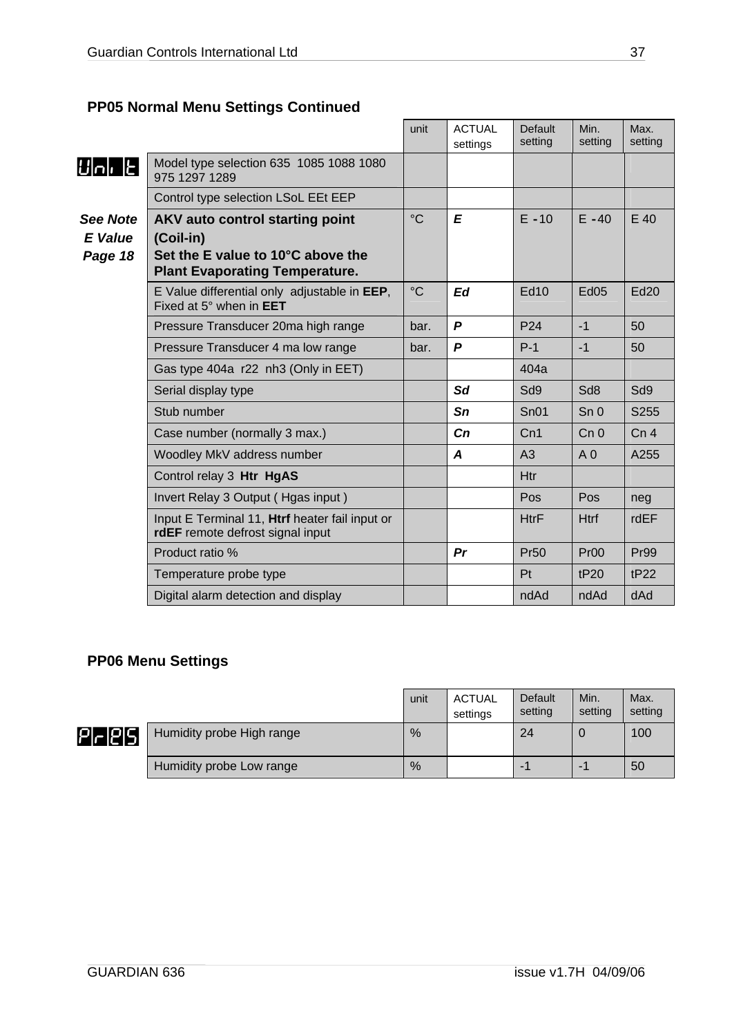### <span id="page-36-0"></span>**PP05 Normal Menu Settings Continued**

|                                              |                                                                                                                            | unit            | <b>ACTUAL</b><br>settings | <b>Default</b><br>setting | Min.<br>setting  | Max.<br>setting |
|----------------------------------------------|----------------------------------------------------------------------------------------------------------------------------|-----------------|---------------------------|---------------------------|------------------|-----------------|
| $ U $ n $ E $                                | Model type selection 635 1085 1088 1080<br>975 1297 1289                                                                   |                 |                           |                           |                  |                 |
|                                              | Control type selection LSoL EEt EEP                                                                                        |                 |                           |                           |                  |                 |
| <b>See Note</b><br><b>E</b> Value<br>Page 18 | AKV auto control starting point<br>(Coil-in)<br>Set the E value to 10°C above the<br><b>Plant Evaporating Temperature.</b> | $\rm ^{\circ}C$ | $\mathbf{E}$              | $E - 10$                  | $E - 40$         | E 40            |
|                                              | E Value differential only adjustable in EEP,<br>Fixed at 5° when in <b>EET</b>                                             | $^{\circ}C$     | Ed                        | <b>Ed10</b>               | <b>Ed05</b>      | Ed20            |
|                                              | Pressure Transducer 20ma high range                                                                                        | bar.            | P                         | P <sub>24</sub>           | $-1$             | 50              |
|                                              | Pressure Transducer 4 ma low range                                                                                         | bar.            | P                         | $P-1$                     | $-1$             | 50              |
|                                              | Gas type 404a r22 nh3 (Only in EET)                                                                                        |                 |                           | 404a                      |                  |                 |
|                                              | Serial display type                                                                                                        |                 | Sd                        | Sd9                       | Sd <sub>8</sub>  | Sd9             |
|                                              | Stub number                                                                                                                |                 | Sn                        | SnO1                      | Sn <sub>0</sub>  | S255            |
|                                              | Case number (normally 3 max.)                                                                                              |                 | Cn                        | Cn1                       | Cn <sub>0</sub>  | Cn <sub>4</sub> |
|                                              | Woodley MkV address number                                                                                                 |                 | A                         | A <sub>3</sub>            | A <sub>0</sub>   | A255            |
|                                              | Control relay 3 Htr HgAS                                                                                                   |                 |                           | Htr                       |                  |                 |
|                                              | Invert Relay 3 Output (Hgas input)                                                                                         |                 |                           | Pos                       | Pos              | neg             |
|                                              | Input E Terminal 11, Htrf heater fail input or<br>rdEF remote defrost signal input                                         |                 |                           | <b>HtrF</b>               | <b>Htrf</b>      | <b>rdEF</b>     |
|                                              | Product ratio %                                                                                                            |                 | Pr                        | <b>Pr50</b>               | Pr <sub>00</sub> | <b>Pr99</b>     |
|                                              | Temperature probe type                                                                                                     |                 |                           | Pt                        | tP20             | tP22            |
|                                              | Digital alarm detection and display                                                                                        |                 |                           | ndAd                      | ndAd             | dAd             |

### **PP06 Menu Settings**

|--|--|--|

|                            |                           | unit | <b>ACTUAL</b><br>settings | Default<br>setting       | Min.<br>setting | Max.<br>setting |
|----------------------------|---------------------------|------|---------------------------|--------------------------|-----------------|-----------------|
| -12151<br>$\overline{P}$ r | Humidity probe High range | %    |                           | 24                       |                 | 100             |
|                            | Humidity probe Low range  | %    |                           | $\overline{\phantom{a}}$ |                 | 50              |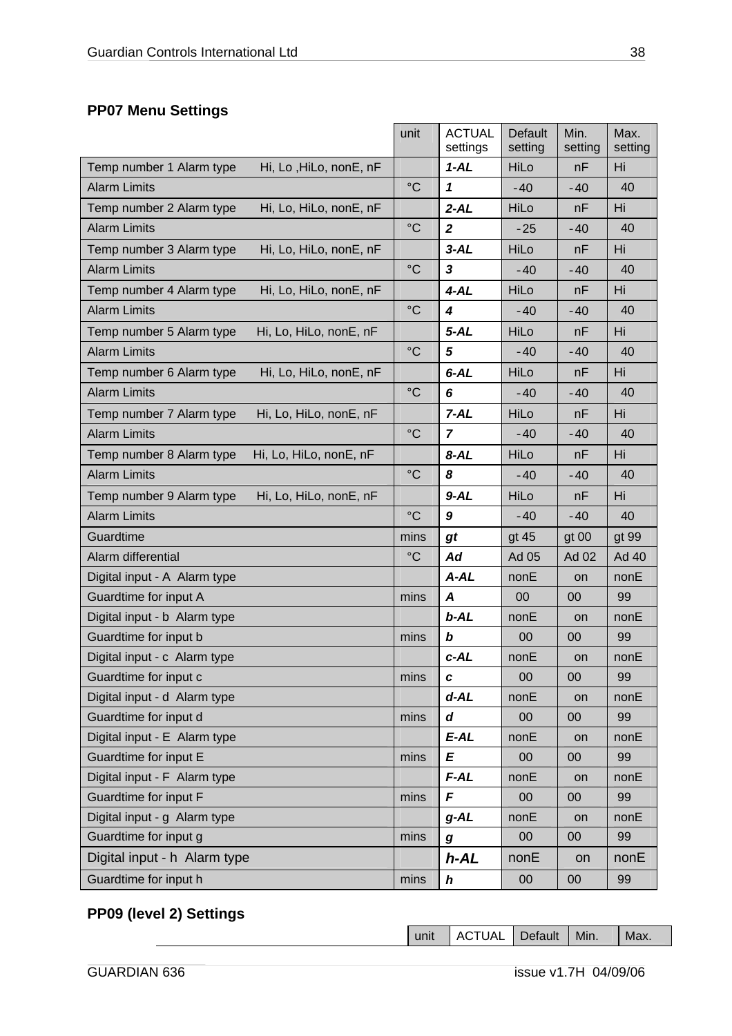### <span id="page-37-0"></span>**PP07 Menu Settings**

|                                                    | unit            | <b>ACTUAL</b><br>settings | <b>Default</b><br>setting | Min.<br>setting | Max.<br>setting |
|----------------------------------------------------|-----------------|---------------------------|---------------------------|-----------------|-----------------|
| Temp number 1 Alarm type<br>Hi, Lo, HiLo, nonE, nF |                 | $1 - AL$                  | HiLo                      | nF              | Hi              |
| <b>Alarm Limits</b>                                | $\rm ^{\circ}C$ | 1                         | $-40$                     | $-40$           | 40              |
| Temp number 2 Alarm type<br>Hi, Lo, HiLo, nonE, nF |                 | $2 - AL$                  | HiLo                      | nF              | Hi              |
| <b>Alarm Limits</b>                                | $\rm ^{\circ}C$ | $\boldsymbol{2}$          | $-25$                     | $-40$           | 40              |
| Temp number 3 Alarm type<br>Hi, Lo, HiLo, nonE, nF |                 | $3 - AL$                  | HiLo                      | nF              | Hi              |
| <b>Alarm Limits</b>                                | $\rm ^{\circ}C$ | 3                         | $-40$                     | $-40$           | 40              |
| Temp number 4 Alarm type<br>Hi, Lo, HiLo, nonE, nF |                 | $4 - AL$                  | HiLo                      | nF              | Hi              |
| <b>Alarm Limits</b>                                | $\rm ^{\circ}C$ | 4                         | $-40$                     | $-40$           | 40              |
| Temp number 5 Alarm type<br>Hi, Lo, HiLo, nonE, nF |                 | $5 - AL$                  | HiLo                      | nF              | Hi              |
| <b>Alarm Limits</b>                                | $\rm ^{\circ}C$ | 5                         | $-40$                     | $-40$           | 40              |
| Hi, Lo, HiLo, nonE, nF<br>Temp number 6 Alarm type |                 | $6 - AL$                  | HiLo                      | nF              | Hi              |
| <b>Alarm Limits</b>                                | $\rm ^{\circ}C$ | 6                         | $-40$                     | $-40$           | 40              |
| Hi, Lo, HiLo, nonE, nF<br>Temp number 7 Alarm type |                 | $7 - AL$                  | HiLo                      | nF              | Hi              |
| <b>Alarm Limits</b>                                | $\rm ^{\circ}C$ | $\overline{7}$            | $-40$                     | $-40$           | 40              |
| Hi, Lo, HiLo, nonE, nF<br>Temp number 8 Alarm type |                 | $8 - AL$                  | HiLo                      | nF              | Hi              |
| <b>Alarm Limits</b>                                | $\rm ^{\circ}C$ | 8                         | $-40$                     | -40             | 40              |
| Temp number 9 Alarm type<br>Hi, Lo, HiLo, nonE, nF |                 | $9 - AL$                  | HiLo                      | nF              | Hi              |
| <b>Alarm Limits</b>                                | $\rm ^{\circ}C$ | 9                         | $-40$                     | $-40$           | 40              |
| Guardtime                                          | mins            | gt                        | gt 45                     | gt 00           | gt 99           |
| Alarm differential                                 | $^{\circ}C$     | Ad                        | Ad 05                     | <b>Ad 02</b>    | Ad 40           |
| Digital input - A Alarm type                       |                 | $A - AL$                  | nonE                      | on              | nonE            |
| Guardtime for input A                              | mins            | A                         | 00                        | 00              | 99              |
| Digital input - b Alarm type                       |                 | $b$ -AL                   | nonE                      | on              | nonE            |
| Guardtime for input b                              | mins            | b                         | 00                        | 00              | 99              |
| Digital input - c Alarm type                       |                 | $c$ -AL                   | nonE                      | on              | nonE            |
| Guardtime for input c                              | mins            | $\mathbf c$               | 00                        | 00              | 99              |
| Digital input - d Alarm type                       |                 | $d-AL$                    | nonE                      | on              | nonE            |
| Guardtime for input d                              | mins            | d                         | 00                        | 00              | 99              |
| Digital input - E Alarm type                       |                 | $E$ -AL                   | nonE                      | on              | nonE            |
| Guardtime for input E                              | mins            | E                         | 00                        | 00              | 99              |
| Digital input - F Alarm type                       |                 | $F-AL$                    | nonE                      | on              | nonE            |
| Guardtime for input F                              | mins            | F                         | 00                        | 00              | 99              |
| Digital input - g Alarm type                       |                 | $g$ -AL                   | nonE                      | on              | nonE            |
| Guardtime for input g                              | mins            | g                         | 00                        | 00              | 99              |
| Digital input - h Alarm type                       |                 | $h$ -AL                   | nonE                      | on              | nonE            |
| Guardtime for input h                              | mins            | $\boldsymbol{h}$          | 00                        | 00              | 99              |

### **PP09 (level 2) Settings**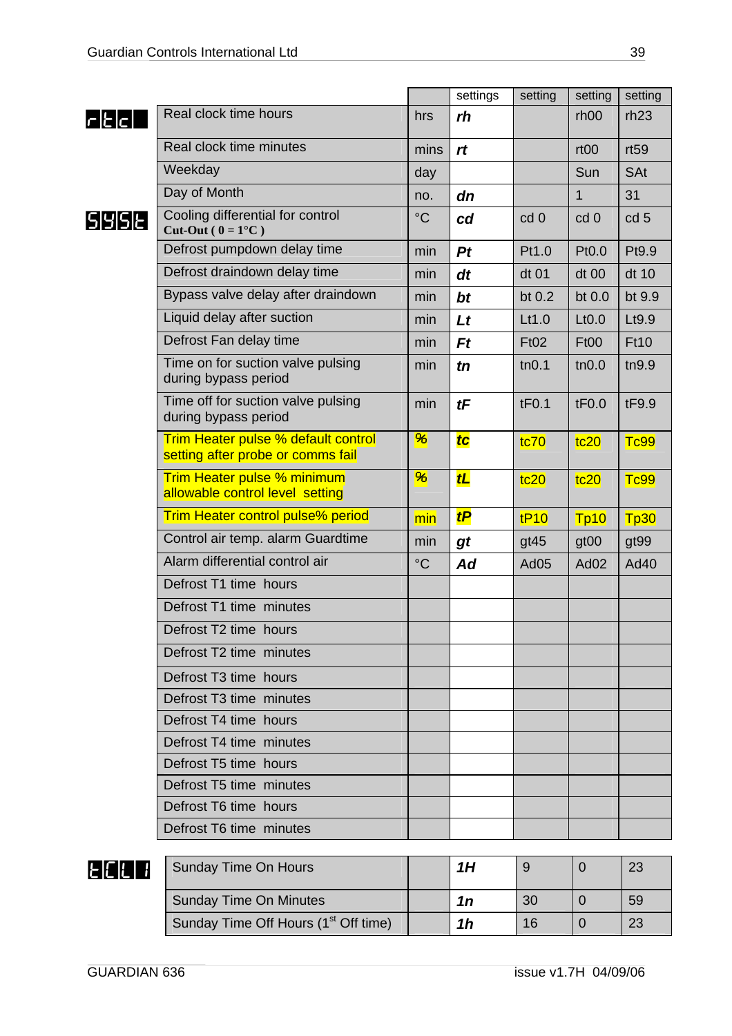|                                              |                                                                          |                 | settings | setting  | setting            | setting         |
|----------------------------------------------|--------------------------------------------------------------------------|-----------------|----------|----------|--------------------|-----------------|
| $\mathsf{r}$ l $\mathsf{t}$ l $\mathsf{c}$ l | Real clock time hours                                                    | hrs             | rh       |          | rh <sub>00</sub>   | rh23            |
|                                              | Real clock time minutes                                                  | mins            | rt       |          | rt <sub>00</sub>   | rt59            |
|                                              | Weekday                                                                  | day             |          |          | Sun                | <b>SAt</b>      |
|                                              | Day of Month                                                             | no.             | dn       |          | 1                  | 31              |
| S Y S Ł                                      | Cooling differential for control<br>Cut-Out ( $0 = 1$ °C)                | $\rm ^{\circ}C$ | cd       | cd 0     | cd 0               | cd <sub>5</sub> |
|                                              | Defrost pumpdown delay time                                              | min             | Pt       | Pt1.0    | Pt0.0              | Pt9.9           |
|                                              | Defrost draindown delay time                                             | min             | dt       | dt 01    | dt 00              | dt 10           |
|                                              | Bypass valve delay after draindown                                       | min             | bt       | bt $0.2$ | bt 0.0             | bt 9.9          |
|                                              | Liquid delay after suction                                               | min             | Lt       | Lt1.0    | L <sub>t</sub> 0.0 | Lt9.9           |
|                                              | Defrost Fan delay time                                                   | min             | $F_t$    | Ft02     | <b>Ft00</b>        | <b>Ft10</b>     |
|                                              | Time on for suction valve pulsing<br>during bypass period                | min             | tn       | tn0.1    | tn0.0              | tn9.9           |
|                                              | Time off for suction valve pulsing<br>during bypass period               | min             | tF       | tF0.1    | tF0.0              | tF9.9           |
|                                              | Trim Heater pulse % default control<br>setting after probe or comms fail | %               | tc       | tc70     | tc20               | <b>Tc99</b>     |
|                                              | <b>Trim Heater pulse % minimum</b><br>allowable control level setting    | $\frac{96}{5}$  | tL       | tc20     | tc20               | <b>Tc99</b>     |
|                                              | <b>Trim Heater control pulse% period</b>                                 | min             | tP       | tP10     | Tp10               | Tp30            |
|                                              | Control air temp. alarm Guardtime                                        | min             | gt       | gt45     | gt <sub>00</sub>   | gt99            |
|                                              | Alarm differential control air                                           | $\rm ^{\circ}C$ | Ad       | Ad05     | Ad <sub>02</sub>   | Ad40            |
|                                              | Defrost T1 time hours                                                    |                 |          |          |                    |                 |
|                                              | Defrost T1 time minutes                                                  |                 |          |          |                    |                 |
|                                              | Defrost T2 time hours                                                    |                 |          |          |                    |                 |
|                                              | Defrost T2 time minutes                                                  |                 |          |          |                    |                 |
|                                              | Defrost T3 time hours                                                    |                 |          |          |                    |                 |
|                                              | Defrost T3 time minutes                                                  |                 |          |          |                    |                 |
|                                              | Defrost T4 time hours                                                    |                 |          |          |                    |                 |
|                                              | Defrost T4 time minutes                                                  |                 |          |          |                    |                 |
|                                              | Defrost T5 time hours                                                    |                 |          |          |                    |                 |
|                                              | Defrost T5 time minutes                                                  |                 |          |          |                    |                 |
|                                              | Defrost T6 time hours                                                    |                 |          |          |                    |                 |
|                                              | Defrost T6 time minutes                                                  |                 |          |          |                    |                 |
| F [[                                         | <b>Sunday Time On Hours</b>                                              |                 | 1H       | 9        | $\mathbf 0$        | 23              |
|                                              | <b>Sunday Time On Minutes</b>                                            |                 | 1n       | 30       | $\mathbf 0$        | 59              |
|                                              | Sunday Time Off Hours (1 <sup>st</sup> Off time)                         |                 | 1h       | 16       | $\overline{0}$     | 23              |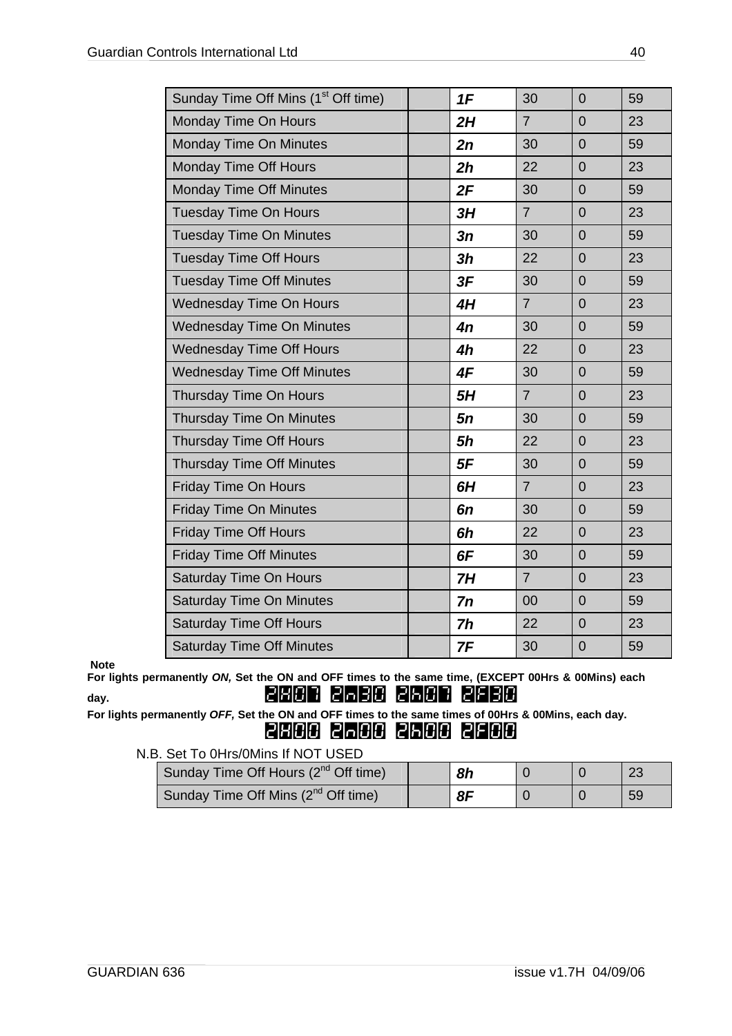| Sunday Time Off Mins (1 <sup>st</sup> Off time) | 1F        | 30             | $\overline{0}$ | 59 |
|-------------------------------------------------|-----------|----------------|----------------|----|
| Monday Time On Hours                            | 2H        | $\overline{7}$ | $\overline{0}$ | 23 |
| <b>Monday Time On Minutes</b>                   | 2n        | 30             | $\overline{0}$ | 59 |
| Monday Time Off Hours                           | 2h        | 22             | $\overline{0}$ | 23 |
| <b>Monday Time Off Minutes</b>                  | 2F        | 30             | $\overline{0}$ | 59 |
| <b>Tuesday Time On Hours</b>                    | 3H        | $\overline{7}$ | $\overline{0}$ | 23 |
| <b>Tuesday Time On Minutes</b>                  | 3n        | 30             | $\overline{0}$ | 59 |
| <b>Tuesday Time Off Hours</b>                   | 3h        | 22             | $\overline{0}$ | 23 |
| <b>Tuesday Time Off Minutes</b>                 | 3F        | 30             | $\overline{0}$ | 59 |
| <b>Wednesday Time On Hours</b>                  | 4H        | $\overline{7}$ | $\overline{0}$ | 23 |
| <b>Wednesday Time On Minutes</b>                | 4n        | 30             | $\overline{0}$ | 59 |
| <b>Wednesday Time Off Hours</b>                 | 4h        | 22             | $\overline{0}$ | 23 |
| <b>Wednesday Time Off Minutes</b>               | 4F        | 30             | $\overline{0}$ | 59 |
| Thursday Time On Hours                          | 5H        | $\overline{7}$ | $\overline{0}$ | 23 |
| <b>Thursday Time On Minutes</b>                 | 5n        | 30             | $\overline{0}$ | 59 |
| <b>Thursday Time Off Hours</b>                  | <b>5h</b> | 22             | $\overline{0}$ | 23 |
| <b>Thursday Time Off Minutes</b>                | 5F        | 30             | $\overline{0}$ | 59 |
| Friday Time On Hours                            | 6H        | $\overline{7}$ | $\overline{0}$ | 23 |
| <b>Friday Time On Minutes</b>                   | 6n        | 30             | $\overline{0}$ | 59 |
| <b>Friday Time Off Hours</b>                    | 6h        | 22             | $\overline{0}$ | 23 |
| <b>Friday Time Off Minutes</b>                  | 6F        | 30             | $\overline{0}$ | 59 |
| Saturday Time On Hours                          | 7H        | $\overline{7}$ | $\overline{0}$ | 23 |
| <b>Saturday Time On Minutes</b>                 | 7n        | 00             | $\overline{0}$ | 59 |
| <b>Saturday Time Off Hours</b>                  | 7h        | 22             | $\overline{0}$ | 23 |
| <b>Saturday Time Off Minutes</b>                | 7F        | 30             | $\overline{0}$ | 59 |

#### **Note**

**For lights permanently** *ON,* **Set the ON and OFF times to the same time, (EXCEPT 00Hrs & 00Mins) each**  day. 2000 2000 2000 2000 2000 2000

**For lights permanently** *OFF,* **Set the ON and OFF times to the same times of 00Hrs & 00Mins, each day.**  2H00 2n00 2h00 2f00

N.B. Set To 0Hrs/0Mins If NOT USED

| Sunday Time Off Hours (2 <sup>nd</sup> Off time) | 8h |  | 23 |
|--------------------------------------------------|----|--|----|
| Sunday Time Off Mins (2 <sup>nd</sup> Off time)  | 8F |  | 59 |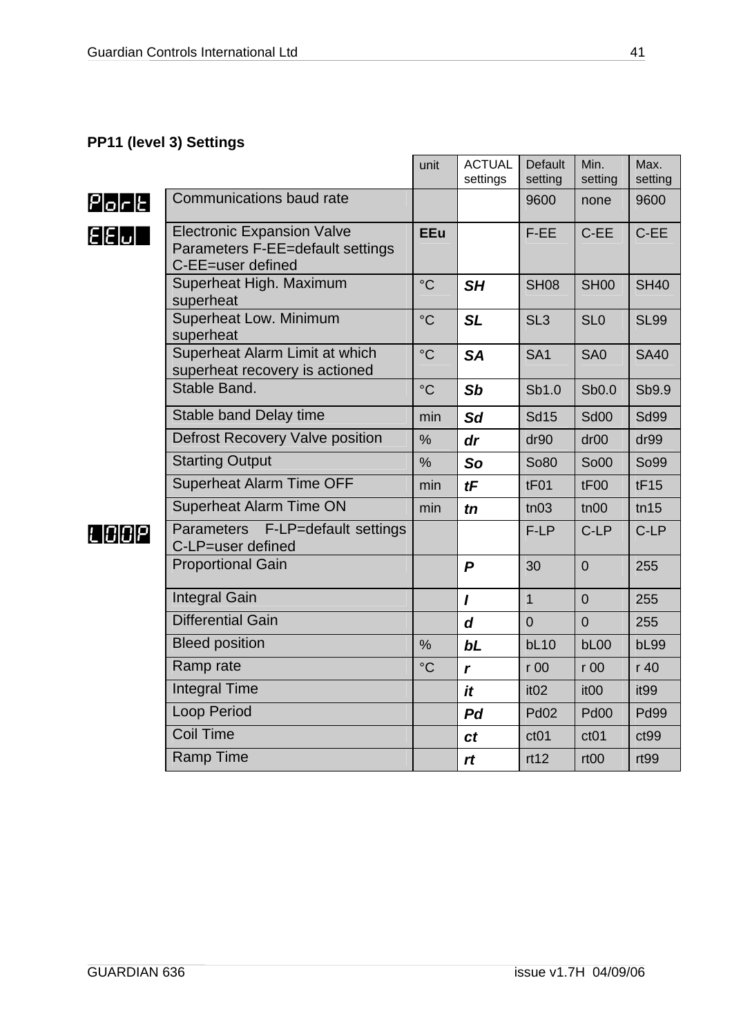### <span id="page-40-0"></span>**PP11 (level 3) Settings**

|                                   |                                                                                            | unit            | <b>ACTUAL</b><br>settings | Default<br>setting | Min.<br>setting  | Max.<br>setting  |
|-----------------------------------|--------------------------------------------------------------------------------------------|-----------------|---------------------------|--------------------|------------------|------------------|
| $P _O _C _E $                     | Communications baud rate                                                                   |                 |                           | 9600               | none             | 9600             |
| $\mathsf{E}[\mathsf{E} \omega]$ . | <b>Electronic Expansion Valve</b><br>Parameters F-EE=default settings<br>C-EE=user defined | <b>EEu</b>      |                           | F-EE               | C-EE             | C-EE             |
|                                   | Superheat High. Maximum<br>superheat                                                       | $\rm ^{\circ}C$ | SH                        | <b>SH08</b>        | <b>SH00</b>      | <b>SH40</b>      |
|                                   | Superheat Low. Minimum<br>superheat                                                        | $\rm ^{\circ}C$ | <b>SL</b>                 | SL <sub>3</sub>    | SL <sub>0</sub>  | <b>SL99</b>      |
|                                   | Superheat Alarm Limit at which<br>superheat recovery is actioned                           | $\rm ^{\circ}C$ | <b>SA</b>                 | SA <sub>1</sub>    | SA <sub>0</sub>  | <b>SA40</b>      |
|                                   | Stable Band.                                                                               | $\rm ^{\circ}C$ | Sb                        | Sb1.0              | Sb0.0            | Sb9.9            |
|                                   | Stable band Delay time                                                                     | min             | <b>Sd</b>                 | <b>Sd15</b>        | <b>Sd00</b>      | <b>Sd99</b>      |
|                                   | Defrost Recovery Valve position                                                            | $\frac{0}{0}$   | dr                        | dr90               | dr <sub>00</sub> | dr99             |
|                                   | <b>Starting Output</b>                                                                     | $\%$            | So                        | So80               | <b>So00</b>      | So99             |
|                                   | <b>Superheat Alarm Time OFF</b>                                                            | min             | tF                        | tF01               | tF <sub>00</sub> | tF15             |
|                                   | <b>Superheat Alarm Time ON</b>                                                             | min             | tn                        | tn03               | tn00             | tn15             |
| L 00P                             | <b>Parameters</b><br>F-LP=default settings<br>C-LP=user defined                            |                 |                           | F-LP               | C-LP             | C-LP             |
|                                   | <b>Proportional Gain</b>                                                                   |                 | $\boldsymbol{P}$          | 30                 | $\overline{0}$   | 255              |
|                                   | <b>Integral Gain</b>                                                                       |                 | $\prime$                  | $\overline{1}$     | $\overline{0}$   | 255              |
|                                   | <b>Differential Gain</b>                                                                   |                 | $\boldsymbol{d}$          | $\overline{0}$     | $\overline{0}$   | 255              |
|                                   | <b>Bleed position</b>                                                                      | $\%$            | bL                        | bL10               | bL00             | <b>bL99</b>      |
|                                   | Ramp rate                                                                                  | $\rm ^{\circ}C$ | r                         | r00                | r00              | r 40             |
|                                   | <b>Integral Time</b>                                                                       |                 | it                        | it <sub>02</sub>   | it <sub>00</sub> | it <sub>99</sub> |
|                                   | <b>Loop Period</b>                                                                         |                 | Pd                        | <b>Pd02</b>        | <b>Pd00</b>      | <b>Pd99</b>      |
|                                   | <b>Coil Time</b>                                                                           |                 | ct                        | ct01               | ct01             | ct99             |
|                                   | <b>Ramp Time</b>                                                                           |                 | rt                        | rt12               | rt <sub>00</sub> | rt99             |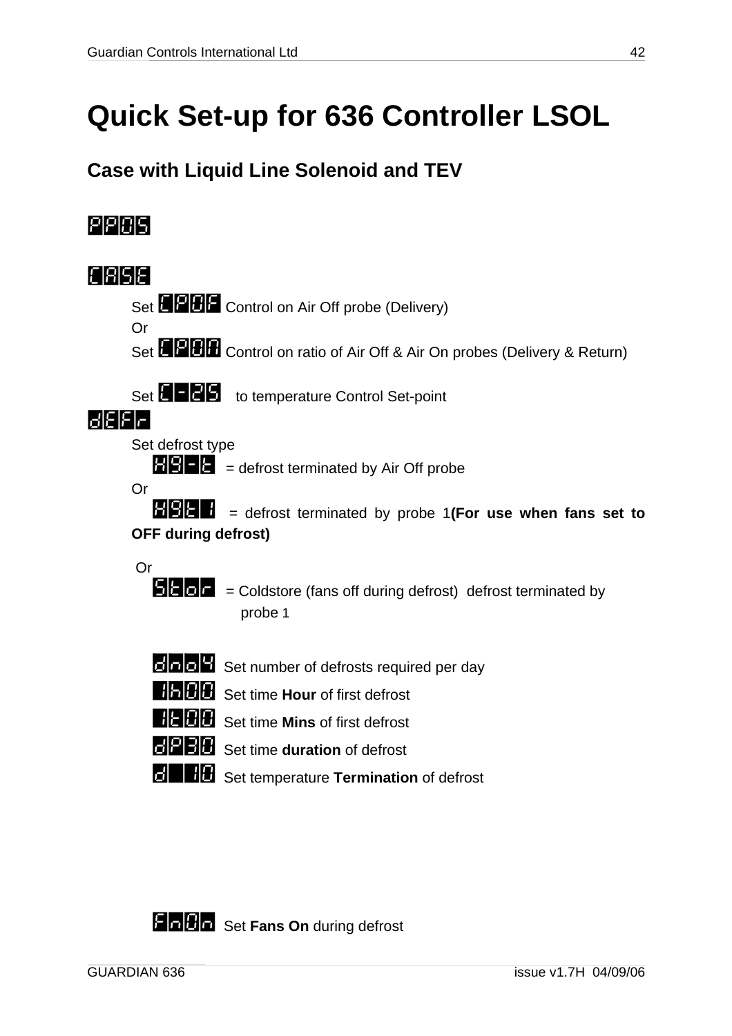## <span id="page-41-0"></span>**Quick Set-up for 636 Controller LSOL**

### **Case with Liquid Line Solenoid and TEV**



**def** Set temperature **Termination** of defrost

**Find Ti** Set Fans On during defrost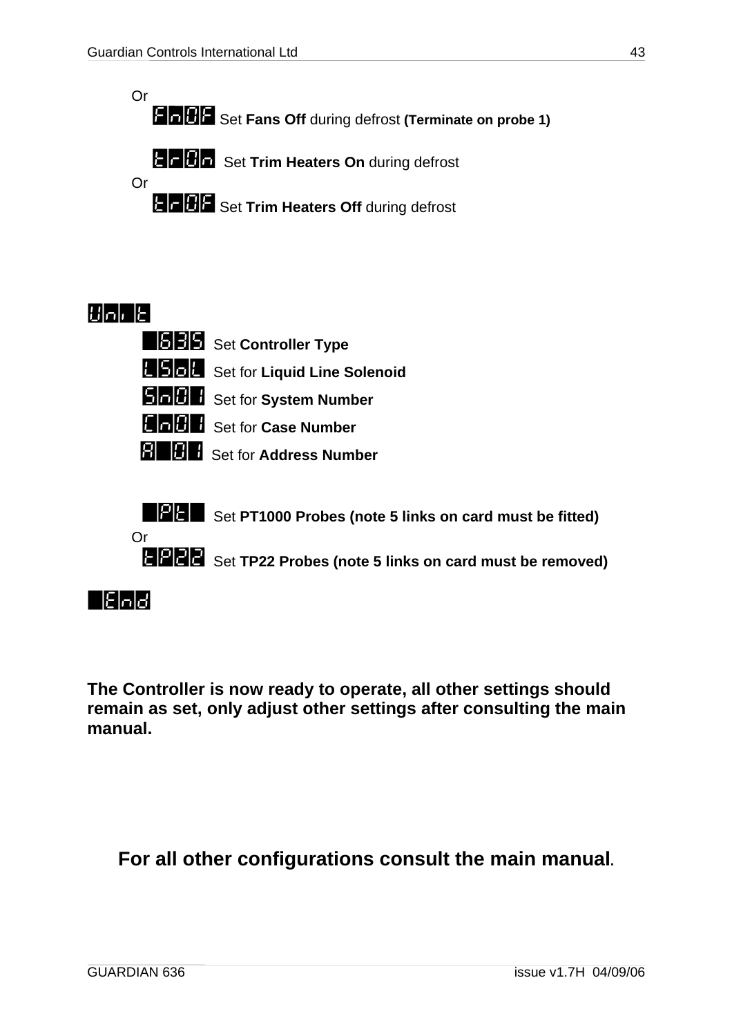Or **FIGOF** Set Fans Off during defrost (Terminate on probe 1)

**the Digital Set Trim Heaters On during defrost** 



### **Walle**

| <b>BBB</b> Set Controller Type          |
|-----------------------------------------|
| <b>BBB</b> Set for Liquid Line Solenoid |
| <b>SHIPH</b> Set for System Number      |
| <b>HELLE</b> Set for Case Number        |
| <b>REFE</b> Set for Address Number      |

**EPRE** Set PT1000 Probes (note 5 links on card must be fitted)

**the 22** Set TP22 Probes (note 5 links on card must be removed)

### =End

Or

**The Controller is now ready to operate, all other settings should remain as set, only adjust other settings after consulting the main manual.** 

### **For all other configurations consult the main manual.**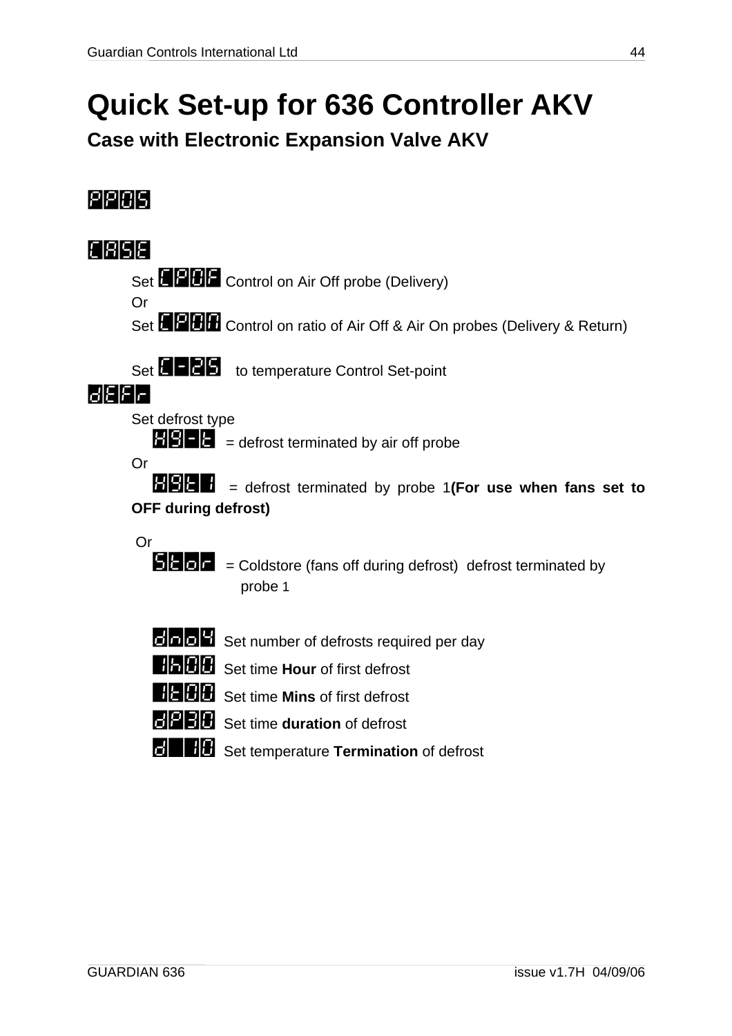## <span id="page-43-0"></span>**Quick Set-up for 636 Controller AKV**

**Case with Electronic Expansion Valve AKV** 



**de** Set temperature **Termination** of defrost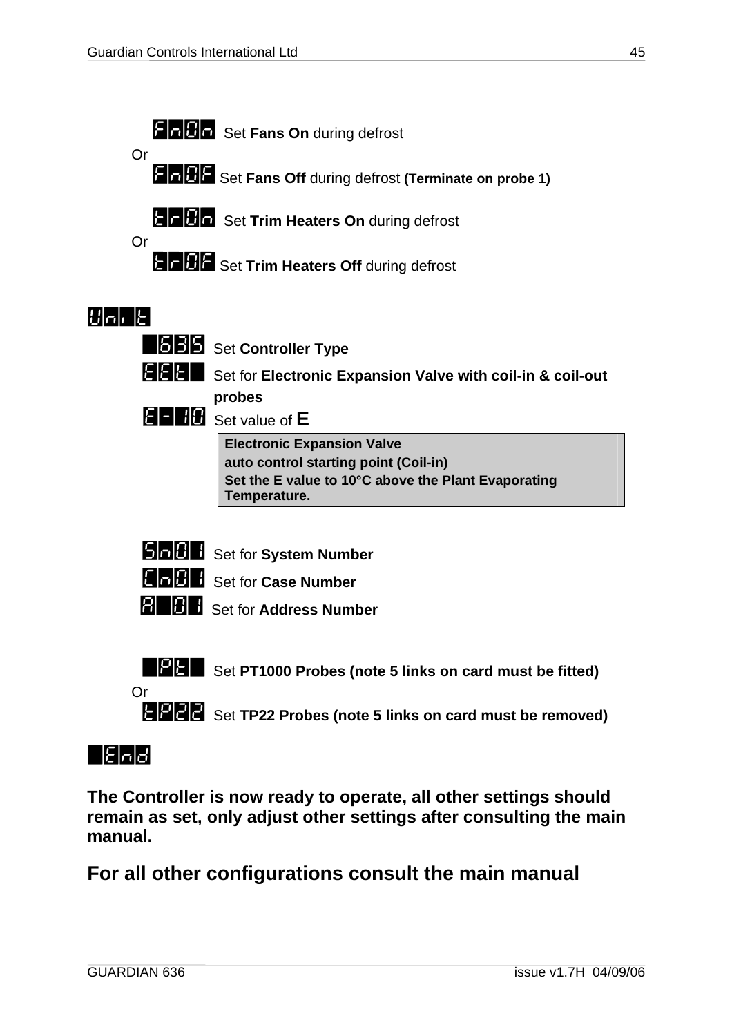

### =End

**The Controller is now ready to operate, all other settings should remain as set, only adjust other settings after consulting the main manual.** 

**For all other configurations consult the main manual**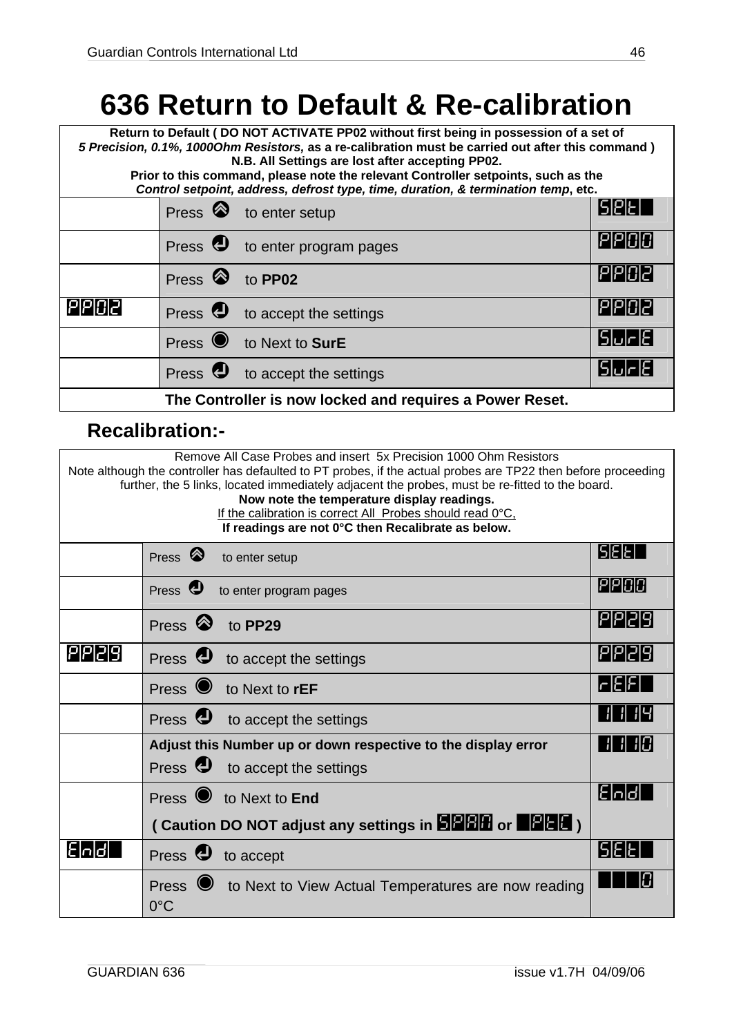## <span id="page-45-0"></span>**636 Return to Default & Re-calibration**

**Return to Default ( DO NOT ACTIVATE PP02 without first being in possession of a set of**  *5 Precision, 0.1%, 1000Ohm Resistors,* **as a re-calibration must be carried out after this command ) N.B. All Settings are lost after accepting PP02. Prior to this command, please note the relevant Controller setpoints, such as the**  *Control setpoint, address, defrost type, time, duration, & termination temp***, etc.**  Press  $\otimes$  to enter setup  $\Box$ Press  $\bigcirc$  to enter program pages  $\bigcirc$ Press  $\bigcirc$  to **PP02 Press**  $\bigcirc$  **PP02** PPD2 Press **?** to accept the settings **PP02** Press  $\bullet$  to Next to **SurE** surface to **Sure the Surface of Surface surface of Surface surface surface surface surface surface surface surface surface surface surface surface surface surface surface surface surface surfac** Press  $\bigcirc$  to accept the settings  $\bigcirc$ **The Controller is now locked and requires a Power Reset.**

### **Recalibration:-**

| Remove All Case Probes and insert 5x Precision 1000 Ohm Resistors<br>Note although the controller has defaulted to PT probes, if the actual probes are TP22 then before proceeding<br>further, the 5 links, located immediately adjacent the probes, must be re-fitted to the board.<br>Now note the temperature display readings.<br>If the calibration is correct All Probes should read 0°C,<br>If readings are not 0°C then Recalibrate as below. |                                                                                         |                                   |  |  |
|-------------------------------------------------------------------------------------------------------------------------------------------------------------------------------------------------------------------------------------------------------------------------------------------------------------------------------------------------------------------------------------------------------------------------------------------------------|-----------------------------------------------------------------------------------------|-----------------------------------|--|--|
|                                                                                                                                                                                                                                                                                                                                                                                                                                                       | Press $\otimes$<br>to enter setup                                                       | <b>SEET</b>                       |  |  |
|                                                                                                                                                                                                                                                                                                                                                                                                                                                       | Press $\bigcirc$<br>to enter program pages                                              | PPOO                              |  |  |
|                                                                                                                                                                                                                                                                                                                                                                                                                                                       | Press $\otimes$ to PP29                                                                 | PP29                              |  |  |
| 191919                                                                                                                                                                                                                                                                                                                                                                                                                                                | Press <b>U</b> to accept the settings                                                   | PP29                              |  |  |
|                                                                                                                                                                                                                                                                                                                                                                                                                                                       | Press to Next to <b>rEF</b>                                                             | r E F                             |  |  |
|                                                                                                                                                                                                                                                                                                                                                                                                                                                       | Press <b>U</b> to accept the settings                                                   | <u>        4</u><br>$\mathcal{H}$ |  |  |
|                                                                                                                                                                                                                                                                                                                                                                                                                                                       | Adjust this Number up or down respective to the display error                           | 71 KCI<br>$\vert$                 |  |  |
|                                                                                                                                                                                                                                                                                                                                                                                                                                                       | Press <b>U</b> to accept the settings                                                   |                                   |  |  |
|                                                                                                                                                                                                                                                                                                                                                                                                                                                       | Press to Next to End                                                                    | l:Inld                            |  |  |
|                                                                                                                                                                                                                                                                                                                                                                                                                                                       | (Caution DO NOT adjust any settings in <b>BREE</b> or <b>BREE</b> )                     |                                   |  |  |
| Floldl                                                                                                                                                                                                                                                                                                                                                                                                                                                | Press <b>D</b> to accept                                                                | 151518                            |  |  |
|                                                                                                                                                                                                                                                                                                                                                                                                                                                       | Press <sup>o</sup> to Next to View Actual Temperatures are now reading<br>$0^{\circ}$ C |                                   |  |  |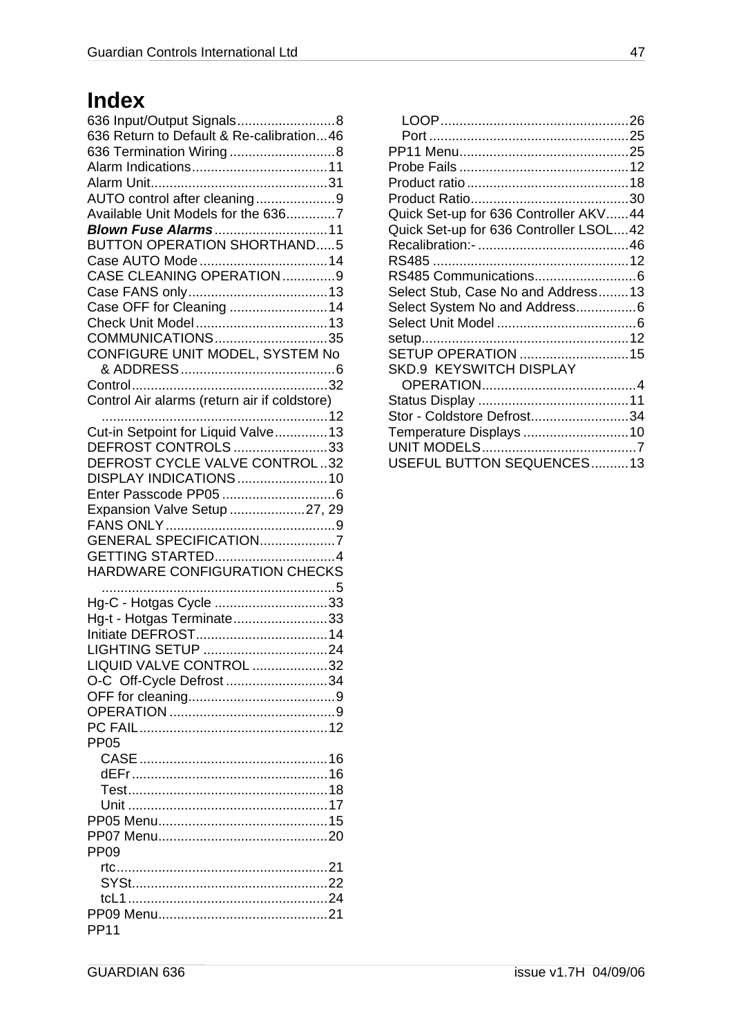## **Index**

| 636 Input/Output Signals8<br>636 Return to Default & Re-calibration46<br>636 Termination Wiring 8 |  |
|---------------------------------------------------------------------------------------------------|--|
|                                                                                                   |  |
|                                                                                                   |  |
| AUTO control after cleaning9                                                                      |  |
| Available Unit Models for the 6367                                                                |  |
| Blown Fuse Alarms11                                                                               |  |
| <b>BUTTON OPERATION SHORTHAND5</b>                                                                |  |
| Case AUTO Mode14                                                                                  |  |
| CASE CLEANING OPERATION 9                                                                         |  |
|                                                                                                   |  |
|                                                                                                   |  |
| Case OFF for Cleaning  14                                                                         |  |
|                                                                                                   |  |
| COMMUNICATIONS35                                                                                  |  |
| CONFIGURE UNIT MODEL, SYSTEM No                                                                   |  |
|                                                                                                   |  |
|                                                                                                   |  |
| Control Air alarms (return air if coldstore)                                                      |  |
|                                                                                                   |  |
| Cut-in Setpoint for Liquid Valve 13                                                               |  |
|                                                                                                   |  |
| DEFROST CONTROLS33                                                                                |  |
| DEFROST CYCLE VALVE CONTROL32                                                                     |  |
| DISPLAY INDICATIONS 10                                                                            |  |
|                                                                                                   |  |
| Expansion Valve Setup 27, 29                                                                      |  |
|                                                                                                   |  |
| GENERAL SPECIFICATION7                                                                            |  |
| GETTING STARTED4                                                                                  |  |
| HARDWARE CONFIGURATION CHECKS                                                                     |  |
|                                                                                                   |  |
|                                                                                                   |  |
| Hg-C - Hotgas Cycle 33                                                                            |  |
| Hg-t - Hotgas Terminate33                                                                         |  |
|                                                                                                   |  |
| LIGHTING SETUP 24                                                                                 |  |
| LIQUID VALVE CONTROL 32                                                                           |  |
| O-C Off-Cycle Defrost 34                                                                          |  |
|                                                                                                   |  |
|                                                                                                   |  |
|                                                                                                   |  |
| <b>PP05</b>                                                                                       |  |
|                                                                                                   |  |
|                                                                                                   |  |
|                                                                                                   |  |
|                                                                                                   |  |
|                                                                                                   |  |
|                                                                                                   |  |
|                                                                                                   |  |
|                                                                                                   |  |
|                                                                                                   |  |
| <b>PP09</b>                                                                                       |  |
|                                                                                                   |  |
|                                                                                                   |  |
|                                                                                                   |  |
| <b>PP11</b>                                                                                       |  |

| Quick Set-up for 636 Controller AKV44  |  |
|----------------------------------------|--|
|                                        |  |
| Quick Set-up for 636 Controller LSOL42 |  |
|                                        |  |
|                                        |  |
|                                        |  |
|                                        |  |
| Select Stub, Case No and Address13     |  |
| Select System No and Address6          |  |
|                                        |  |
|                                        |  |
| SETUP OPERATION 15                     |  |
| <b>SKD.9 KEYSWITCH DISPLAY</b>         |  |
|                                        |  |
|                                        |  |
|                                        |  |
| Stor - Coldstore Defrost34             |  |
| Temperature Displays 10                |  |
|                                        |  |
| USEFUL BUTTON SEQUENCES13              |  |
|                                        |  |